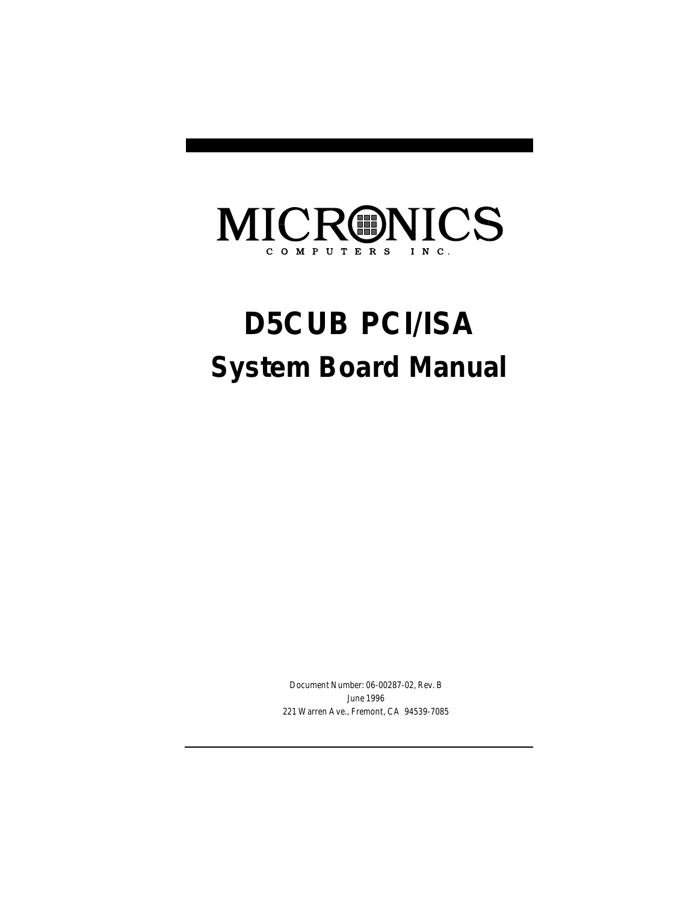## MICRONICS COMPUTERS INC.

# **D5CUB PCI/ISA System Board Manual**

Document Number: 06-00287-02, Rev. B June 1996 221 Warren Ave., Fremont, CA 94539-7085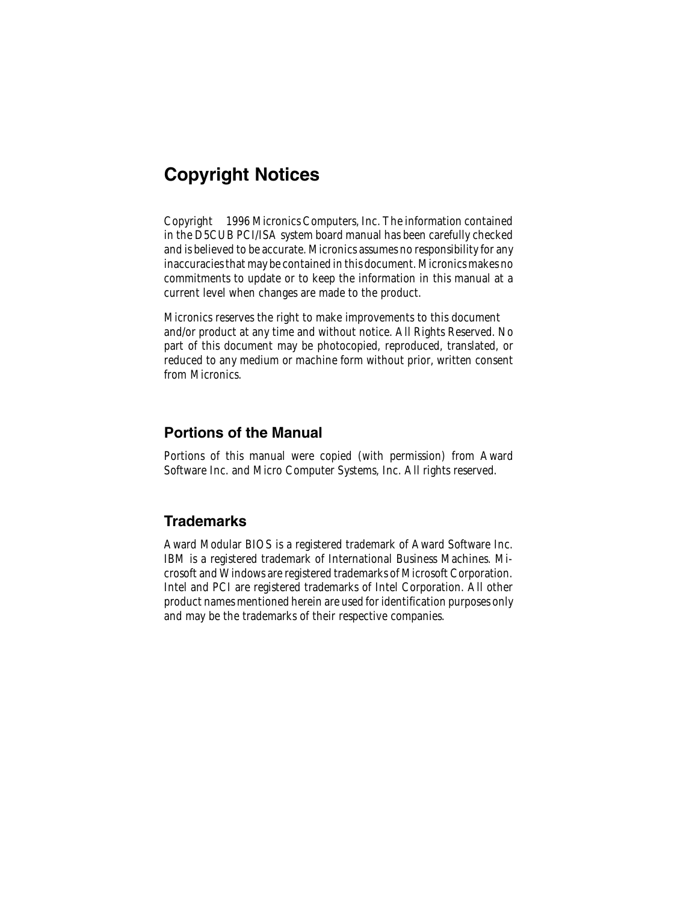# Copyright Notices

2 in the D5CUB PCI/ISA system board manual has been carefully checked Copyright © 1996 Micronics Computers, Inc. The information contained and is believed to be accurate. Micronics assumes no responsibility for any inaccuracies that may be contained in this document. Micronics makes no commitments to update or to keep the information in this manual at a current level when changes are made to the product.

Micronics reserves the right to make improvements to this document and/or product at any time and without notice. All Rights Reserved. No part of this document may be photocopied, reproduced, translated, or reduced to any medium or machine form without prior, written consent from Micronics.

#### Portions of the Manual

Portions of this manual were copied (with permission) from Award Software Inc. and Micro Computer Systems, Inc. All rights reserved.

#### **Trademarks**

Award Modular BIOS is a registered trademark of Award Software Inc. IBM is a registered trademark of International Business Machines. Microsoft and Windows are registered trademarks of Microsoft Corporation. Intel and PCI are registered trademarks of Intel Corporation. All other product names mentioned herein are used for identification purposes only and may be the trademarks of their respective companies.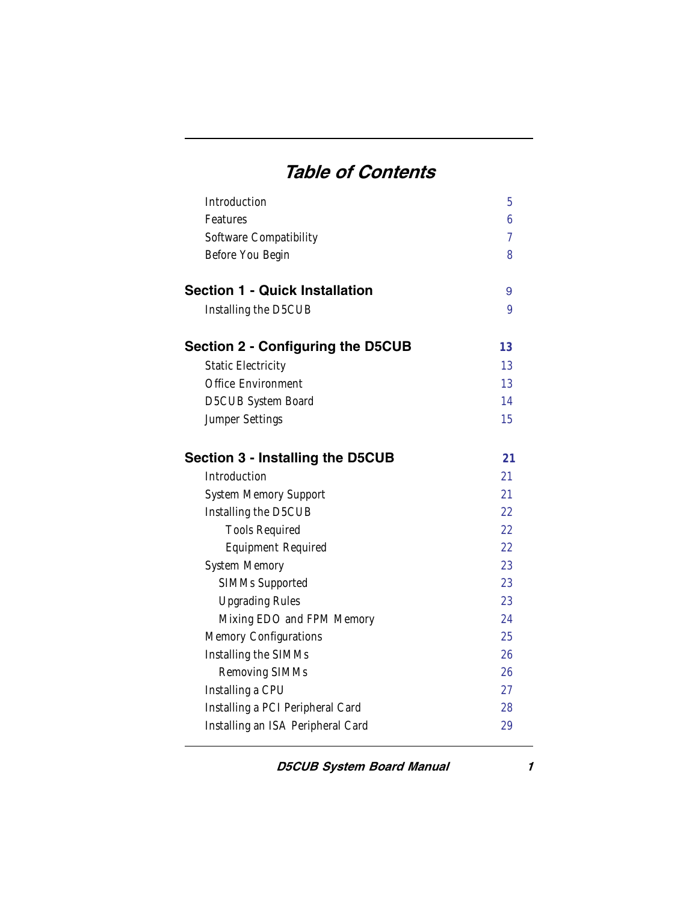# Table of Contents

| Introduction                             | 5              |
|------------------------------------------|----------------|
| Features                                 | 6              |
| Software Compatibility                   | $\overline{7}$ |
| Before You Begin                         | 8              |
| <b>Section 1 - Quick Installation</b>    | 9              |
| Installing the D5CUB                     | 9              |
| <b>Section 2 - Configuring the D5CUB</b> | 13             |
| <b>Static Electricity</b>                | 13             |
| Office Environment                       | 13             |
| D5CUB System Board                       | 14             |
| Jumper Settings                          | 15             |
| <b>Section 3 - Installing the D5CUB</b>  | 21             |
| Introduction                             | 21             |
| <b>System Memory Support</b>             | 21             |
| Installing the D5CUB                     | 22             |
| <b>Tools Required</b>                    | 22             |
| <b>Equipment Required</b>                | 22             |
| System Memory                            | 23             |
| SIMMs Supported                          | 23             |
| <b>Upgrading Rules</b>                   | 23             |
| Mixing EDO and FPM Memory                | 24             |
| Memory Configurations                    | 25             |
| Installing the SIMMs                     | 26             |
| Removing SIMMs                           | 26             |
| Installing a CPU                         | 27             |
| Installing a PCI Peripheral Card         | 28             |
| Installing an ISA Peripheral Card        | 29             |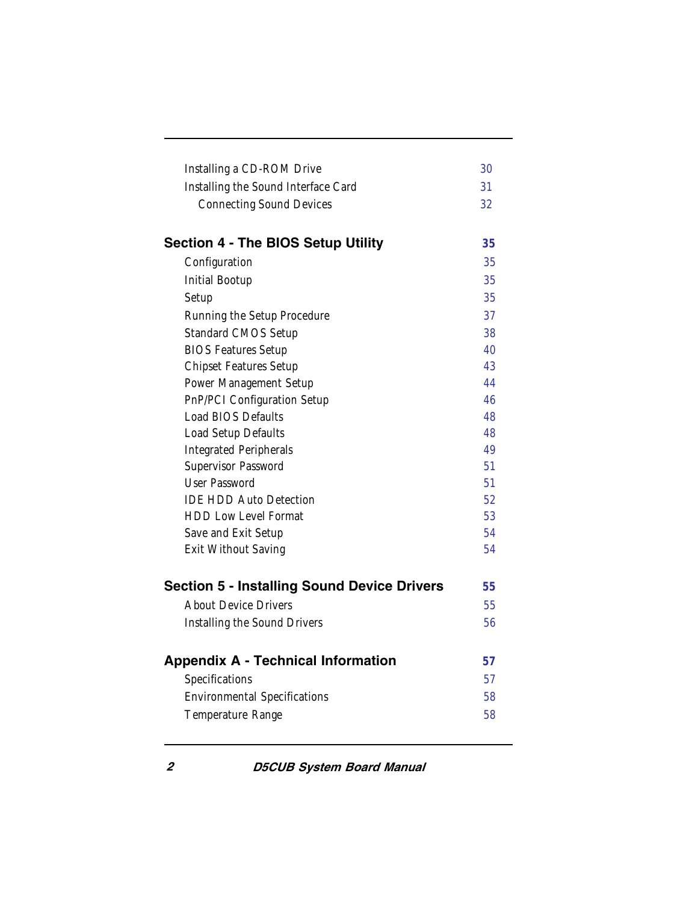| Installing a CD-ROM Drive<br>Installing the Sound Interface Card<br><b>Connecting Sound Devices</b> | 30<br>31<br>32 |
|-----------------------------------------------------------------------------------------------------|----------------|
| <b>Section 4 - The BIOS Setup Utility</b>                                                           | 35             |
| Configuration                                                                                       | 35             |
| <b>Initial Bootup</b>                                                                               | 35             |
| Setup                                                                                               | 35             |
| Running the Setup Procedure                                                                         | 37             |
| <b>Standard CMOS Setup</b>                                                                          | 38             |
| <b>BIOS Features Setup</b>                                                                          | 40             |
| <b>Chipset Features Setup</b>                                                                       | 43             |
| Power Management Setup                                                                              | 44             |
| PnP/PCI Configuration Setup                                                                         | 46             |
| <b>Load BIOS Defaults</b>                                                                           | 48             |
| Load Setup Defaults                                                                                 | 48             |
| <b>Integrated Peripherals</b>                                                                       | 49             |
| Supervisor Password                                                                                 | 51             |
| User Password                                                                                       | 51             |
| <b>IDE HDD Auto Detection</b>                                                                       | 52             |
| <b>HDD Low Level Format</b>                                                                         | 53             |
| Save and Exit Setup                                                                                 | 54             |
| Exit Without Saving                                                                                 | 54             |
| <b>Section 5 - Installing Sound Device Drivers</b>                                                  | 55             |
| <b>About Device Drivers</b>                                                                         | 55             |
| Installing the Sound Drivers                                                                        | 56             |
| <b>Appendix A - Technical Information</b>                                                           | 57             |
| Specifications                                                                                      | 57             |
| <b>Environmental Specifications</b>                                                                 | 58             |
| Temperature Range                                                                                   | 58             |
|                                                                                                     |                |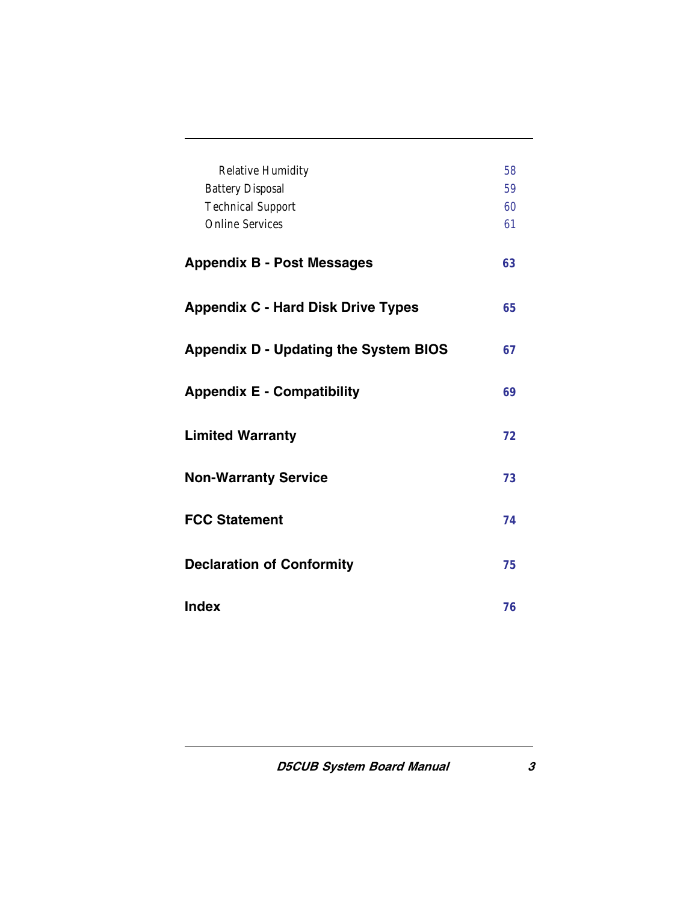| <b>Relative Humidity</b><br><b>Battery Disposal</b><br><b>Technical Support</b><br><b>Online Services</b> | 58<br>59<br>60<br>61 |
|-----------------------------------------------------------------------------------------------------------|----------------------|
| <b>Appendix B - Post Messages</b>                                                                         | 63                   |
| <b>Appendix C - Hard Disk Drive Types</b>                                                                 | 65                   |
| <b>Appendix D - Updating the System BIOS</b>                                                              | 67                   |
| <b>Appendix E - Compatibility</b>                                                                         | 69                   |
| <b>Limited Warranty</b>                                                                                   | 72                   |
| <b>Non-Warranty Service</b>                                                                               | 73                   |
| <b>FCC Statement</b>                                                                                      | 74                   |
| <b>Declaration of Conformity</b>                                                                          | 75                   |
| <b>Index</b>                                                                                              | 76                   |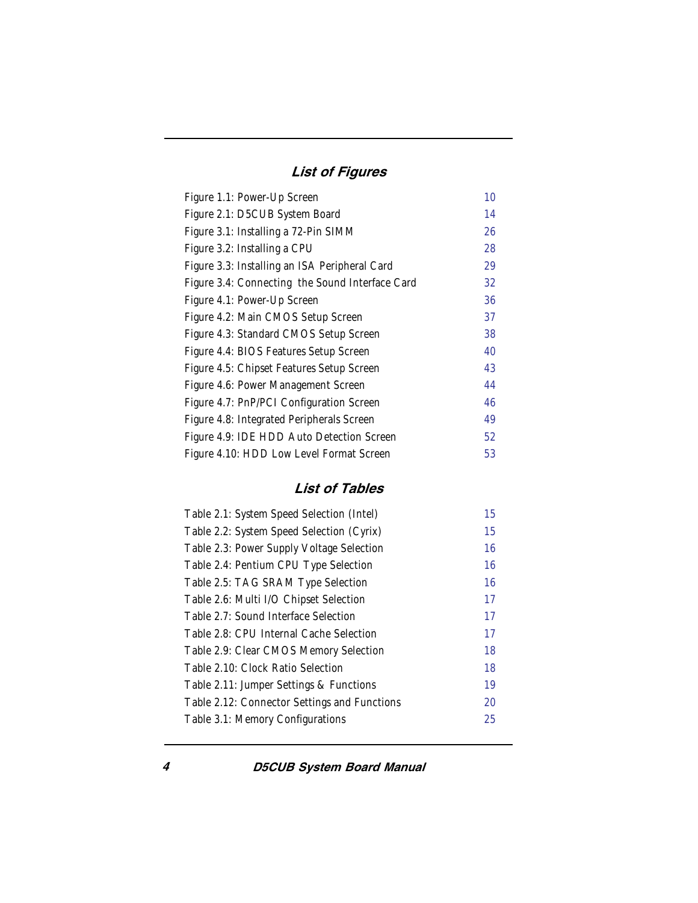### List of Figures

| Figure 1.1: Power-Up Screen                     | 10 |
|-------------------------------------------------|----|
| Figure 2.1: D5CUB System Board                  | 14 |
| Figure 3.1: Installing a 72-Pin SIMM            | 26 |
| Figure 3.2: Installing a CPU                    | 28 |
| Figure 3.3: Installing an ISA Peripheral Card   | 29 |
| Figure 3.4: Connecting the Sound Interface Card | 32 |
| Figure 4.1: Power-Up Screen                     | 36 |
| Figure 4.2: Main CMOS Setup Screen              | 37 |
| Figure 4.3: Standard CMOS Setup Screen          | 38 |
| Figure 4.4: BIOS Features Setup Screen          | 40 |
| Figure 4.5: Chipset Features Setup Screen       | 43 |
| Figure 4.6: Power Management Screen             | 44 |
| Figure 4.7: PnP/PCI Configuration Screen        | 46 |
| Figure 4.8: Integrated Peripherals Screen       | 49 |
| Figure 4.9: IDE HDD Auto Detection Screen       | 52 |
| Figure 4.10: HDD Low Level Format Screen        | 53 |

#### List of Tables

| Table 2.1: System Speed Selection (Intel)    | 15 |
|----------------------------------------------|----|
| Table 2.2: System Speed Selection (Cyrix)    | 15 |
| Table 2.3: Power Supply Voltage Selection    | 16 |
| Table 2.4: Pentium CPU Type Selection        | 16 |
| Table 2.5: TAG SRAM Type Selection           | 16 |
| Table 2.6: Multi I/O Chipset Selection       | 17 |
| Table 2.7: Sound Interface Selection         | 17 |
| Table 2.8: CPU Internal Cache Selection      | 17 |
| Table 2.9: Clear CMOS Memory Selection       | 18 |
| Table 2.10: Clock Ratio Selection            | 18 |
| Table 2.11: Jumper Settings & Functions      | 19 |
| Table 2.12: Connector Settings and Functions | 20 |
| Table 3.1: Memory Configurations             | 25 |
|                                              |    |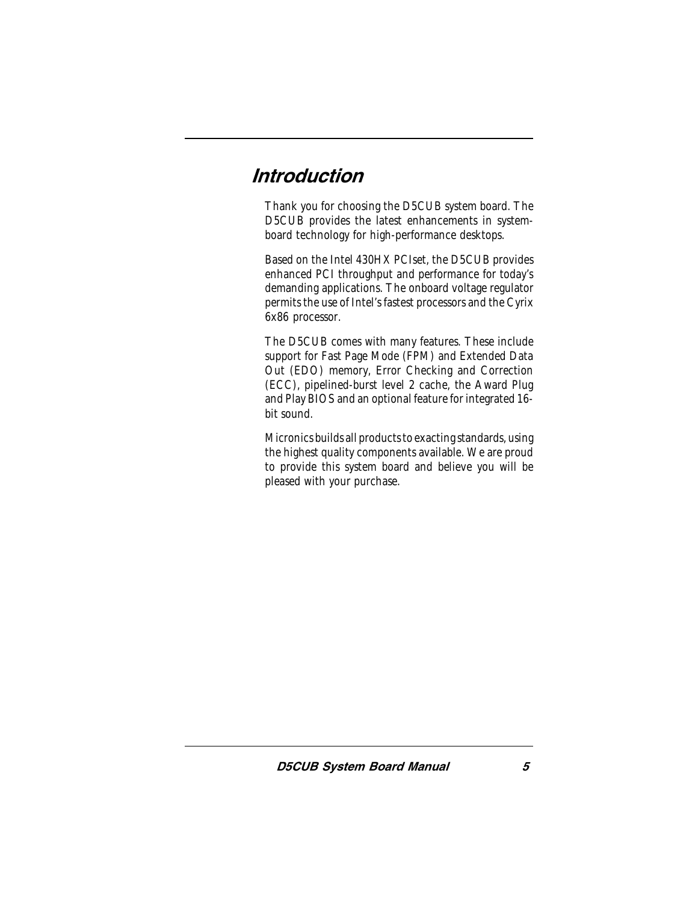# <span id="page-6-0"></span>Introduction

Thank you for choosing the D5CUB system board. The D5CUB provides the latest enhancements in systemboard technology for high-performance desktops.

Based on the Intel 430HX PCIset, the D5CUB provides enhanced PCI throughput and performance for today's demanding applications. The onboard voltage regulator permits the use of Intel's fastest processors and the Cyrix 6x86 processor.

The D5CUB comes with many features. These include support for Fast Page Mode (FPM) and Extended Data Out (EDO) memory, Error Checking and Correction (ECC), pipelined-burst level 2 cache, the Award Plug and Play BIOS and an optional feature for integrated 16 bit sound.

Micronics builds all products to exacting standards, using the highest quality components available. We are proud to provide this system board and believe you will be pleased with your purchase.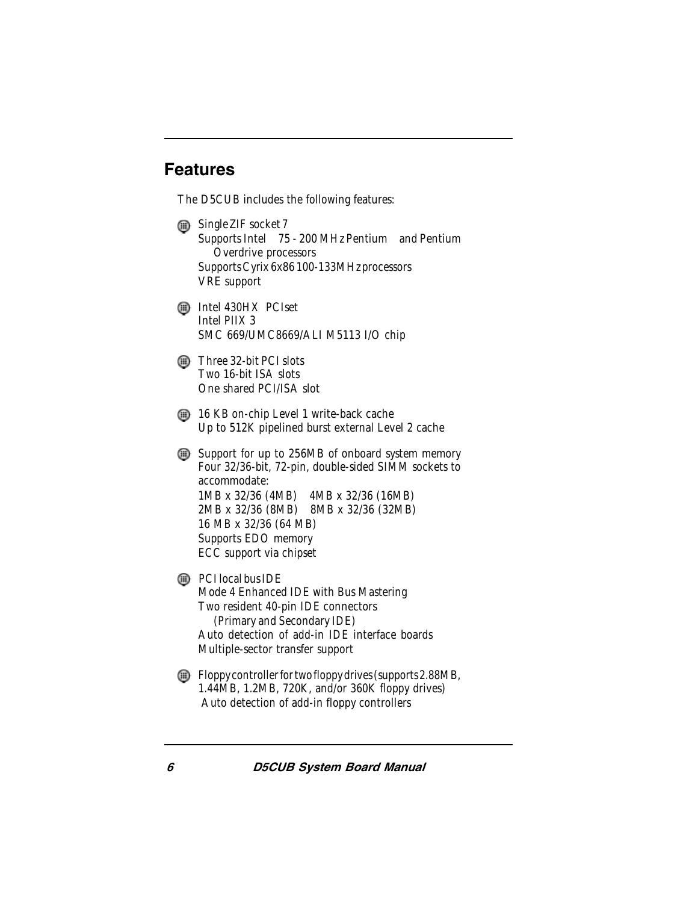## <span id="page-7-0"></span>Features

The D5CUB includes the following features:

 $\mathbf{m}$  Single ZIF socket 7 Supports Intel® 75 - 200 MHz Pentium® and Pentium Overdrive processors Supports Cyrix 6x86 100-133MHz processors VRE support **Intel 430HX PCIset** Intel PIIX 3 SMC 669/UMC8669/ALI M5113 I/O chip  $\mathbb{R}$  Three 32-bit PCI slots Two 16-bit ISA slots One shared PCI/ISA slot  $\Box$  16 KB on-chip Level 1 write-back cache Up to 512K pipelined burst external Level 2 cache Support for up to 256MB of onboard system memory Four 32/36-bit, 72-pin, double-sided SIMM sockets to accommodate: 1MB x 32/36 (4MB) 4MB x 32/36 (16MB) 2MB x 32/36 (8MB) 8MB x 32/36 (32MB) 16 MB x 32/36 (64 MB) Supports EDO memory ECC support via chipset  $\circled{m}$  PCI local bus IDE

Mode 4 Enhanced IDE with Bus Mastering Two resident 40-pin IDE connectors (Primary and Secondary IDE) Auto detection of add-in IDE interface boards Multiple-sector transfer support

Floppy controller for two floppy drives (supports 2.88MB, 1.44MB, 1.2MB, 720K, and/or 360K floppy drives) Auto detection of add-in floppy controllers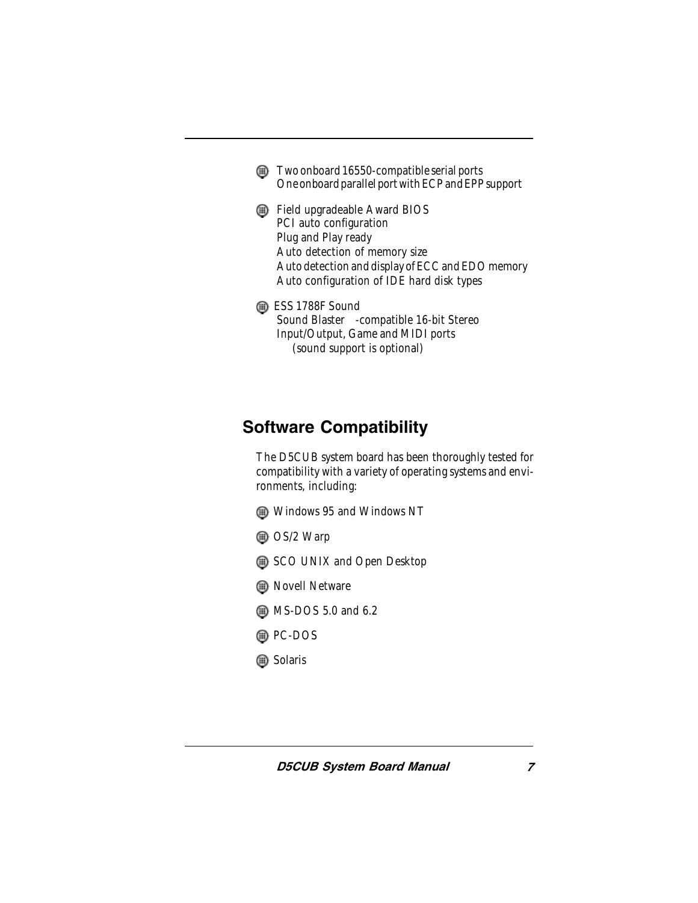- $\binom{1}{x}$  Two onboard 16550-compatible serial ports One onboard parallel port with ECP and EPP support
- Field upgradeable Award BIOS PCI auto configuration Plug and Play ready Auto detection of memory size Auto detection and display of ECC and EDO memory Auto configuration of IDE hard disk types
- <span id="page-8-0"></span> $\circledR$  ESS 1788F Sound Sound Blaster<sup>™</sup>-compatible 16-bit Stereo  $Input/Output$ , Game and MIDI ports (sound support is optional)

# Software Compatibility

The D5CUB system board has been thoroughly tested for compatibility with a variety of operating systems and environments, including:

- Windows 95 and Windows NT
- **A** OS/2 Warp
- SCO UNIX and Open Desktop
- **B** Novell Netware
- $\binom{m}{k}$  MS-DOS 5.0 and 6.2
- PC-DOS
- **B** Solaris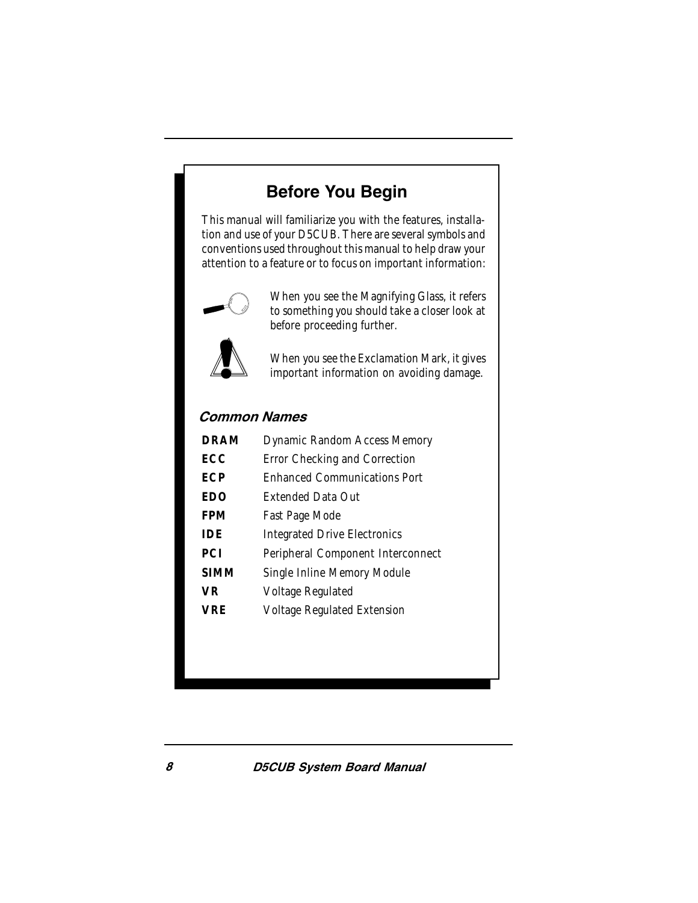# Before You Begin

<span id="page-9-0"></span>This manual will familiarize you with the features, installation and use of your D5CUB. There are several symbols and conventions used throughout this manual to help draw your attention to a feature or to focus on important information:



When you see the Magnifying Glass, it refers to something you should take a closer look at before proceeding further.



When you see the Exclamation Mark, it gives important information on avoiding damage.

#### Common Names

| <b>DRAM</b> | Dynamic Random Access Memory        |
|-------------|-------------------------------------|
| ECC         | Error Checking and Correction       |
| ECP         | <b>Enhanced Communications Port</b> |
| EDO         | <b>Extended Data Out</b>            |
| FPM         | Fast Page Mode                      |
| IDE         | <b>Integrated Drive Electronics</b> |
| PCI         | Peripheral Component Interconnect   |
| SIMM        | Single Inline Memory Module         |
| VR          | Voltage Regulated                   |
| VRE         | <b>Voltage Regulated Extension</b>  |
|             |                                     |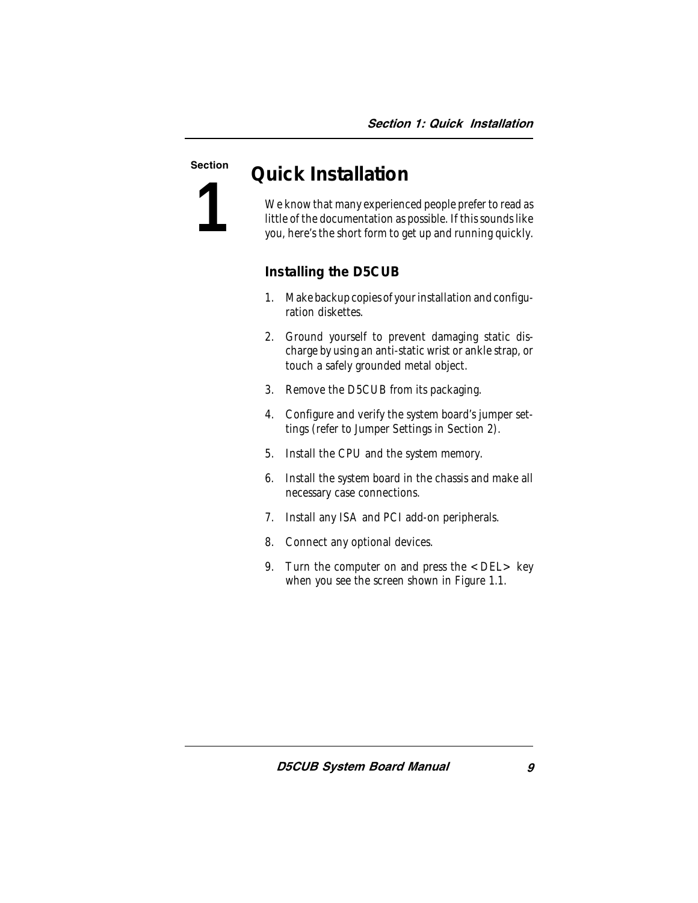**1**

# <span id="page-10-0"></span>Section *Quick Installation*

We know that many experienced people prefer to read as little of the documentation as possible. If this sounds like you, here's the short form to get up and running quickly.

#### **Installing the D5CUB**

- 1. Make backup copies of your installation and configuration diskettes.
- 2. Ground yourself to prevent damaging static discharge by using an anti-static wrist or ankle strap, or touch a safely grounded metal object.
- 3. Remove the D5CUB from its packaging.
- 4. Configure and verify the system board's jumper settings (refer to Jumper Settings in Section 2).
- 5. Install the CPU and the system memory.
- 6. Install the system board in the chassis and make all necessary case connections.
- 7. Install any ISA and PCI add-on peripherals.
- 8. Connect any optional devices.
- 9. Turn the computer on and press the  $\leq$ DEL $>$  key when you see the screen shown in Figure 1.1.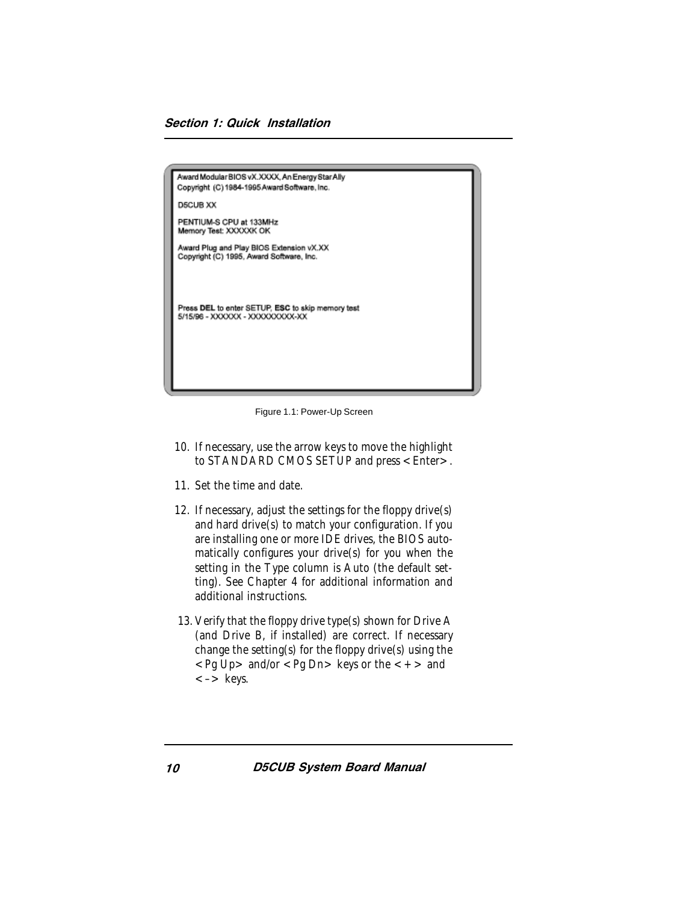<span id="page-11-0"></span>

| Award Modular BIOS vX.XXXX, An Energy Star Ally<br>Copyright (C) 1984-1995 Award Software, Inc. |
|-------------------------------------------------------------------------------------------------|
| <b>D5CUB XX</b>                                                                                 |
| PENTIUM-S CPU at 133MHz<br>Memory Test: XXXXXK OK                                               |
| Award Plug and Play BIOS Extension vX.XX<br>Copyright (C) 1995, Award Software, Inc.            |
| Press DEL to enter SETUP, ESC to skip memory test<br>5/15/96 - XXXXXX - XXXXXXXXXX-XX           |

Figure 1.1: Power-Up Screen

- 10. If necessary, use the arrow keys to move the highlight to STANDARD CMOS SETUP and press <Enter>.
- 11. Set the time and date.
- 12. If necessary, adjust the settings for the floppy drive(s) and hard drive(s) to match your configuration. If you are installing one or more IDE drives, the BIOS automatically configures your drive(s) for you when the setting in the Type column is Auto (the default setting). See Chapter 4 for additional information and additional instructions.
- 13. Verify that the floppy drive type(s) shown for Drive A (and Drive B, if installed) are correct. If necessary change the setting(s) for the floppy drive(s) using the  $\langle$  Pq Up  $>$  and/or  $\langle$  Pq Dn  $>$  keys or the  $\langle + \rangle$  and <–> keys.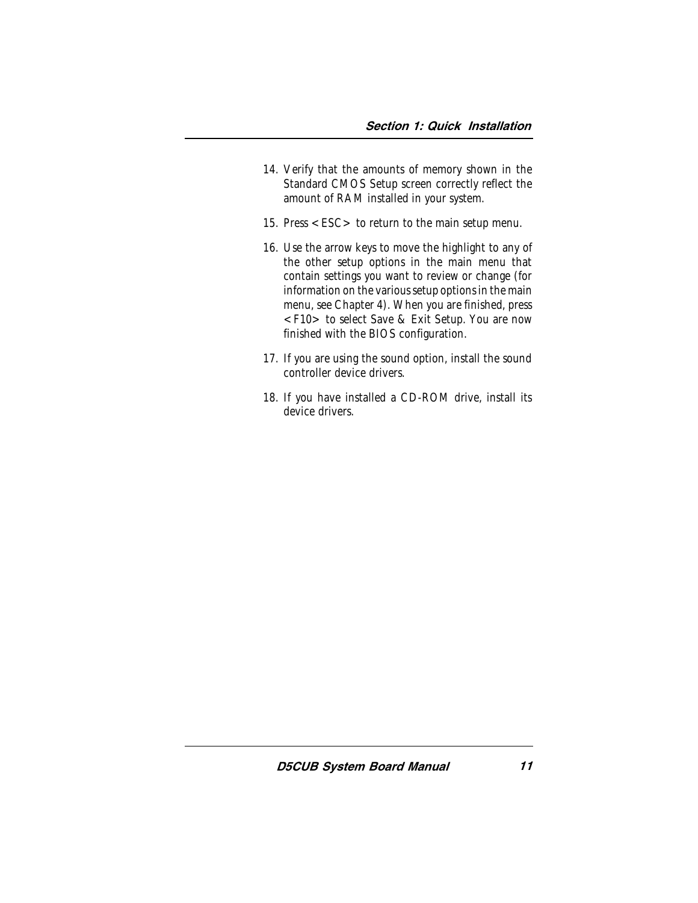- 14. Verify that the amounts of memory shown in the Standard CMOS Setup screen correctly reflect the amount of RAM installed in your system.
- 15. Press <ESC> to return to the main setup menu.
- 16. Use the arrow keys to move the highlight to any of the other setup options in the main menu that contain settings you want to review or change (for information on the various setup options in the main menu, see Chapter 4). When you are finished, press <F10> to select Save & Exit Setup. You are now finished with the BIOS configuration.
- 17. If you are using the sound option, install the sound controller device drivers.
- 18. If you have installed a CD-ROM drive, install its device drivers.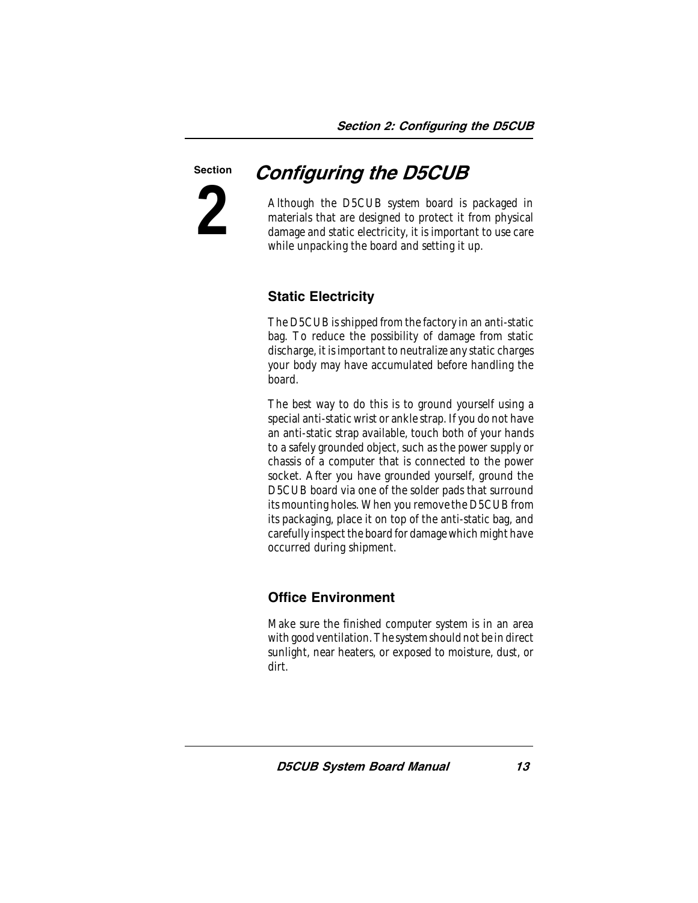# <span id="page-14-1"></span><span id="page-14-0"></span>**2** Section

# Configuring the D5CUB

Although the D5CUB system board is packaged in materials that are designed to protect it from physical damage and static electricity, it is important to use care while unpacking the board and setting it up.

# Static Electricity

The D5CUB is shipped from the factory in an anti-static bag. To reduce the possibility of damage from static discharge, it is important to neutralize any static charges your body may have accumulated before handling the board.

The best way to do this is to ground yourself using a special anti-static wrist or ankle strap. If you do not have an anti-static strap available, touch both of your hands to a safely grounded object, such as the power supply or chassis of a computer that is connected to the power socket. After you have grounded yourself, ground the D5CUB board via one of the solder pads that surround its mounting holes. When you remove the D5CUB from its packaging, place it on top of the anti-static bag, and carefully inspect the board for damage which might have occurred during shipment.

## Office Environment

Make sure the finished computer system is in an area with good ventilation. The system should not be in direct sunlight, near heaters, or exposed to moisture, dust, or dirt.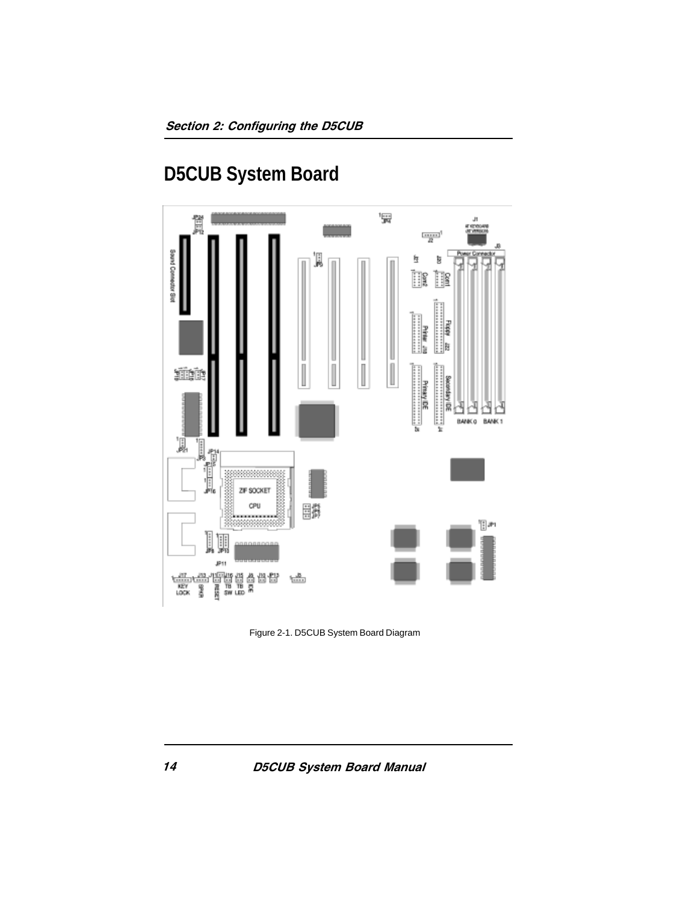**D5CUB System Board**

<span id="page-15-1"></span><span id="page-15-0"></span>

Figure 2-1. D5CUB System Board Diagram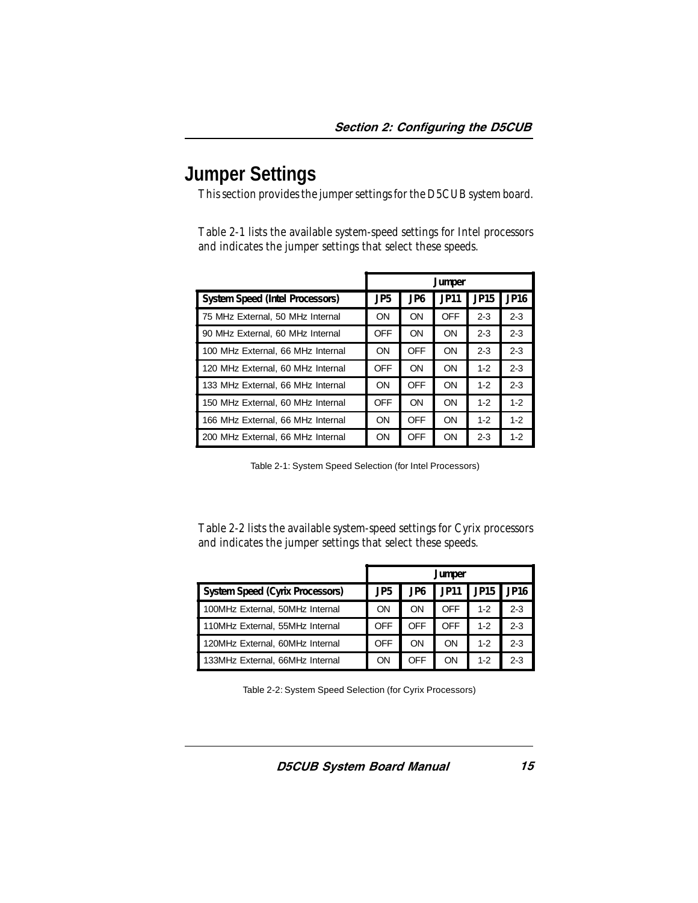# <span id="page-16-1"></span><span id="page-16-0"></span>**Jumper Settings**

This section provides the jumper settings for the D5CUB system board.

Table 2-1 lists the available system-speed settings for Intel processors and indicates the jumper settings that select these speeds.

<span id="page-16-2"></span>

|                                   | <b>Jumper</b>   |                 |             |             |                  |
|-----------------------------------|-----------------|-----------------|-------------|-------------|------------------|
| System Speed (Intel Processors)   | JP <sub>5</sub> | JP <sub>6</sub> | <b>JP11</b> | <b>JP15</b> | JP <sub>16</sub> |
| 75 MHz External, 50 MHz Internal  | ON              | ON              | <b>OFF</b>  | $2 - 3$     | $2 - 3$          |
| 90 MHz External, 60 MHz Internal  | OFF             | ON              | ON          | $2-3$       | $2 - 3$          |
| 100 MHz External, 66 MHz Internal | ON              | <b>OFF</b>      | ON          | $2-3$       | $2 - 3$          |
| 120 MHz External, 60 MHz Internal | <b>OFF</b>      | ON              | ON          | $1 - 2$     | $2 - 3$          |
| 133 MHz External, 66 MHz Internal | ON              | <b>OFF</b>      | ON          | $1-2$       | $2 - 3$          |
| 150 MHz External, 60 MHz Internal | <b>OFF</b>      | ON              | ON          | $1 - 2$     | $1 - 2$          |
| 166 MHz External, 66 MHz Internal | ON              | <b>OFF</b>      | ON          | $1 - 2$     | $1 - 2$          |
| 200 MHz External, 66 MHz Internal | OΝ              | <b>OFF</b>      | ON          | $2-3$       | $1 - 2$          |

Table 2-1: System Speed Selection (for Intel Processors)

Table 2-2 lists the available system-speed settings for Cyrix processors and indicates the jumper settings that select these speeds.

|                                 | Jumper          |     |             |                  |                  |
|---------------------------------|-----------------|-----|-------------|------------------|------------------|
| System Speed (Cyrix Processors) | JP <sub>5</sub> | JP6 | <b>JP11</b> | JP <sub>15</sub> | JP <sub>16</sub> |
| 100MHz External, 50MHz Internal | ON              | ON  | OFF         | $1 - 2$          | $2 - 3$          |
| 110MHz External, 55MHz Internal | <b>OFF</b>      | OFF | OFF         | $1-2$            | $2 - 3$          |
| 120MHz External, 60MHz Internal | <b>OFF</b>      | ON  | ON          | $1 - 2$          | $2 - 3$          |
| 133MHz External, 66MHz Internal | ON              | OFF | ON          | $1 - 2$          | $2-3$            |

Table 2-2: System Speed Selection (for Cyrix Processors)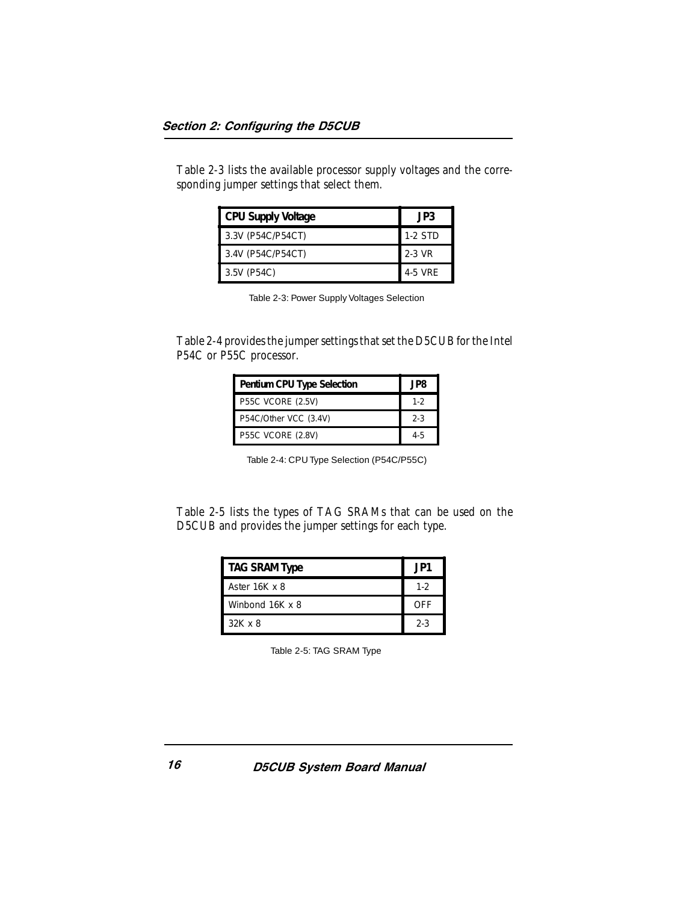<span id="page-17-0"></span>Table 2-3 lists the available processor supply voltages and the corresponding jumper settings that select them.

| <b>CPU Supply Voltage</b> | JP3     |
|---------------------------|---------|
| 3.3V (P54C/P54CT)         | 1-2 STD |
| 3.4V (P54C/P54CT)         | 2-3 VR  |
| 3.5V (P54C)               | 4-5 VRE |

Table 2-3: Power Supply Voltages Selection

<span id="page-17-1"></span>Table 2-4 provides the jumper settings that set the D5CUB for the Intel P54C or P55C processor.

| Pentium CPU Type Selection | JP8.    |
|----------------------------|---------|
| <b>P55C VCORE (2.5V)</b>   | $1 - 2$ |
| P54C/Other VCC (3.4V)      | $2-3$   |
| P55C VCORE (2.8V)          | $4 - 5$ |

Table 2-4: CPU Type Selection (P54C/P55C)

Table 2-5 lists the types of TAG SRAMs that can be used on the D5CUB and provides the jumper settings for each type.

| <b>TAG SRAM Type</b> | .JP1  |
|----------------------|-------|
| Aster 16K x 8        | $1-2$ |
| Winbond 16K x 8      | OFF   |
| $32K \times 8$       | $2-3$ |

Table 2-5: TAG SRAM Type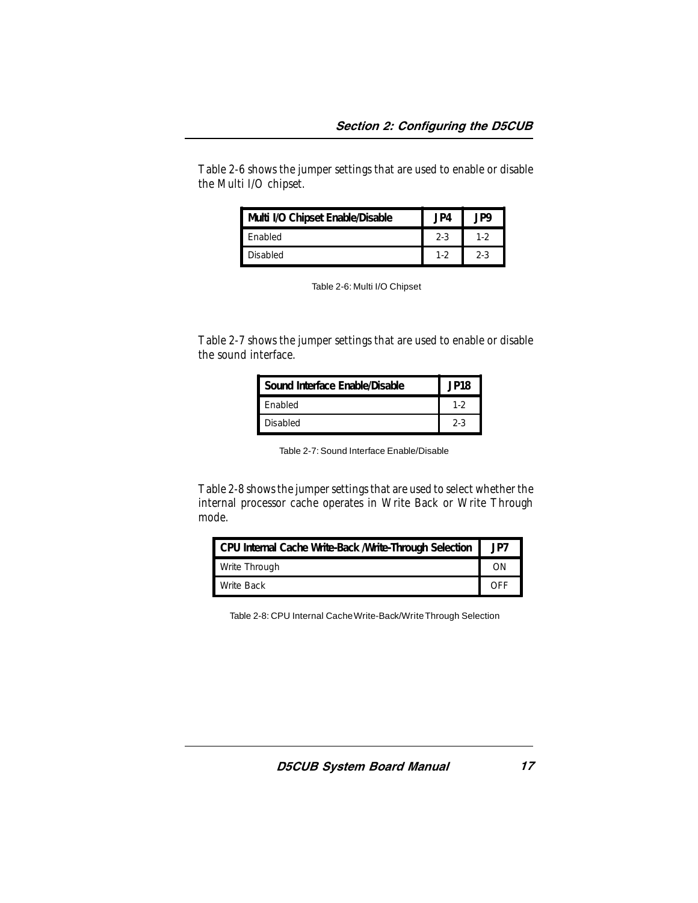<span id="page-18-0"></span>Table 2-6 shows the jumper settings that are used to enable or disable the Multi I/O chipset.

| Multi I/O Chipset Enable/Disable | . JP4 |       |
|----------------------------------|-------|-------|
| Enabled                          | $2-3$ |       |
| Disabled                         | $1-2$ | $2-3$ |

| Table 2-6: Multi I/O Chipset |  |
|------------------------------|--|
|------------------------------|--|

<span id="page-18-1"></span>Table 2-7 shows the jumper settings that are used to enable or disable the sound interface.

| Sound Interface Enable/Disable | <b>JP18</b> |
|--------------------------------|-------------|
| <b>Fnabled</b>                 | $1-2$       |
| <b>Disabled</b>                | $2-3$       |

Table 2-7: Sound Interface Enable/Disable

Table 2-8 shows the jumper settings that are used to select whether the internal processor cache operates in Write Back or Write Through mode.

| CPU Internal Cache Write-Back / Write-Through Selection |     |
|---------------------------------------------------------|-----|
| Write Through                                           |     |
| Write Back                                              | OFF |

Table 2-8: CPU Internal Cache Write-Back/Write Through Selection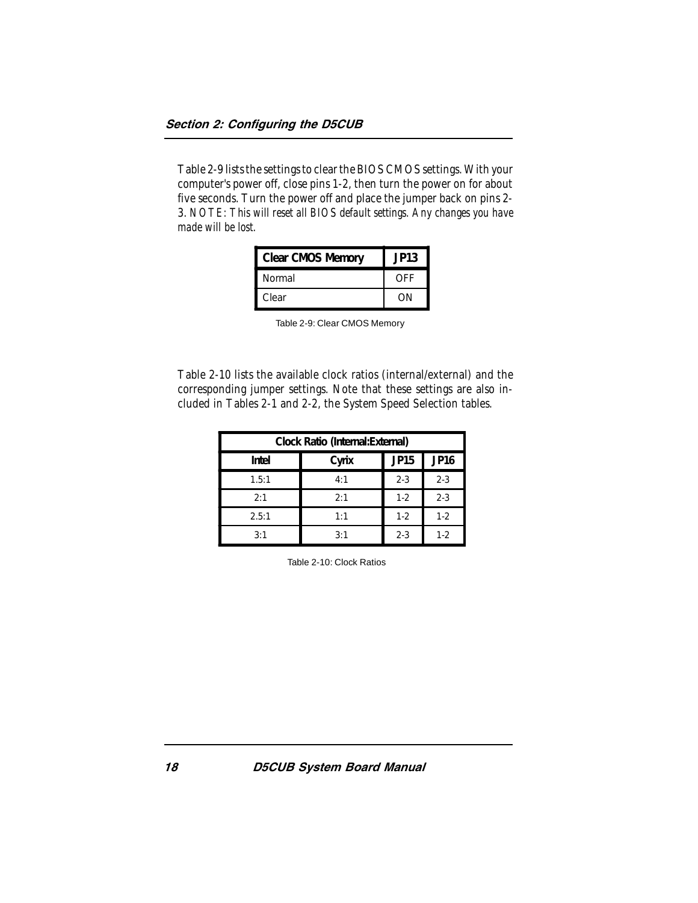<span id="page-19-0"></span>Table 2-9 lists the settings to clear the BIOS CMOS settings. With your computer's power off, close pins 1-2, then turn the power on for about five seconds. Turn the power off and place the jumper back on pins 2- 3. *NOTE: This will reset all BIOS default settings. Any changes you have made will be lost.*

| Clear CMOS Memory | JP13 |
|-------------------|------|
| Normal            | OFF  |
| Clear             | ωN   |

| Table 2-9: Clear CMOS Memory |
|------------------------------|
|------------------------------|

Table 2-10 lists the available clock ratios (internal/external) and the corresponding jumper settings. Note that these settings are also included in Tables 2-1 and 2-2, the System Speed Selection tables.

| Clock Ratio (Internal: External) |       |         |                  |
|----------------------------------|-------|---------|------------------|
| Intel                            | Cyrix | JP15    | JP <sub>16</sub> |
| 1.5:1                            | 4:1   | $2 - 3$ | $2 - 3$          |
| 2:1                              | 2:1   | $1 - 2$ | $2 - 3$          |
| 2.5:1                            | 1:1   | $1 - 2$ | $1 - 2$          |
| 3:1                              | 3:1   | $2 - 3$ | $1-2$            |

Table 2-10: Clock Ratios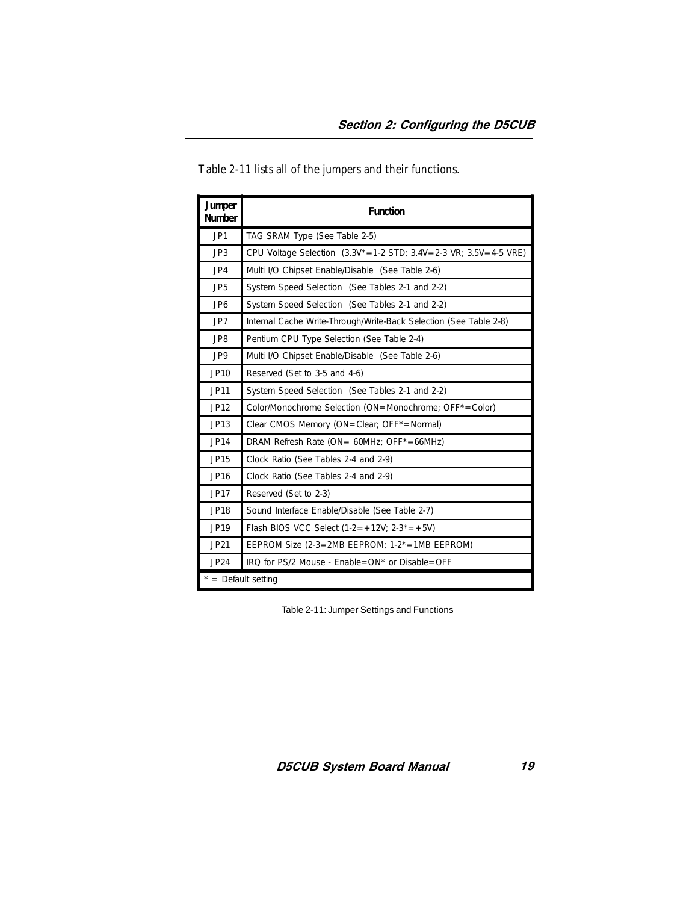| <b>Jumper</b><br>Number | <b>Function</b>                                                               |
|-------------------------|-------------------------------------------------------------------------------|
| JP1                     | TAG SRAM Type (See Table 2-5)                                                 |
| JP3                     | CPU Voltage Selection $(3.3V^* = 1.2$ STD; $3.4V = 2.3$ VR; $3.5V = 4.5$ VRE) |
| JP4                     | Multi I/O Chipset Enable/Disable (See Table 2-6)                              |
| JP <sub>5</sub>         | System Speed Selection (See Tables 2-1 and 2-2)                               |
| JP <sub>6</sub>         | System Speed Selection (See Tables 2-1 and 2-2)                               |
| JP7                     | Internal Cache Write-Through/Write-Back Selection (See Table 2-8)             |
| JP8                     | Pentium CPU Type Selection (See Table 2-4)                                    |
| JP9                     | Multi I/O Chipset Enable/Disable (See Table 2-6)                              |
| JP10                    | Reserved (Set to 3-5 and 4-6)                                                 |
| <b>JP11</b>             | System Speed Selection (See Tables 2-1 and 2-2)                               |
| JP12                    | Color/Monochrome Selection (ON=Monochrome; OFF*=Color)                        |
| JP13                    | Clear CMOS Memory (ON=Clear: OFF*=Normal)                                     |
| JP14                    | DRAM Refresh Rate (ON= 60MHz; OFF*=66MHz)                                     |
| JP15                    | Clock Ratio (See Tables 2-4 and 2-9)                                          |
| JP16                    | Clock Ratio (See Tables 2-4 and 2-9)                                          |
| <b>JP17</b>             | Reserved (Set to 2-3)                                                         |
| <b>JP18</b>             | Sound Interface Enable/Disable (See Table 2-7)                                |
| JP19                    | Flash BIOS VCC Select $(1-2=+12V; 2-3^* = +5V)$                               |
| <b>JP21</b>             | EEPROM Size (2-3=2MB EEPROM; $1-2^*$ =1MB EEPROM)                             |
| JP24                    | IRQ for PS/2 Mouse - Enable=ON* or Disable=OFF                                |
| $*$ = Default setting   |                                                                               |

<span id="page-20-0"></span>Table 2-11 lists all of the jumpers and their functions.

Table 2-11: Jumper Settings and Functions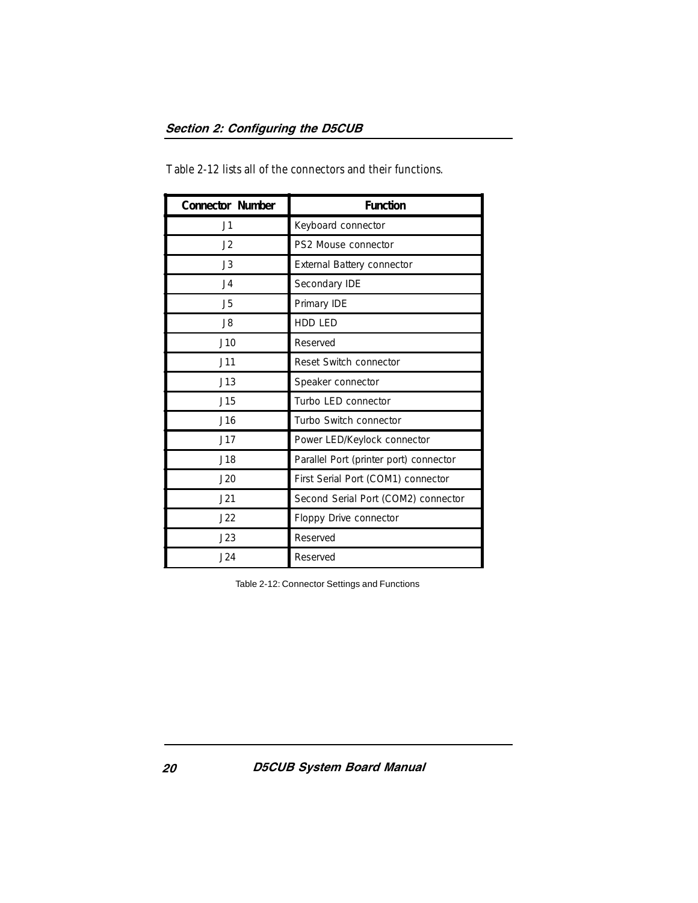| Connector Number | <b>Function</b>                        |
|------------------|----------------------------------------|
| J1               | Keyboard connector                     |
| J2               | PS2 Mouse connector                    |
| J3               | External Battery connector             |
| J <sub>4</sub>   | Secondary IDE                          |
| J5               | Primary IDE                            |
| J8               | <b>HDD LED</b>                         |
| J10              | Reserved                               |
| J11              | Reset Switch connector                 |
| J13              | Speaker connector                      |
| J15              | Turbo LED connector                    |
| J16              | Turbo Switch connector                 |
| J17              | Power LED/Keylock connector            |
| J18              | Parallel Port (printer port) connector |
| J20              | First Serial Port (COM1) connector     |
| J21              | Second Serial Port (COM2) connector    |
| J22              | Floppy Drive connector                 |
| J23              | Reserved                               |
| J24              | Reserved                               |

<span id="page-21-0"></span>Table 2-12 lists all of the connectors and their functions.

Table 2-12: Connector Settings and Functions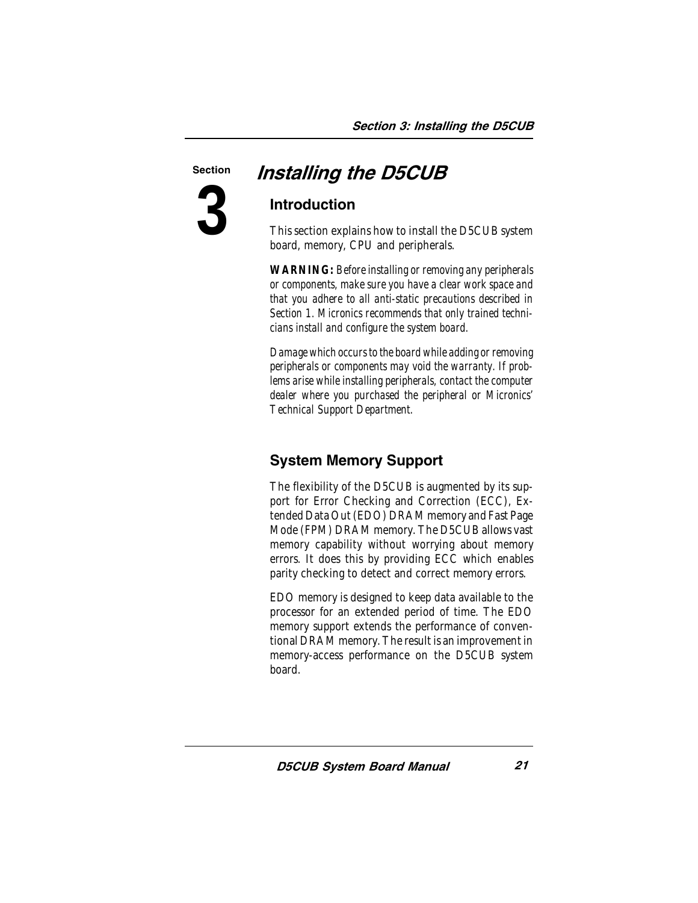<span id="page-22-1"></span>

# <span id="page-22-0"></span>Section **Installing the D5CUB**

### Introduction

This section explains how to install the D5CUB system board, memory, CPU and peripherals.

*WARNING: Before installing or removing any peripherals or components, make sure you have a clear work space and that you adhere to all anti-static precautions described in Section 1. Micronics recommends that only trained technicians install and configure the system board.*

*Damage which occurs to the board while adding or removing peripherals or components may void the warranty. If problems arise while installing peripherals, contact the computer dealer where you purchased the peripheral or Micronics' Technical Support Department.*

# System Memory Support

The flexibility of the D5CUB is augmented by its support for Error Checking and Correction (ECC), Extended Data Out (EDO) DRAM memory and Fast Page Mode (FPM) DRAM memory. The D5CUB allows vast memory capability without worrying about memory errors. It does this by providing ECC which enables parity checking to detect and correct memory errors.

EDO memory is designed to keep data available to the processor for an extended period of time. The EDO memory support extends the performance of conventional DRAM memory. The result is an improvement in memory-access performance on the D5CUB system board.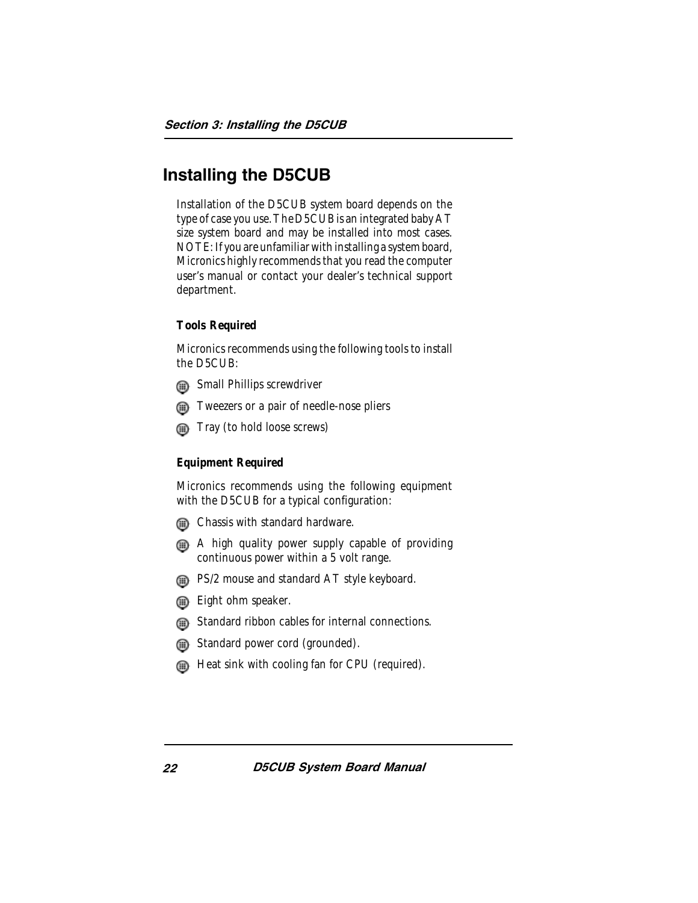# <span id="page-23-0"></span>Installing the D5CUB

Installation of the D5CUB system board depends on the type of case you use. The D5CUB is an integrated baby AT size system board and may be installed into most cases. NOTE: If you are unfamiliar with installing a system board, Micronics highly recommends that you read the computer user's manual or contact your dealer's technical support department.

#### <span id="page-23-1"></span>**Tools Required**

Micronics recommends using the following tools to install the D5CUB:

- **ships** Small Phillips screwdriver
- **The Tweezers or a pair of needle-nose pliers**
- **Tray (to hold loose screws)**

#### **Equipment Required**

Micronics recommends using the following equipment with the D5CUB for a typical configuration:

- **Chassis with standard hardware.**
- A high quality power supply capable of providing continuous power within a 5 volt range.
- **B** PS/2 mouse and standard AT style keyboard.
- **Eight ohm speaker.**
- **G** Standard ribbon cables for internal connections.
- Standard power cord (grounded).
- **EXECU** Heat sink with cooling fan for CPU (required).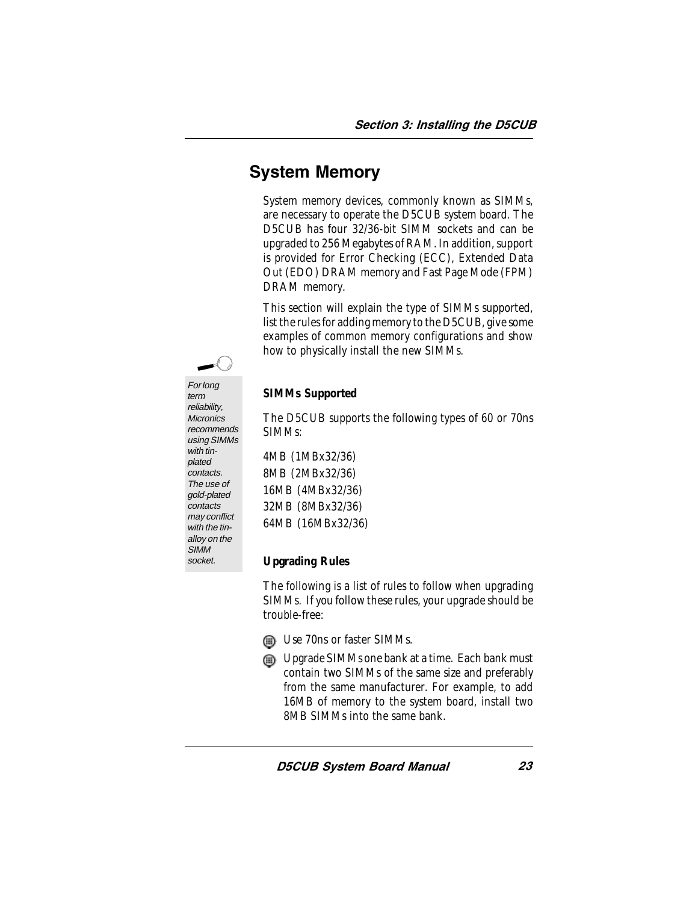# <span id="page-24-0"></span>System Memory

System memory devices, commonly known as SIMMs, are necessary to operate the D5CUB system board. The D5CUB has four 32/36-bit SIMM sockets and can be upgraded to 256 Megabytes of RAM. In addition, support is provided for Error Checking (ECC), Extended Data Out (EDO) DRAM memory and Fast Page Mode (FPM) DRAM memory.

This section will explain the type of SIMMs supported, list the rules for adding memory to the D5CUB, give some examples of common memory configurations and show how to physically install the new SIMMs.

<span id="page-24-1"></span>

For long term reliability, **Micronics** recommends using SIMMs with tinplated contacts. The use of gold-plated contacts may conflict with the tinalloy on the **SIMM** socket.

#### **SIMMs Supported**

The D5CUB supports the following types of 60 or 70ns SIMMs:

4MB (1MBx32/36) 8MB (2MBx32/36) 16MB (4MBx32/36) 32MB (8MBx32/36) 64MB (16MBx32/36)

#### **Upgrading Rules**

The following is a list of rules to follow when upgrading SIMMs. If you follow these rules, your upgrade should be trouble-free:

- **s** Use 70ns or faster SIMMs.
- **EXALUPTER CILCENS** ONE bank at a time. Each bank must contain two SIMMs of the same size and preferably from the same manufacturer. For example, to add 16MB of memory to the system board, install two 8MB SIMMs into the same bank.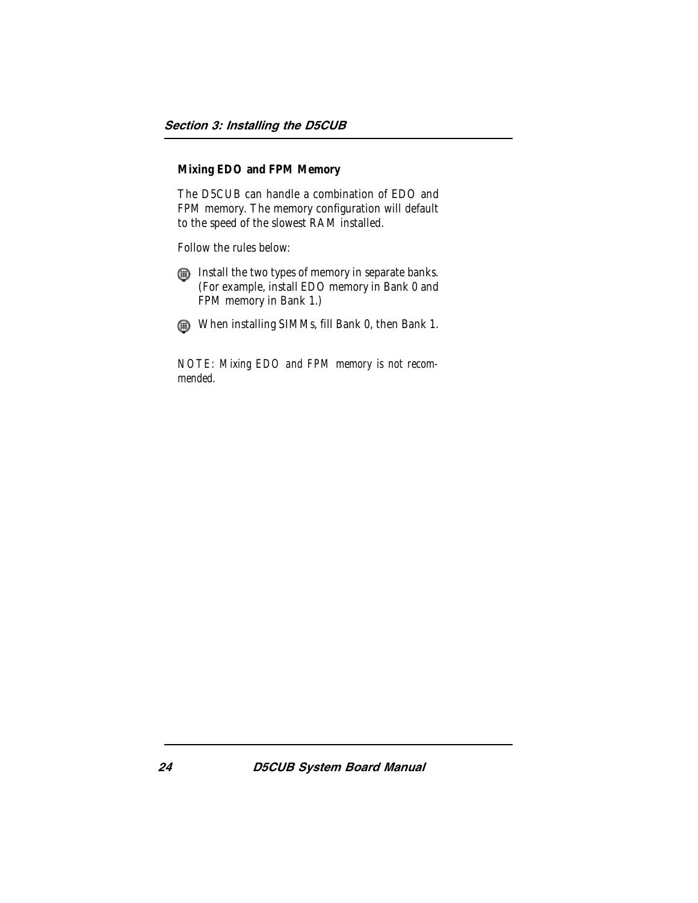#### <span id="page-25-0"></span>**Mixing EDO and FPM Memory**

The D5CUB can handle a combination of EDO and FPM memory. The memory configuration will default to the speed of the slowest RAM installed.

Follow the rules below:

Install the two types of memory in separate banks. (For example, install EDO memory in Bank 0 and FPM memory in Bank 1.)

When installing SIMMs, fill Bank 0, then Bank 1.

*NOTE: Mixing EDO and FPM memory is not recommended.*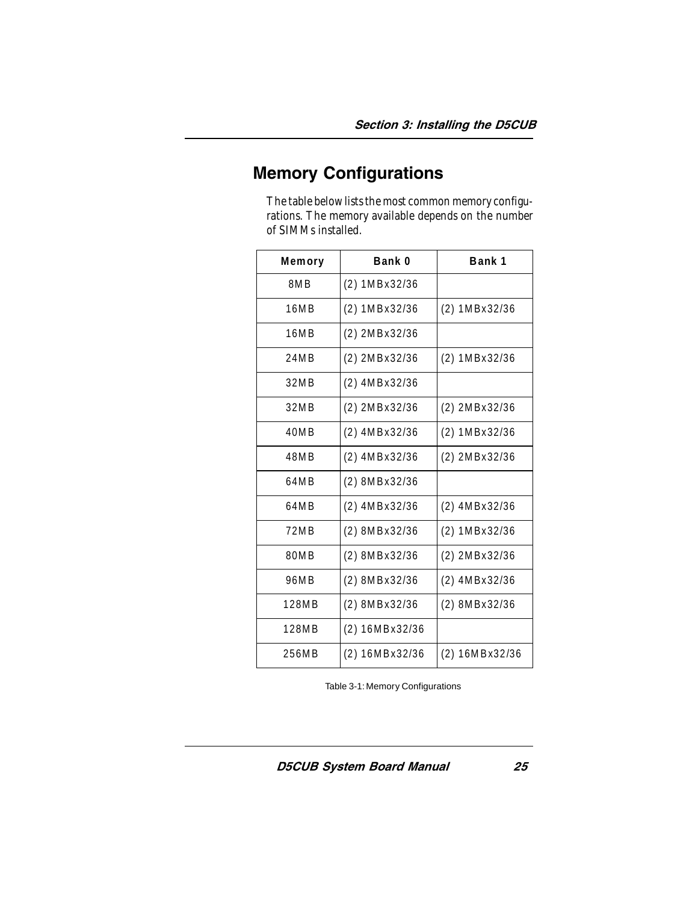# <span id="page-26-1"></span><span id="page-26-0"></span>Memory Configurations

The table below lists the most common memory configurations. The memory available depends on the number of SIMMs installed.

| Memory | Bank 0              | Bank 1          |
|--------|---------------------|-----------------|
| 8MB    | (2) 1MBx32/36       |                 |
| 16MB   | (2) 1MBx32/36       | (2) 1MBx32/36   |
| 16MB   | $(2)$ 2MB $x$ 32/36 |                 |
| 24MB   | $(2)$ 2MBx32/36     | (2) 1MBx32/36   |
| 32MB   | (2) 4MBx32/36       |                 |
| 32MB   | $(2)$ 2MBx32/36     | (2) 2MBx32/36   |
| 40MB   | $(2)$ 4MBx32/36     | (2) 1MBx32/36   |
| 48MB   | $(2)$ 4MBx32/36     | (2) 2MBx32/36   |
| 64MB   | (2) 8MBx32/36       |                 |
| 64MB   | $(2)$ 4MBx32/36     | $(2)$ 4MBx32/36 |
| 72MB   | (2) 8MBx32/36       | (2) 1MBx32/36   |
| 80MB   | (2) 8MBx32/36       | (2) 2MBx32/36   |
| 96MB   | (2) 8MBx32/36       | (2) 4MBx32/36   |
| 128MB  | (2) 8MBx32/36       | (2) 8MBx32/36   |
| 128MB  | $(2)$ 16MBx32/36    |                 |
| 256MB  | $(2)$ 16MBx32/36    | (2) 16MBx32/36  |

Table 3-1: Memory Configurations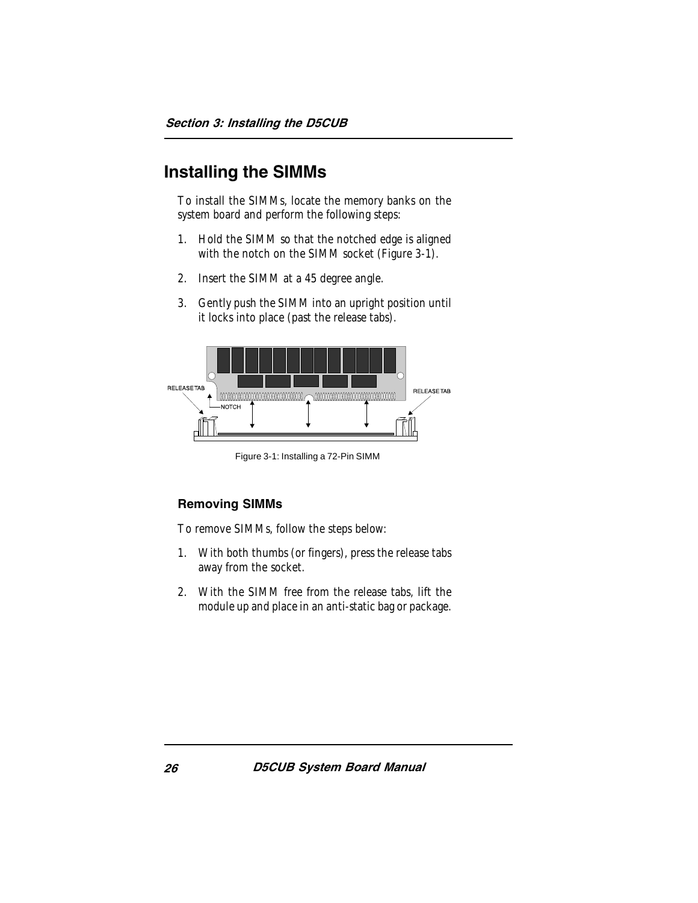# <span id="page-27-1"></span><span id="page-27-0"></span>Installing the SIMMs

To install the SIMMs, locate the memory banks on the system board and perform the following steps:

- 1. Hold the SIMM so that the notched edge is aligned with the notch on the SIMM socket (Figure 3-1).
- 2. Insert the SIMM at a 45 degree angle.
- 3. Gently push the SIMM into an upright position until it locks into place (past the release tabs).



Figure 3-1: Installing a 72-Pin SIMM

#### Removing SIMMs

To remove SIMMs, follow the steps below:

- 1. With both thumbs (or fingers), press the release tabs away from the socket.
- 2. With the SIMM free from the release tabs, lift the module up and place in an anti-static bag or package.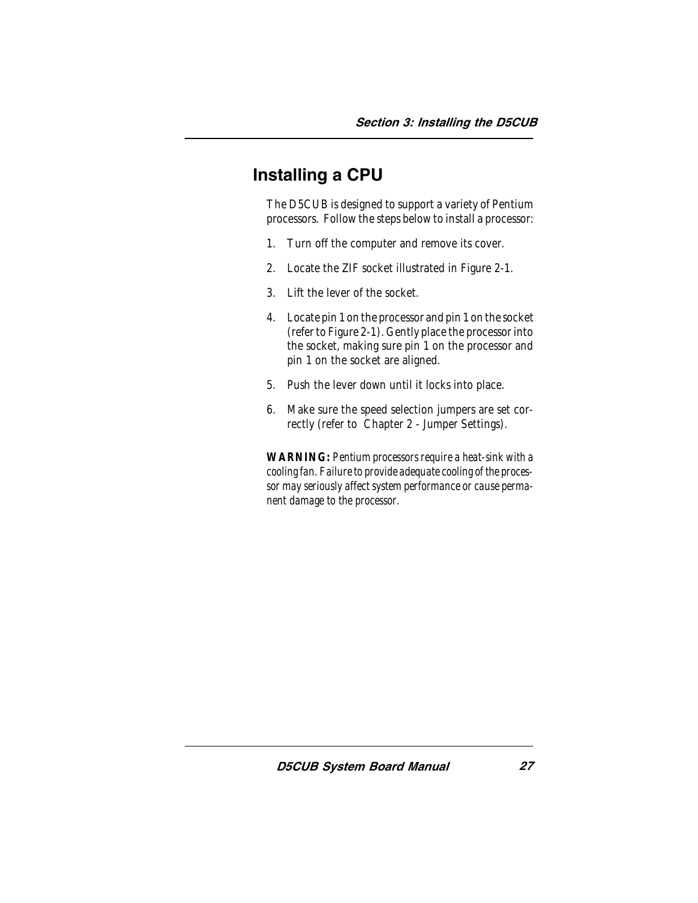# <span id="page-28-0"></span>Installing a CPU

The D5CUB is designed to support a variety of Pentium processors. Follow the steps below to install a processor:

- 1. Turn off the computer and remove its cover.
- 2. Locate the ZIF socket illustrated in Figure 2-1.
- 3. Lift the lever of the socket.
- 4. Locate pin 1 on the processor and pin 1 on the socket (refer to Figure 2-1). Gently place the processor into the socket, making sure pin 1 on the processor and pin 1 on the socket are aligned.
- 5. Push the lever down until it locks into place.
- 6. Make sure the speed selection jumpers are set correctly (refer to Chapter 2 - Jumper Settings).

*WARNING: Pentium processors require a heat-sink with a cooling fan. Failure to provide adequate cooling of the processor may seriously affect system performance or cause permanent damage to the processor.*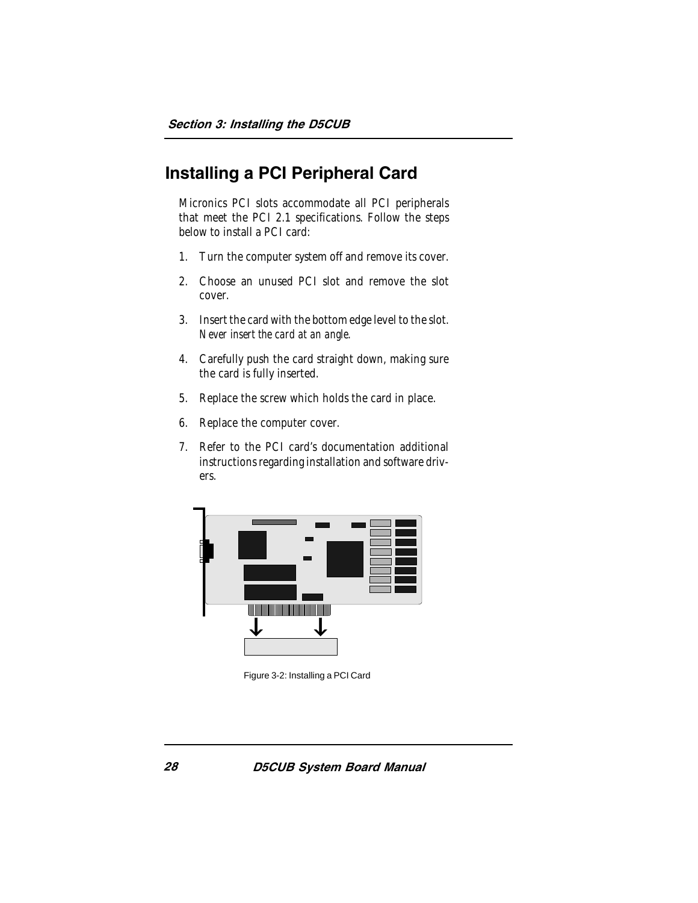# <span id="page-29-0"></span>Installing a PCI Peripheral Card

Micronics PCI slots accommodate all PCI peripherals that meet the PCI 2.1 specifications. Follow the steps below to install a PCI card:

- 1. Turn the computer system off and remove its cover.
- 2. Choose an unused PCI slot and remove the slot cover.
- 3. Insert the card with the bottom edge level to the slot. *Never insert the card at an angle.*
- 4. Carefully push the card straight down, making sure the card is fully inserted.
- 5. Replace the screw which holds the card in place.
- 6. Replace the computer cover.
- 7. Refer to the PCI card's documentation additional instructions regarding installation and software drivers.



Figure 3-2: Installing a PCI Card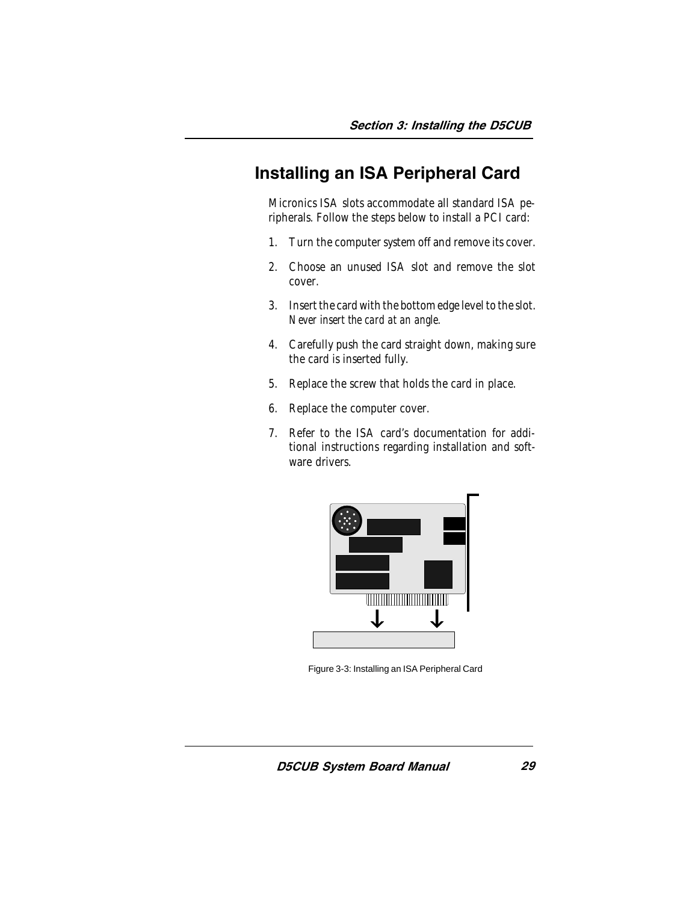# <span id="page-30-1"></span><span id="page-30-0"></span>Installing an ISA Peripheral Card

Micronics ISA slots accommodate all standard ISA peripherals. Follow the steps below to install a PCI card:

- 1. Turn the computer system off and remove its cover.
- 2. Choose an unused ISA slot and remove the slot cover.
- 3. Insert the card with the bottom edge level to the slot. *Never insert the card at an angle.*
- 4. Carefully push the card straight down, making sure the card is inserted fully.
- 5. Replace the screw that holds the card in place.
- 6. Replace the computer cover.
- 7. Refer to the ISA card's documentation for additional instructions regarding installation and software drivers.



Figure 3-3: Installing an ISA Peripheral Card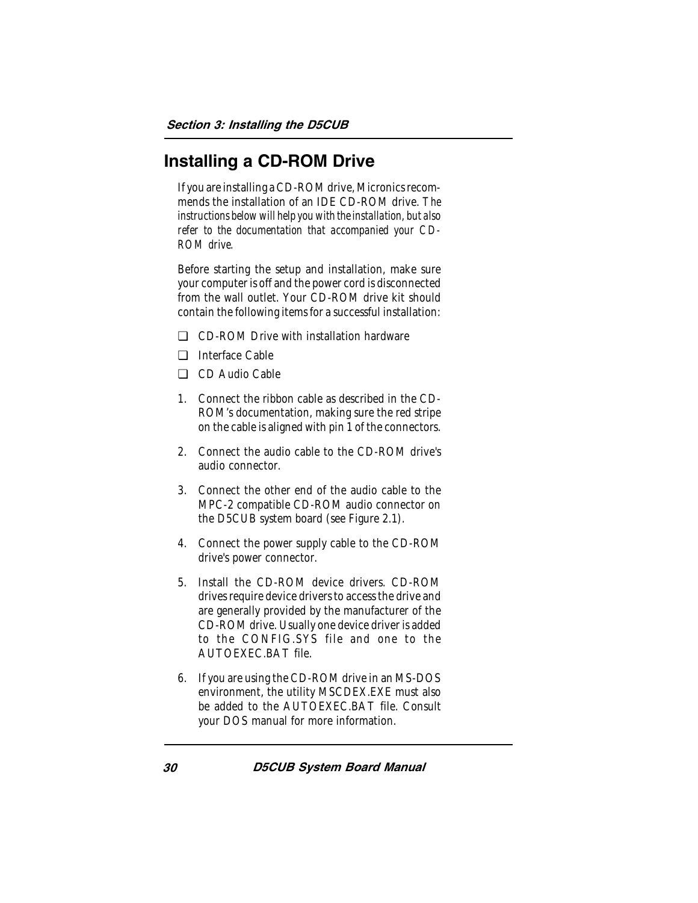# <span id="page-31-0"></span>Installing a CD-ROM Drive

If you are installing a CD-ROM drive, Micronics recommends the installation of an IDE CD-ROM drive. *The instructions below will help you with the installation, but also refer to the documentation that accompanied your CD-ROM drive.*

Before starting the setup and installation, make sure your computer is off and the power cord is disconnected from the wall outlet. Your CD-ROM drive kit should contain the following items for a successful installation:

- ❏ CD-ROM Drive with installation hardware
- ❏ Interface Cable
- ❏ CD Audio Cable
- 1. Connect the ribbon cable as described in the CD-ROM's documentation, making sure the red stripe on the cable is aligned with pin 1 of the connectors.
- 2. Connect the audio cable to the CD-ROM drive's audio connector.
- 3. Connect the other end of the audio cable to the MPC-2 compatible CD-ROM audio connector on the D5CUB system board (see Figure 2.1).
- 4. Connect the power supply cable to the CD-ROM drive's power connector.
- 5. Install the CD-ROM device drivers. CD-ROM drives require device drivers to access the drive and are generally provided by the manufacturer of the CD-ROM drive. Usually one device driver is added to the CONFIG.SYS file and one to the AUTOEXEC.BAT file.
- 6. If you are using the CD-ROM drive in an MS-DOS environment, the utility MSCDEX.EXE must also be added to the AUTOEXEC.BAT file. Consult your DOS manual for more information.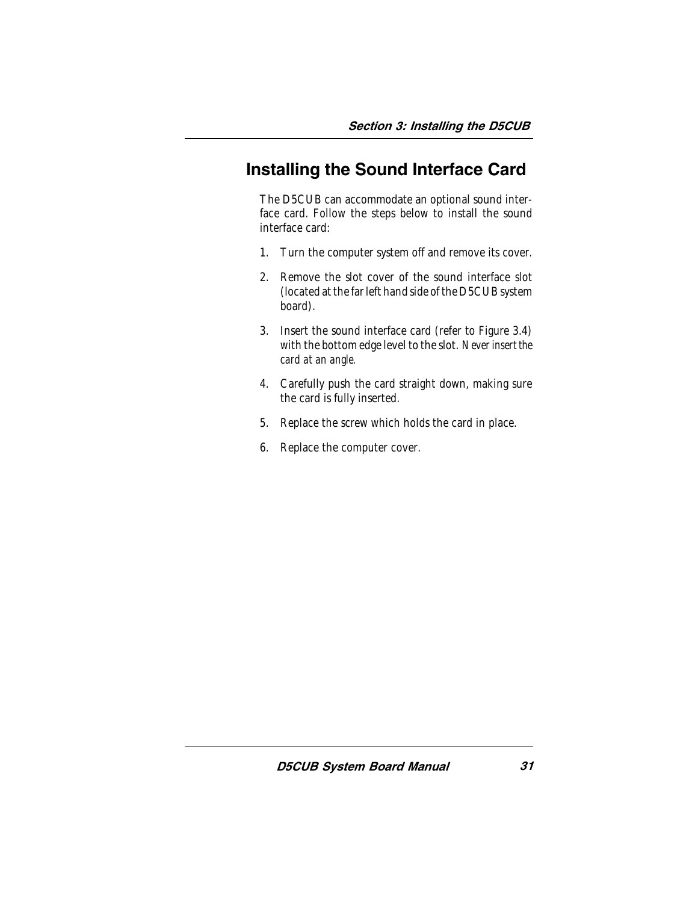# <span id="page-32-0"></span>Installing the Sound Interface Card

The D5CUB can accommodate an optional sound interface card. Follow the steps below to install the sound interface card:

- 1. Turn the computer system off and remove its cover.
- 2. Remove the slot cover of the sound interface slot (located at the far left hand side of the D5CUB system board).
- 3. Insert the sound interface card (refer to Figure 3.4) with the bottom edge level to the slot. *Never insert the card at an angle.*
- 4. Carefully push the card straight down, making sure the card is fully inserted.
- 5. Replace the screw which holds the card in place.
- 6. Replace the computer cover.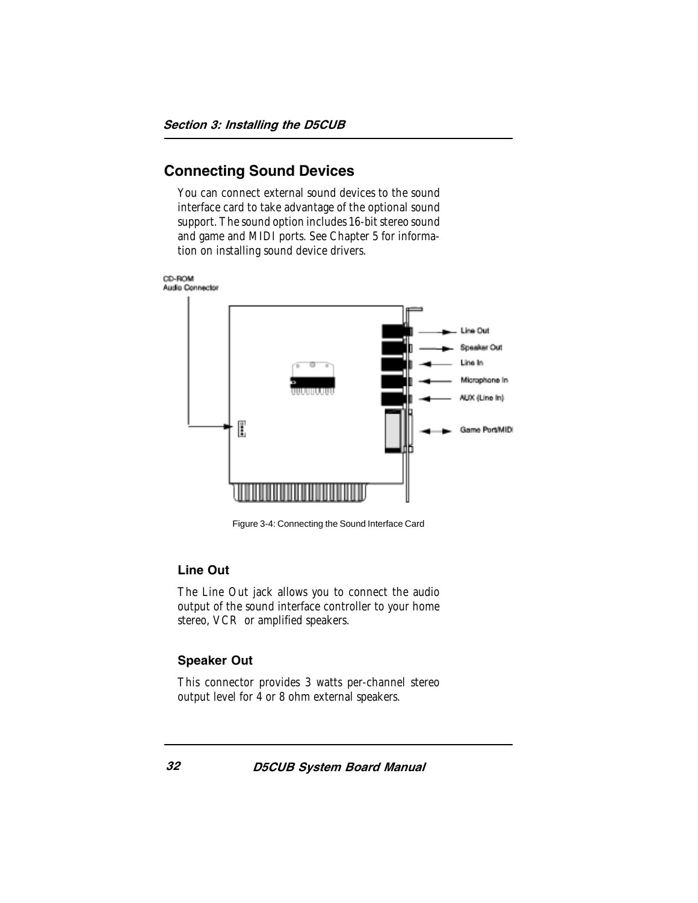#### <span id="page-33-1"></span><span id="page-33-0"></span>Connecting Sound Devices

You can connect external sound devices to the sound interface card to take advantage of the optional sound support. The sound option includes 16-bit stereo sound and game and MIDI ports. See Chapter 5 for information on installing sound device drivers.



Figure 3-4: Connecting the Sound Interface Card

#### Line Out

The Line Out jack allows you to connect the audio output of the sound interface controller to your home stereo, VCR or amplified speakers.

#### Speaker Out

This connector provides 3 watts per-channel stereo output level for 4 or 8 ohm external speakers.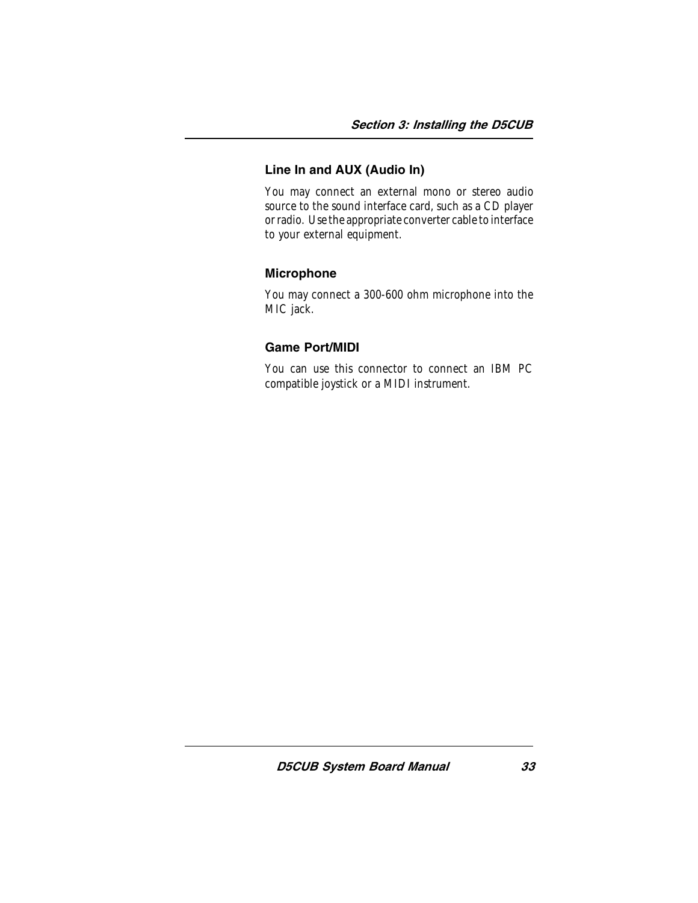#### Line In and AUX (Audio In)

You may connect an external mono or stereo audio source to the sound interface card, such as a CD player or radio. Use the appropriate converter cable to interface to your external equipment.

#### Microphone

You may connect a 300-600 ohm microphone into the MIC jack.

#### Game Port/MIDI

You can use this connector to connect an IBM PC compatible joystick or a MIDI instrument.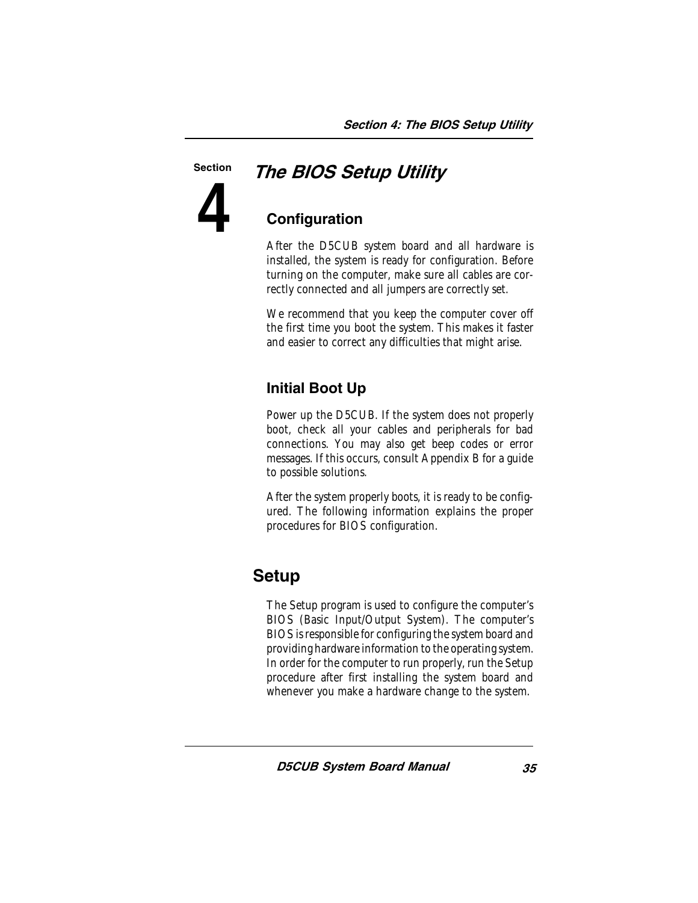#### Section

**4**

# The BIOS Setup Utility

### **Configuration**

After the D5CUB system board and all hardware is installed, the system is ready for configuration. Before turning on the computer, make sure all cables are correctly connected and all jumpers are correctly set.

We recommend that you keep the computer cover off the first time you boot the system. This makes it faster and easier to correct any difficulties that might arise.

### Initial Boot Up

Power up the D5CUB. If the system does not properly boot, check all your cables and peripherals for bad connections. You may also get beep codes or error messages. If this occurs, consult Appendix B for a guide to possible solutions.

After the system properly boots, it is ready to be configured. The following information explains the proper procedures for BIOS configuration.

# Setup

The Setup program is used to configure the computer's BIOS (Basic Input/Output System). The computer's BIOS is responsible for configuring the system board and providing hardware information to the operating system. In order for the computer to run properly, run the Setup procedure after first installing the system board and whenever you make a hardware change to the system.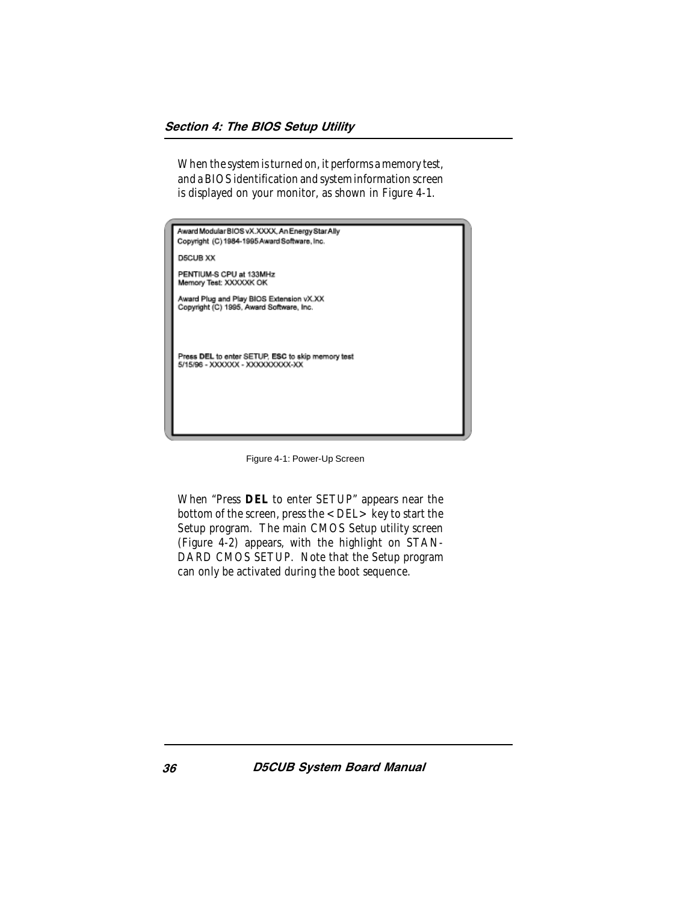When the system is turned on, it performs a memory test, and a BIOS identification and system information screen is displayed on your monitor, as shown in Figure 4-1.

| Award Modular BIOS vX.XXXX, An Energy Star Ally<br>Copyright (C) 1984-1995 Award Software, Inc. |
|-------------------------------------------------------------------------------------------------|
| <b>D5CUB XX</b>                                                                                 |
| PENTIUM-S CPU at 133MHz<br>Memory Test: XXXXXK OK                                               |
| Award Plug and Play BIOS Extension vX.XX<br>Copyright (C) 1995, Award Software, Inc.            |
|                                                                                                 |
|                                                                                                 |
| Press DEL to enter SETUP, ESC to skip memory test<br>5/15/96 - XXXXXX - XXXXXXXXXX-XX           |
|                                                                                                 |
|                                                                                                 |
|                                                                                                 |

Figure 4-1: Power-Up Screen

When "Press **DEL** to enter SETUP" appears near the bottom of the screen, press the  $\langle$  DEL $>$  key to start the Setup program. The main CMOS Setup utility screen (Figure 4-2) appears, with the highlight on STAN-DARD CMOS SETUP. Note that the Setup program can only be activated during the boot sequence.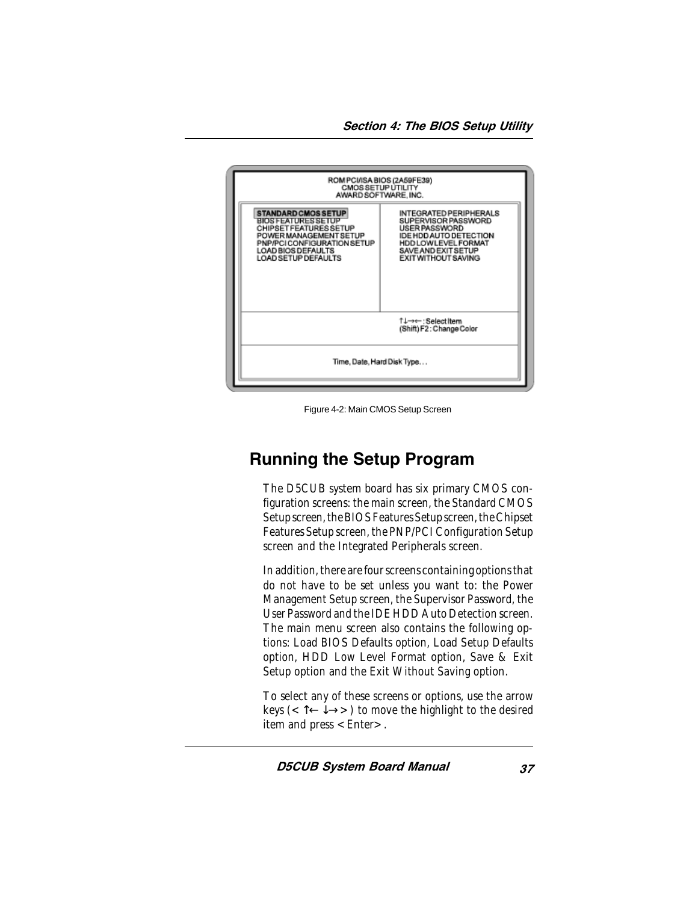

Figure 4-2: Main CMOS Setup Screen

# Running the Setup Program

The D5CUB system board has six primary CMOS configuration screens: the main screen, the Standard CMOS Setup screen, the BIOS Features Setup screen, the Chipset Features Setup screen, the PNP/PCI Configuration Setup screen and the Integrated Peripherals screen.

In addition, there are four screens containing options that do not have to be set unless you want to: the Power Management Setup screen, the Supervisor Password, the User Password and the IDE HDD Auto Detection screen. The main menu screen also contains the following options: Load BIOS Defaults option, Load Setup Defaults option, HDD Low Level Format option, Save & Exit Setup option and the Exit Without Saving option.

To select any of these screens or options, use the arrow keys (< $\uparrow$   $\leftrightarrow$   $\rightarrow$   $>$ ) to move the highlight to the desired item and press  $\leq$  Enter $\geq$ .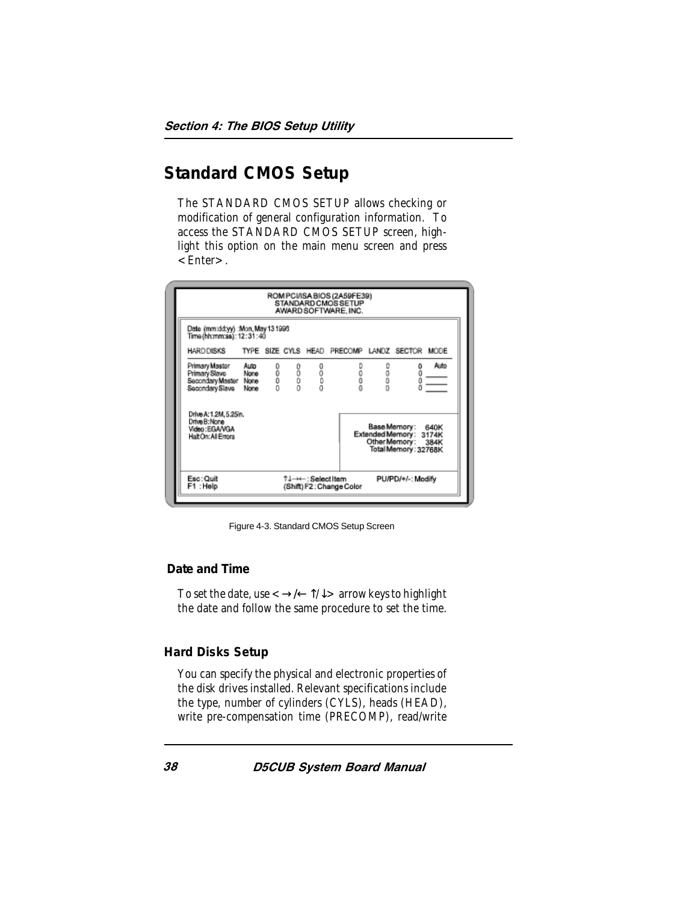# **Standard CMOS Setup**

The STANDARD CMOS SETUP allows checking or modification of general configuration information. To access the STANDARD CMOS SETUP screen, highlight this option on the main menu screen and press  $\epsilon$ Fnter $>$ .

| Date (mm:dd:yy) :Mon, May 13 1996<br>Time(hh:mm:ss): 12:31:40                         |      |     |      |      |                  |      |                                                                                           |                  |
|---------------------------------------------------------------------------------------|------|-----|------|------|------------------|------|-------------------------------------------------------------------------------------------|------------------|
| HARDDISKS TYPE SIZE CYLS HEAD PRECOMP LANDZ SECTOR MODE                               |      |     |      |      |                  |      |                                                                                           |                  |
| Primary Master<br>Primary Slave None<br>Secondary Master None<br>Secondary Slave None | Auto | 。。。 | 0000 | 0000 | 0<br>0<br>0<br>0 | 0000 | $\frac{6}{6}$                                                                             | Auto<br>$\equiv$ |
| Drive A: 1.2M, 5.25in.<br>Drive B: None<br>Video: EGANGA<br>Halt On: All Errors       |      |     |      |      |                  |      | Base Memory: 640K<br>Extended Memory: 3174K<br>Other Memory: 384K<br>Total Memory: 32768K |                  |

Figure 4-3. Standard CMOS Setup Screen

#### **Date and Time**

To set the date, use  $\langle \rightarrow \rangle \langle \rightarrow \uparrow \rangle$  arrow keys to highlight the date and follow the same procedure to set the time.

#### **Hard Disks Setup**

You can specify the physical and electronic properties of the disk drives installed. Relevant specifications include the type, number of cylinders (CYLS), heads (HEAD), write pre-compensation time (PRECOMP), read/write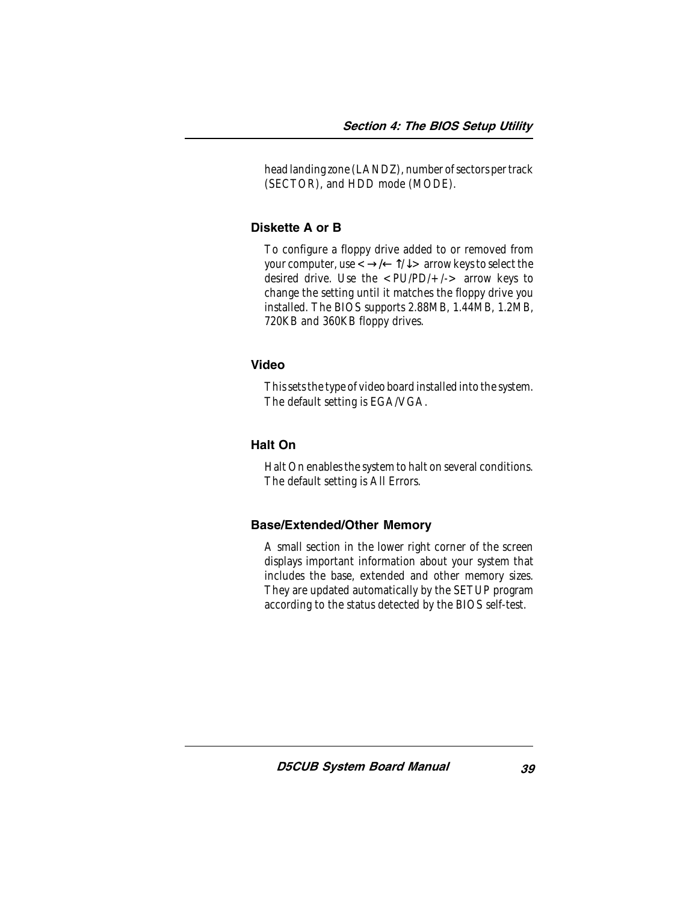head landing zone (LANDZ), number of sectors per track (SECTOR), and HDD mode (MODE).

#### Diskette A or B

To configure a floppy drive added to or removed from your computer, use  $\langle \rightarrow \rangle \langle \rightarrow \uparrow \rangle$  arrow keys to select the desired drive. Use the  $\langle$ PU/PD/+/-> arrow keys to change the setting until it matches the floppy drive you installed. The BIOS supports 2.88MB, 1.44MB, 1.2MB, 720KB and 360KB floppy drives.

#### Video

This sets the type of video board installed into the system. The default setting is EGA/VGA.

#### Halt On

Halt On enables the system to halt on several conditions. The default setting is All Errors.

#### Base/Extended/Other Memory

A small section in the lower right corner of the screen displays important information about your system that includes the base, extended and other memory sizes. They are updated automatically by the SETUP program according to the status detected by the BIOS self-test.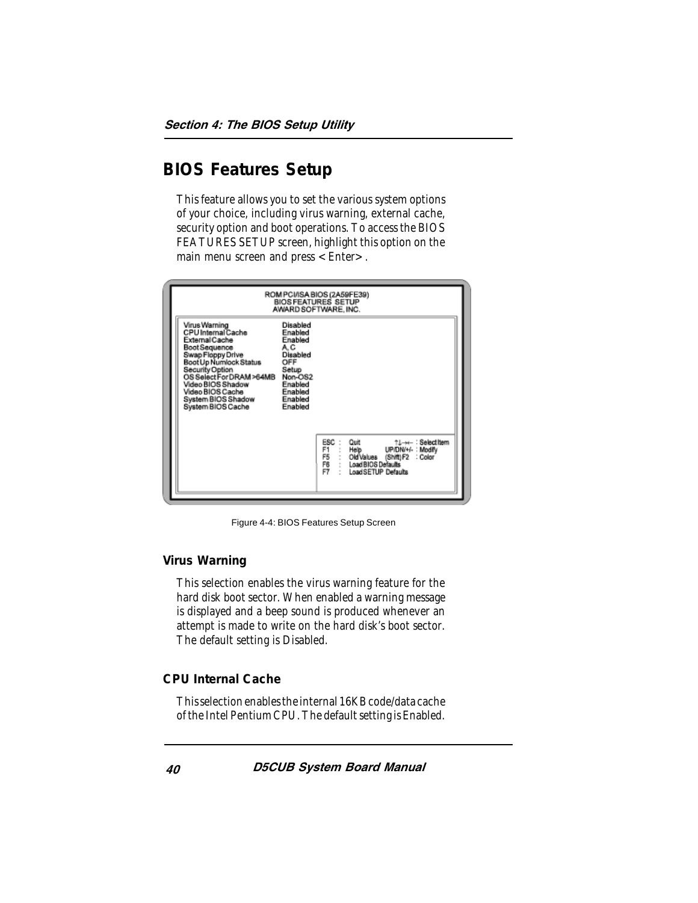# **BIOS Features Setup**

This feature allows you to set the various system options of your choice, including virus warning, external cache, security option and boot operations. To access the BIOS FEATURES SETUP screen, highlight this option on the main menu screen and press < Enter >.

| ROM PCI/ISA BIOS (2A59FE39)<br><b>BIOSFEATURES SETUP</b><br>AWARD SOFTWARE, INC.                                                                                                                                                                                                                                                                                                           |                                                                                                                                                                    |
|--------------------------------------------------------------------------------------------------------------------------------------------------------------------------------------------------------------------------------------------------------------------------------------------------------------------------------------------------------------------------------------------|--------------------------------------------------------------------------------------------------------------------------------------------------------------------|
| Virus Warning<br>Disabled<br>CPU Internal Cache<br>Enabled<br>External Cache<br>Enabled<br><b>Boot Sequence</b><br>A.C<br>Swap Floppy Drive<br>Disabled<br>Boot Up Numlock Status<br>OFF<br>Security Option<br>Setup<br>OS Select For DRAM>64MB<br>Non-OS2<br>Video BIOS Shadow<br>Enabled<br>Video BIOS Cache<br>Enabled<br>System BIOS Shadow<br>Enabled<br>System BIOS Cache<br>Enabled |                                                                                                                                                                    |
|                                                                                                                                                                                                                                                                                                                                                                                            | ESC:<br>Quit<br>↑↓→← : Selectitem<br>F1.<br>Help UP/DN/+/-: Modify<br>F5<br>Old Values (Shift) F2 : Color<br>F6<br>Load BIOS Defaults<br>FŤ<br>Load SETUP Defaults |

Figure 4-4: BIOS Features Setup Screen

#### **Virus Warning**

This selection enables the virus warning feature for the hard disk boot sector. When enabled a warning message is displayed and a beep sound is produced whenever an attempt is made to write on the hard disk's boot sector. The default setting is Disabled.

#### **CPU Internal Cache**

This selection enables the internal 16KB code/data cache of the Intel Pentium CPU. The default setting is Enabled.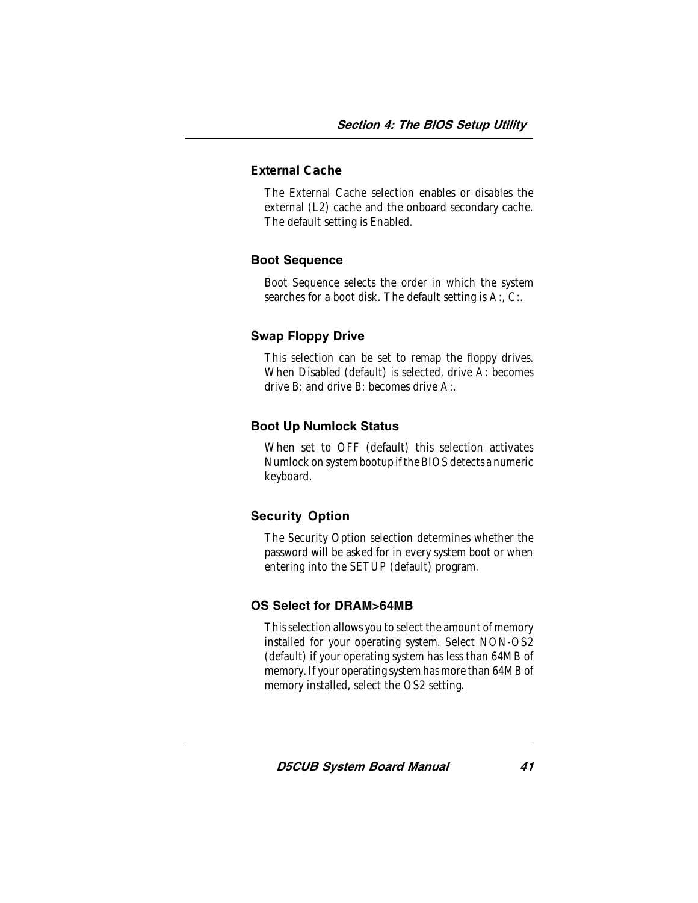#### **External Cache**

The External Cache selection enables or disables the external (L2) cache and the onboard secondary cache. The default setting is Enabled.

#### Boot Sequence

Boot Sequence selects the order in which the system searches for a boot disk. The default setting is A:, C:.

#### Swap Floppy Drive

This selection can be set to remap the floppy drives. When Disabled (default) is selected, drive A: becomes drive B: and drive B: becomes drive A:.

#### Boot Up Numlock Status

When set to OFF (default) this selection activates Numlock on system bootup if the BIOS detects a numeric keyboard.

#### Security Option

The Security Option selection determines whether the password will be asked for in every system boot or when entering into the SETUP (default) program.

#### OS Select for DRAM>64MB

This selection allows you to select the amount of memory installed for your operating system. Select NON-OS2 (default) if your operating system has less than 64MB of memory. If your operating system has more than 64MB of memory installed, select the OS2 setting.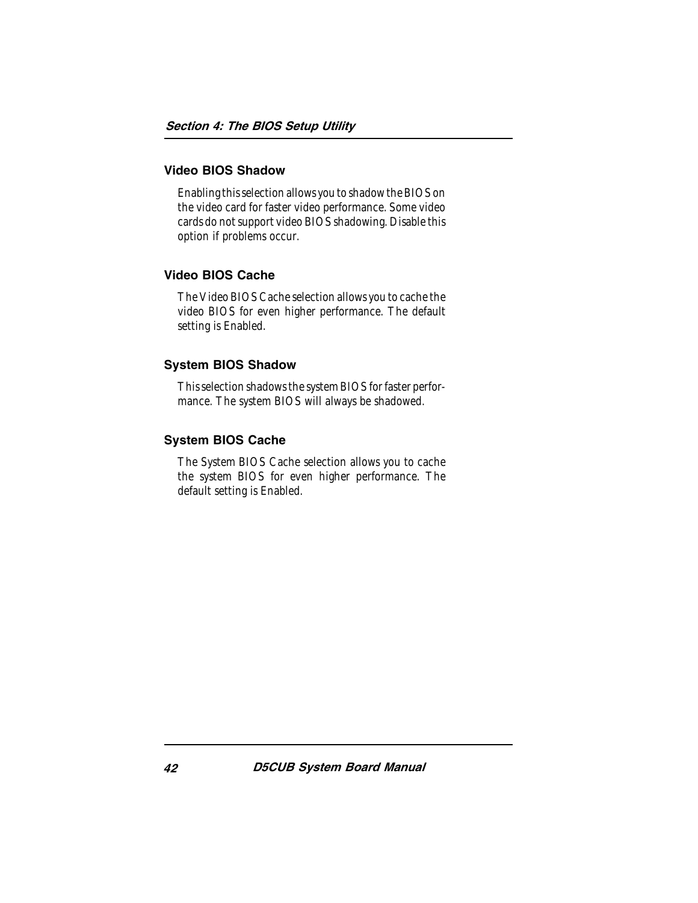#### Video BIOS Shadow

Enabling this selection allows you to shadow the BIOS on the video card for faster video performance. Some video cards do not support video BIOS shadowing. Disable this option if problems occur.

#### Video BIOS Cache

The Video BIOS Cache selection allows you to cache the video BIOS for even higher performance. The default setting is Enabled.

#### System BIOS Shadow

This selection shadows the system BIOS for faster performance. The system BIOS will always be shadowed.

#### System BIOS Cache

The System BIOS Cache selection allows you to cache the system BIOS for even higher performance. The default setting is Enabled.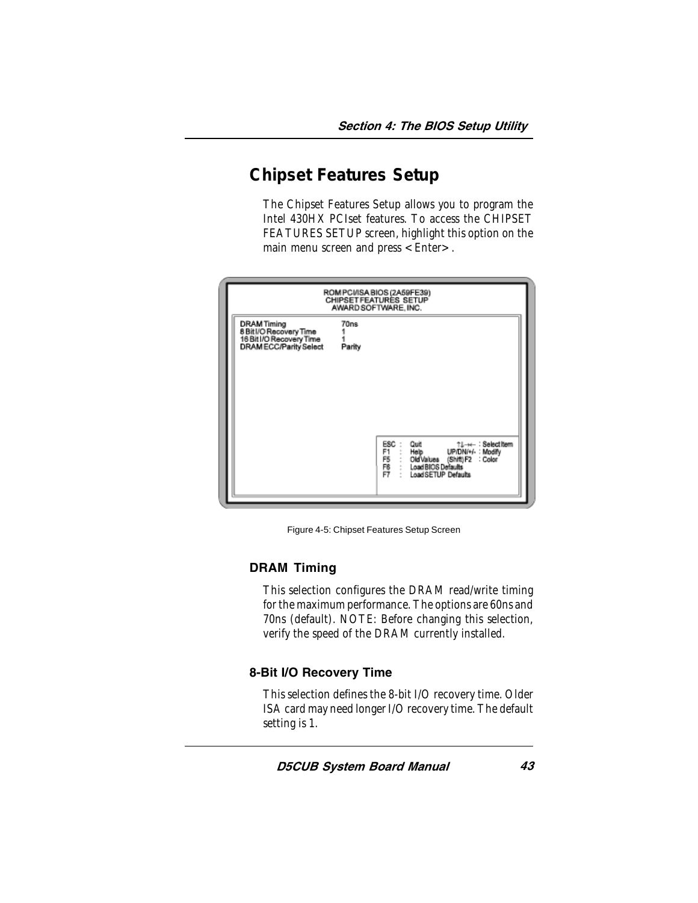# **Chipset Features Setup**

The Chipset Features Setup allows you to program the Intel 430HX PCIset features. To access the CHIPSET FEATURES SETUP screen, highlight this option on the main menu screen and press  $\leq$  Enter $\geq$ .



Figure 4-5: Chipset Features Setup Screen

#### DRAM Timing

This selection configures the DRAM read/write timing for the maximum performance. The options are 60ns and 70ns (default). NOTE: Before changing this selection, verify the speed of the DRAM currently installed.

#### 8-Bit I/O Recovery Time

This selection defines the 8-bit I/O recovery time. Older ISA card may need longer I/O recovery time. The default setting is 1.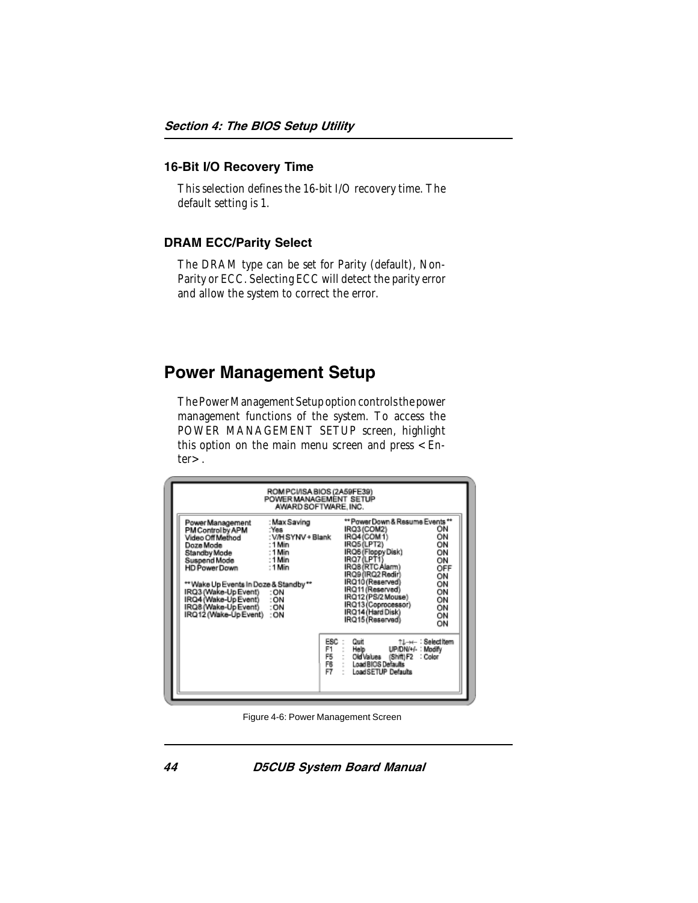#### 16-Bit I/O Recovery Time

This selection defines the 16-bit I/O recovery time. The default setting is 1.

#### DRAM ECC/Parity Select

The DRAM type can be set for Parity (default), Non-Parity or ECC. Selecting ECC will detect the parity error and allow the system to correct the error.

# Power Management Setup

The Power Management Setup option controls the power management functions of the system. To access the POWER MANAGEMENT SETUP screen, highlight this option on the main menu screen and press  $\leq$  Enter>.

| Power Management                                                                                                                                                                                                                                         | ROM PCI/ISA BIOS (2A59FE39)<br>POWER MANAGEMENT SETUP<br>AWARD SOFTWARE, INC.<br>: Max Saving |                             | ** Power Down & Resume Events **                                                                                                                                                                                                                 |                   |                                                                             |
|----------------------------------------------------------------------------------------------------------------------------------------------------------------------------------------------------------------------------------------------------------|-----------------------------------------------------------------------------------------------|-----------------------------|--------------------------------------------------------------------------------------------------------------------------------------------------------------------------------------------------------------------------------------------------|-------------------|-----------------------------------------------------------------------------|
| PM Control by APM<br>Video Off Method<br>Doze Mode<br>Standby Mode<br>Suspend Mode<br>HD Power Down<br>** Wake Up Events In Doze & Standby **<br>IRQ3 (Wake-Up Event)<br>IRQ4 (Wake-Up Event)<br>IRQ8 (Wake-Up Event) : ON<br>IRQ12 (Wake-Up Event) : ON | :Yes<br>: V/H SYNV + Blank<br>: 1 Min<br>: 1 Min<br>:1 Min<br>: 1 Min<br>:ON<br>:ON           |                             | IRQ3 (COM2)<br>IRQ4(COM1)<br>IRQ5(LPT2)<br>IRQ6 (Floppy Disk)<br>IRQ7(LPT1)<br>IRQ8 (RTC Alarm)<br>IRO9(IRO2 Redir)<br>IRQ10 (Reserved)<br>IRQ11 (Reserved)<br>IRQ12 (PS/2 Mouse)<br>IRQ13(Coprocessor)<br>IRQ14 (Hard Disk)<br>IRQ15 (Reserved) |                   | ΟN<br>ÓN<br>ΟN<br>ΟN<br>ON<br>OFF<br>ОN<br>ОN<br>ΟN<br>ON<br>ON<br>ON<br>ON |
|                                                                                                                                                                                                                                                          |                                                                                               | ESC<br>F1<br>F5<br>F6<br>F7 | Quit<br>Help<br>Old Values (Shift) F2<br>Load BIOS Defaults<br>Load SETUP Defaults                                                                                                                                                               | UP/DN/+/-: Modify | ↑L→←: Selectitem<br>: Color                                                 |

Figure 4-6: Power Management Screen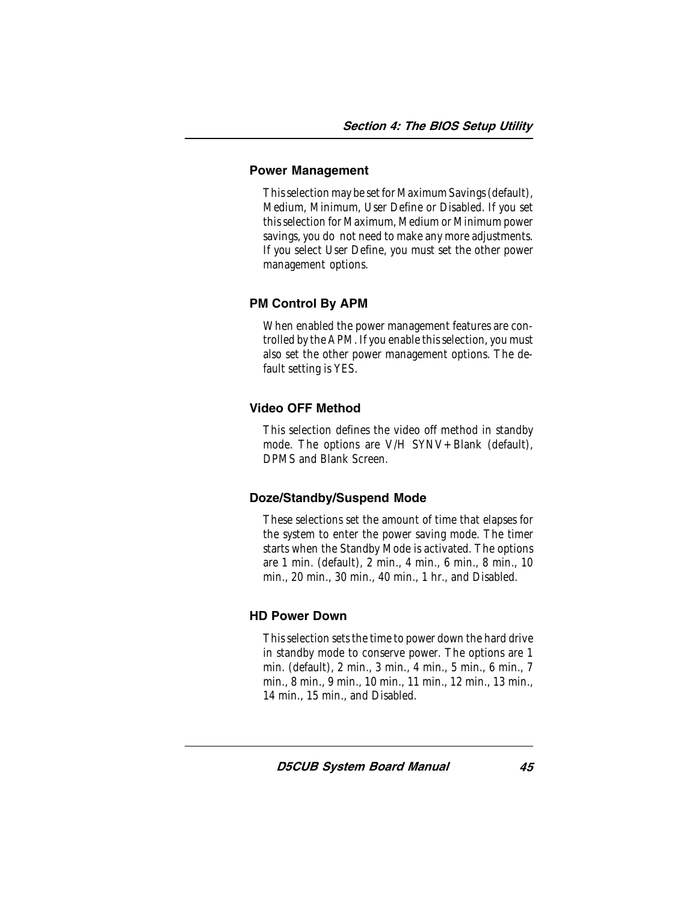#### Power Management

This selection may be set for Maximum Savings (default), Medium, Minimum, User Define or Disabled. If you set this selection for Maximum, Medium or Minimum power savings, you do not need to make any more adjustments. If you select User Define, you must set the other power management options.

#### PM Control By APM

When enabled the power management features are controlled by the APM. If you enable this selection, you must also set the other power management options. The default setting is YES.

### Video OFF Method

This selection defines the video off method in standby mode. The options are V/H SYNV+Blank (default), DPMS and Blank Screen.

#### Doze/Standby/Suspend Mode

These selections set the amount of time that elapses for the system to enter the power saving mode. The timer starts when the Standby Mode is activated. The options are 1 min. (default), 2 min., 4 min., 6 min., 8 min., 10 min., 20 min., 30 min., 40 min., 1 hr., and Disabled.

#### HD Power Down

This selection sets the time to power down the hard drive in standby mode to conserve power. The options are 1 min. (default), 2 min., 3 min., 4 min., 5 min., 6 min., 7 min., 8 min., 9 min., 10 min., 11 min., 12 min., 13 min., 14 min., 15 min., and Disabled.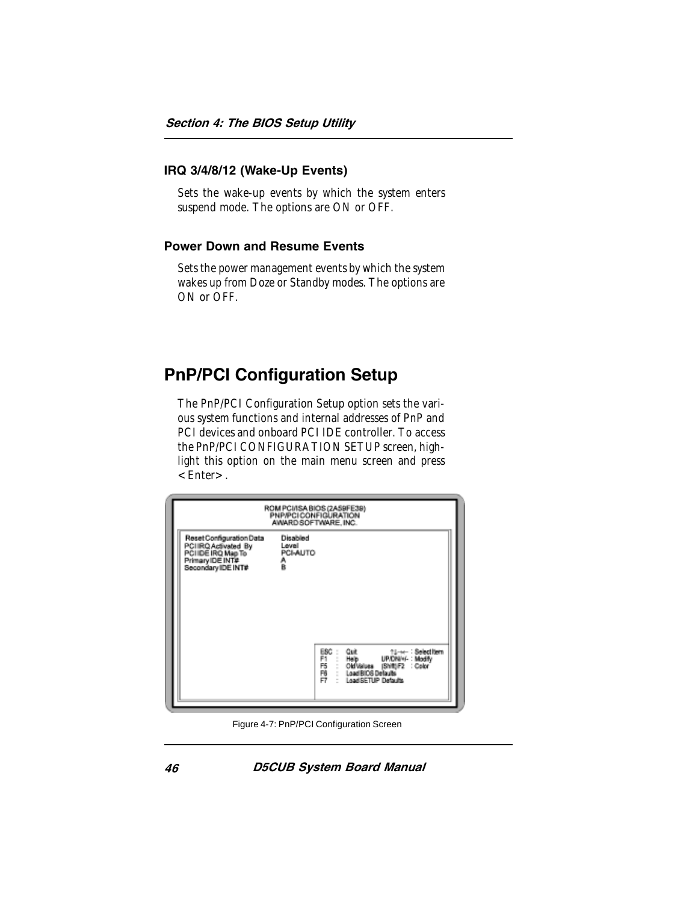#### IRQ 3/4/8/12 (Wake-Up Events)

Sets the wake-up events by which the system enters suspend mode. The options are ON or OFF.

#### Power Down and Resume Events

Sets the power management events by which the system wakes up from Doze or Standby modes. The options are ON or OFF

# PnP/PCI Configuration Setup

The PnP/PCI Configuration Setup option sets the various system functions and internal addresses of PnP and PCI devices and onboard PCI IDE controller. To access the PnP/PCI CONFIGURATION SETUP screen, highlight this option on the main menu screen and press  $\epsilon$ Enter $>$ .

|                                                                                                                 | ROM PCI/ISA BIOS (2A59FE39)<br><b>PNP/PCICONFIGURATION</b><br>AWARD SOFTWARE, INC. |
|-----------------------------------------------------------------------------------------------------------------|------------------------------------------------------------------------------------|
| Reset Configuration Data<br>PCIIRQ Activated By<br>PCI IDE IRQ Map To<br>Primary IDE INT#<br>Secondary IDE INT# | Disabled<br>Level<br>PCI-AUTO<br>Å                                                 |
|                                                                                                                 | ESC :<br>門形門<br>Load BIOS Delauts<br>Load SETUP Detaults                           |

Figure 4-7: PnP/PCI Configuration Screen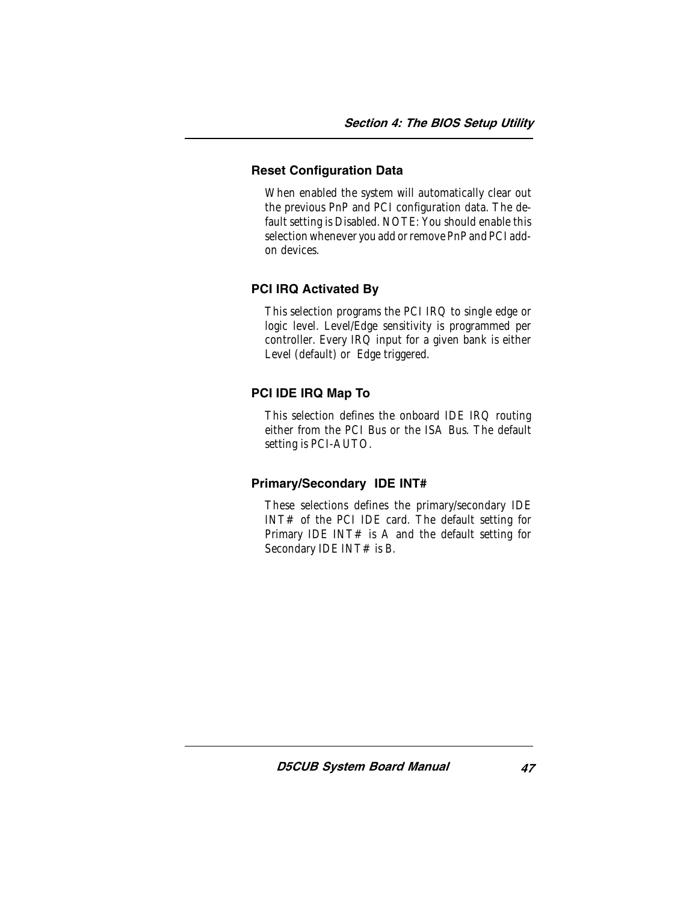#### Reset Configuration Data

When enabled the system will automatically clear out the previous PnP and PCI configuration data. The default setting is Disabled. NOTE: You should enable this selection whenever you add or remove PnP and PCI addon devices.

#### PCI IRQ Activated By

This selection programs the PCI IRQ to single edge or logic level. Level/Edge sensitivity is programmed per controller. Every IRQ input for a given bank is either Level (default) or Edge triggered.

#### PCI IDE IRQ Map To

This selection defines the onboard IDE IRQ routing either from the PCI Bus or the ISA Bus. The default setting is PCI-AUTO.

#### Primary/Secondary IDE INT#

These selections defines the primary/secondary IDE INT# of the PCI IDE card. The default setting for Primary IDE INT $#$  is A and the default setting for Secondary IDE INT# is B.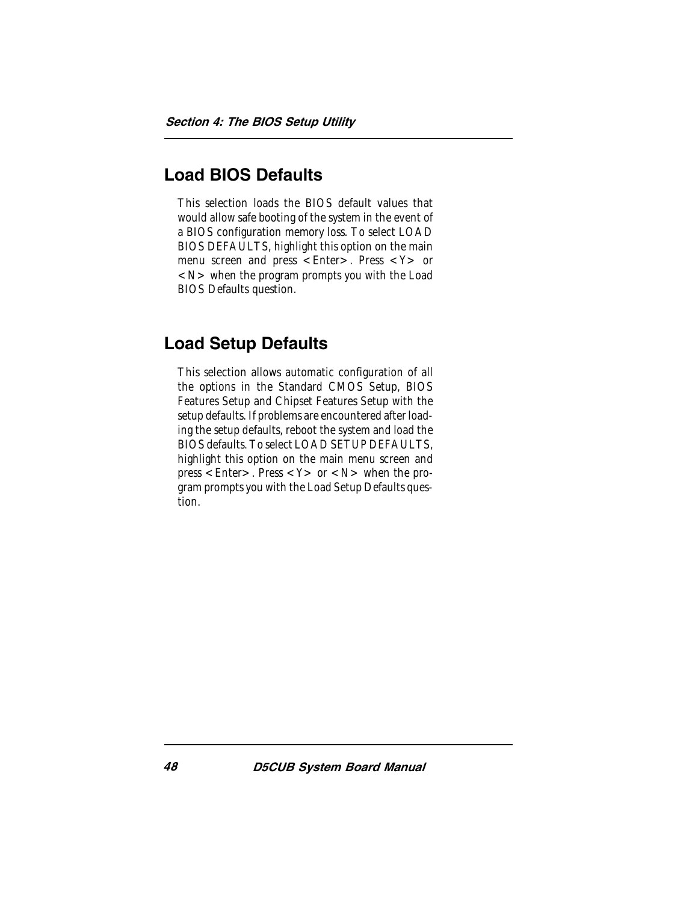# Load BIOS Defaults

This selection loads the BIOS default values that would allow safe booting of the system in the event of a BIOS configuration memory loss. To select LOAD BIOS DEFAULTS, highlight this option on the main menu screen and press  $\lt$  Enter  $>$ . Press  $\lt$  Y  $>$  or  $<$ N $>$  when the program prompts you with the Load BIOS Defaults question.

# Load Setup Defaults

This selection allows automatic configuration of all the options in the Standard CMOS Setup, BIOS Features Setup and Chipset Features Setup with the setup defaults. If problems are encountered after loading the setup defaults, reboot the system and load the BIOS defaults. To select LOAD SETUP DEFAULTS, highlight this option on the main menu screen and press  $\leq$  Enter  $>$ . Press  $\leq$  Y  $>$  or  $\leq$  N  $>$  when the program prompts you with the Load Setup Defaults question.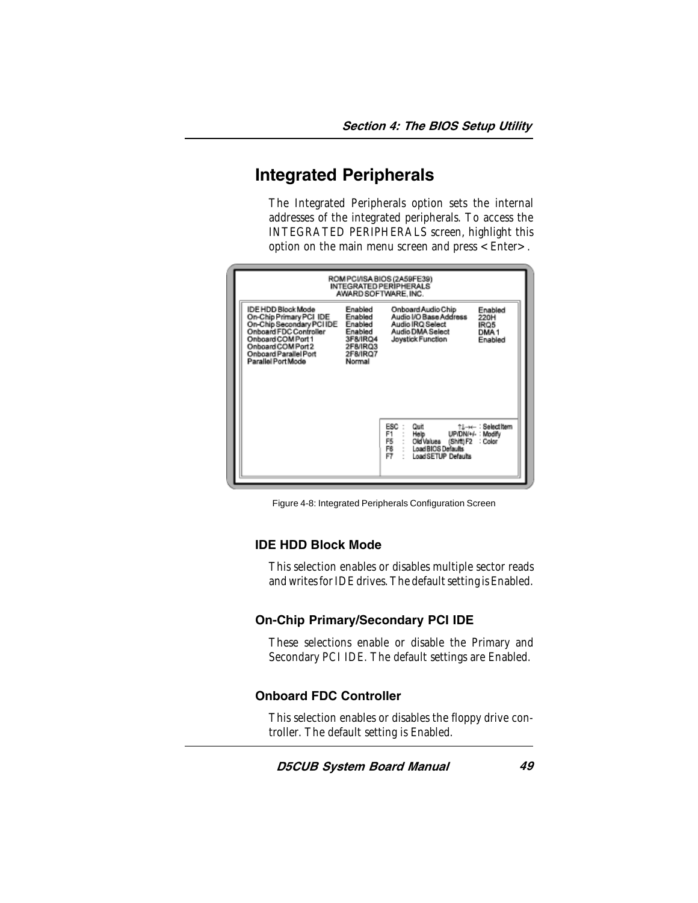# Integrated Peripherals

The Integrated Peripherals option sets the internal addresses of the integrated peripherals. To access the INTEGRATED PERIPHERALS screen, highlight this option on the main menu screen and press <Enter>.

|                                                                                                                                                                                                                                                                                           | ROM PCI/ISA BIOS (2A59FE39)<br>INTEGRATED PERIPHERALS<br>AWARD SOFTWARE, INC.                                                                                            |
|-------------------------------------------------------------------------------------------------------------------------------------------------------------------------------------------------------------------------------------------------------------------------------------------|--------------------------------------------------------------------------------------------------------------------------------------------------------------------------|
| Enabled<br>IDE HDD Block Mode<br>Enabled<br>On-Chip Primary PCI IDE<br>On-Chip Secondary PCI IDE<br>Enabled<br>Onboard FDC Controller<br>Enabled<br>Onboard COM Port 1<br>3F8/IRQ4<br>Onboard COM Port 2<br>2F8/IRQ3<br>Onboard Parallel Port<br>2F8/IRQ7<br>Parallel Port Mode<br>Normal | Onboard Audio Chip<br>Enabled<br>Audio I/O Base Address<br>220H<br>Audio IRQ Select<br>IRQ5<br>Audio DMA Select<br>DMA <sub>1</sub><br>Joystick Function<br>Enabled      |
|                                                                                                                                                                                                                                                                                           | ESC<br>Quit<br>↑L→← : Selectitem<br>F1<br>UP/DN/+/-: Modify<br>Help<br>F5<br>Old Values<br>(Shift) F2<br>: Color<br>F6<br>oad BIOS Defaults<br>F7<br>Load SETUP Defaults |

Figure 4-8: Integrated Peripherals Configuration Screen

#### IDE HDD Block Mode

This selection enables or disables multiple sector reads and writes for IDE drives. The default setting is Enabled.

#### On-Chip Primary/Secondary PCI IDE

These selections enable or disable the Primary and Secondary PCI IDE. The default settings are Enabled.

#### Onboard FDC Controller

This selection enables or disables the floppy drive controller. The default setting is Enabled.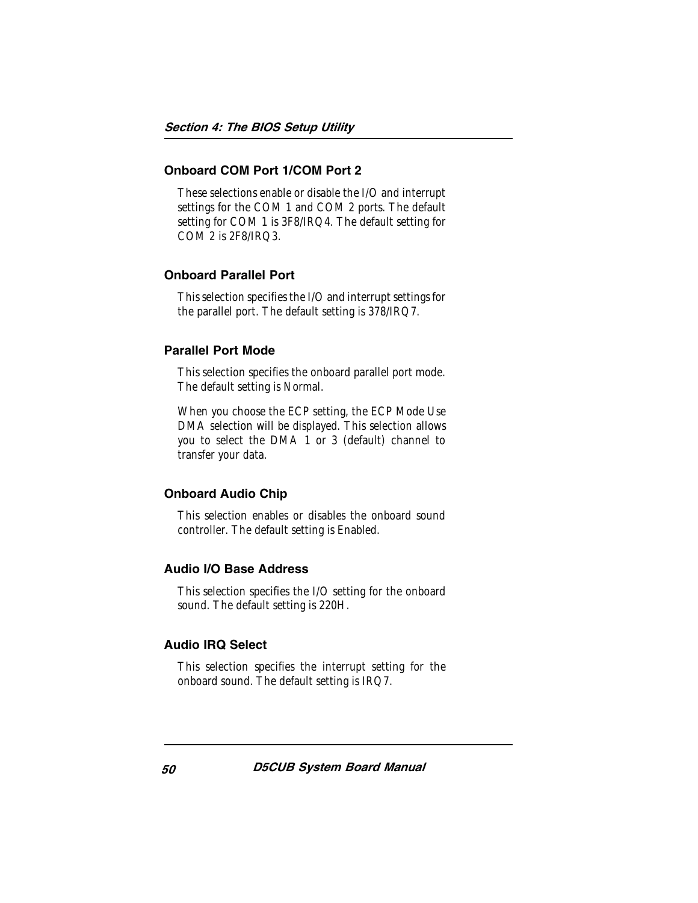#### Onboard COM Port 1/COM Port 2

These selections enable or disable the I/O and interrupt settings for the COM 1 and COM 2 ports. The default setting for COM 1 is 3F8/IRQ4. The default setting for COM 2 is 2F8/IRQ3.

#### Onboard Parallel Port

This selection specifies the I/O and interrupt settings for the parallel port. The default setting is 378/IRQ7.

#### Parallel Port Mode

This selection specifies the onboard parallel port mode. The default setting is Normal.

When you choose the ECP setting, the ECP Mode Use DMA selection will be displayed. This selection allows you to select the DMA 1 or 3 (default) channel to transfer your data.

#### Onboard Audio Chip

This selection enables or disables the onboard sound controller. The default setting is Enabled.

#### Audio I/O Base Address

This selection specifies the I/O setting for the onboard sound. The default setting is 220H.

#### Audio IRQ Select

This selection specifies the interrupt setting for the onboard sound. The default setting is IRQ7.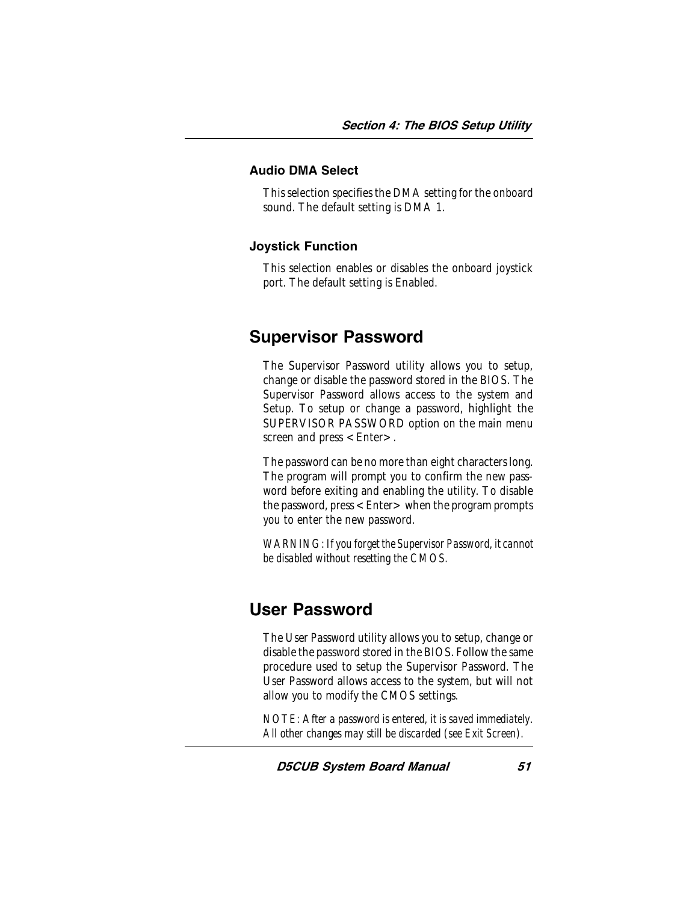#### Audio DMA Select

This selection specifies the DMA setting for the onboard sound. The default setting is DMA 1.

#### Joystick Function

This selection enables or disables the onboard joystick port. The default setting is Enabled.

### Supervisor Password

The Supervisor Password utility allows you to setup, change or disable the password stored in the BIOS. The Supervisor Password allows access to the system and Setup. To setup or change a password, highlight the SUPERVISOR PASSWORD option on the main menu screen and press  $\lt$  Enter $\gt$ .

The password can be no more than eight characters long. The program will prompt you to confirm the new password before exiting and enabling the utility. To disable the password, press  $\leq$  Enter  $>$  when the program prompts you to enter the new password.

*WARNING: If you forget the Supervisor Password, it cannot be disabled without resetting the CMOS.*

# User Password

The User Password utility allows you to setup, change or disable the password stored in the BIOS. Follow the same procedure used to setup the Supervisor Password. The User Password allows access to the system, but will not allow you to modify the CMOS settings.

*NOTE: After a password is entered, it is saved immediately. All other changes may still be discarded (see Exit Screen).*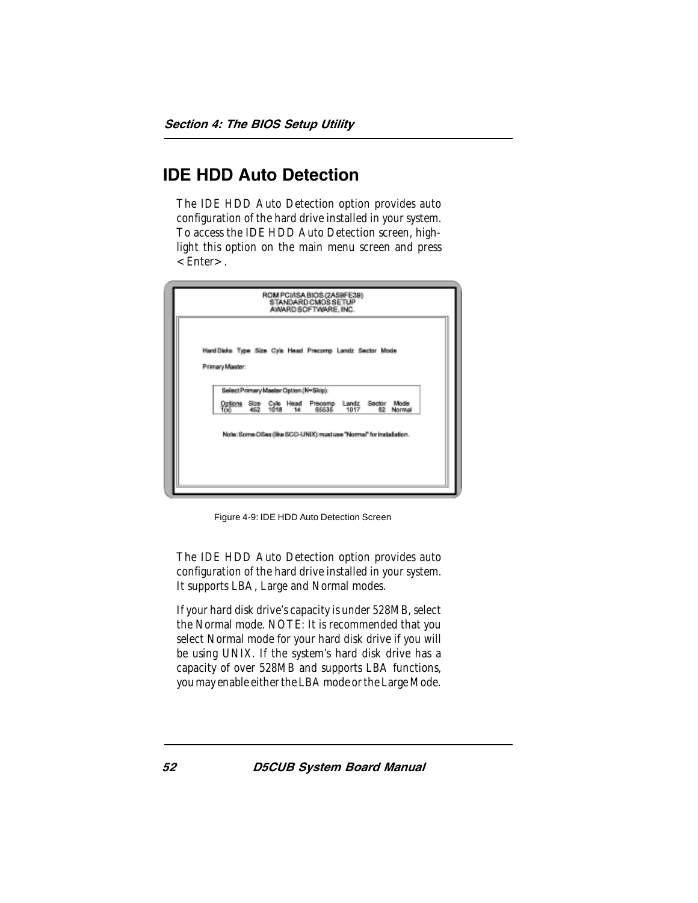# IDE HDD Auto Detection

The IDE HDD Auto Detection option provides auto configuration of the hard drive installed in your system. To access the IDE HDD Auto Detection screen, highlight this option on the main menu screen and press  $\epsilon$ Enter $>$ .

| Hard Disks Type Size Cyls Head Precomp Landz Sector Mode                                           |  |
|----------------------------------------------------------------------------------------------------|--|
| Primary Master:                                                                                    |  |
| Select Primary Master Option (N=Skip):                                                             |  |
| Options Size Cyle Head Precomp Landz Sector Mode<br>100 462 1018 14 65535 1017 62 Normal<br>Normal |  |
| Note: Some OSes (like SCO-UNIX) must use "Normal" for installation.                                |  |
|                                                                                                    |  |

Figure 4-9: IDE HDD Auto Detection Screen

The IDE HDD Auto Detection option provides auto configuration of the hard drive installed in your system. It supports LBA, Large and Normal modes.

If your hard disk drive's capacity is under 528MB, select the Normal mode. NOTE: It is recommended that you select Normal mode for your hard disk drive if you will be using UNIX. If the system's hard disk drive has a capacity of over 528MB and supports LBA functions, you may enable either the LBA mode or the Large Mode.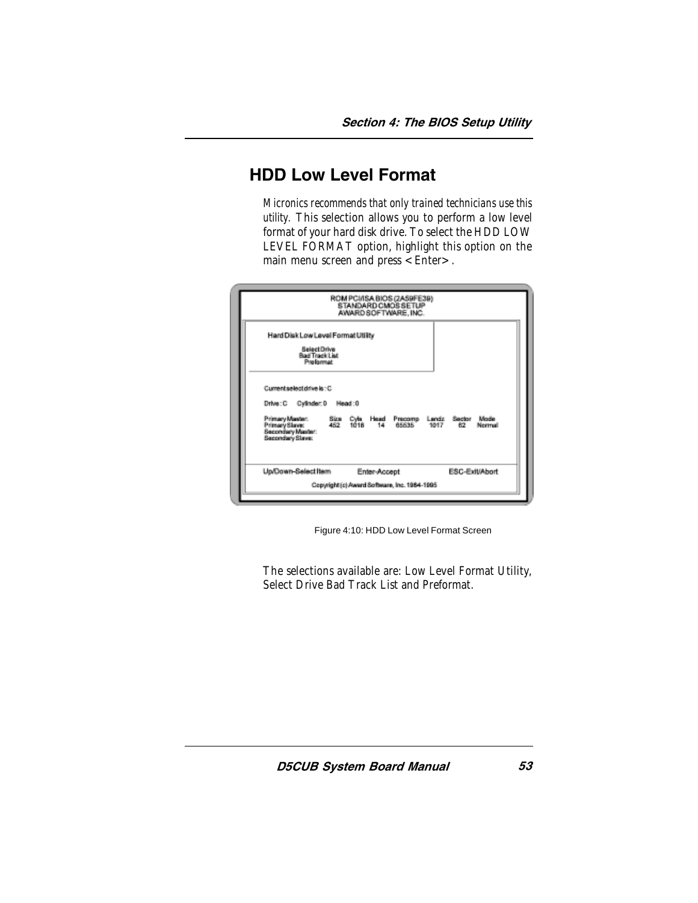# HDD Low Level Format

*Micronics recommends that only trained technicians use this utility.* This selection allows you to perform a low level format of your hard disk drive. To select the HDD LOW LEVEL FORMAT option, highlight this option on the main menu screen and press <Enter>.

|                                                                                                                                            | ROM PCI/ISA BIOS (2A59FE39)<br><b>STANDARD CMOSSETUP</b><br>AWARD SOFTWARE, INC. |                |        |
|--------------------------------------------------------------------------------------------------------------------------------------------|----------------------------------------------------------------------------------|----------------|--------|
| Hard Disk Low Level Format Utility<br>SelectDrive<br><b>Bad Track List</b><br>Prefermat                                                    |                                                                                  |                |        |
| Current select drive is : C.<br>Drive: C Cylinder: 0 Head: 0<br>Primary Maxler:<br>Primary Slave:<br>Secondary Maxter:<br>Secondary Slave: | Siza Cyla Head Precomp Landz Sector Mode<br>452 1018 14 65535 1017 62 Norma      |                | Normal |
| Up/Down-Select Item                                                                                                                        | Enter-Accept<br>Copyright (c) Award Software, Inc. 1984-1995                     | ESC-Exit(Abort |        |

Figure 4:10: HDD Low Level Format Screen

The selections available are: Low Level Format Utility, Select Drive Bad Track List and Preformat.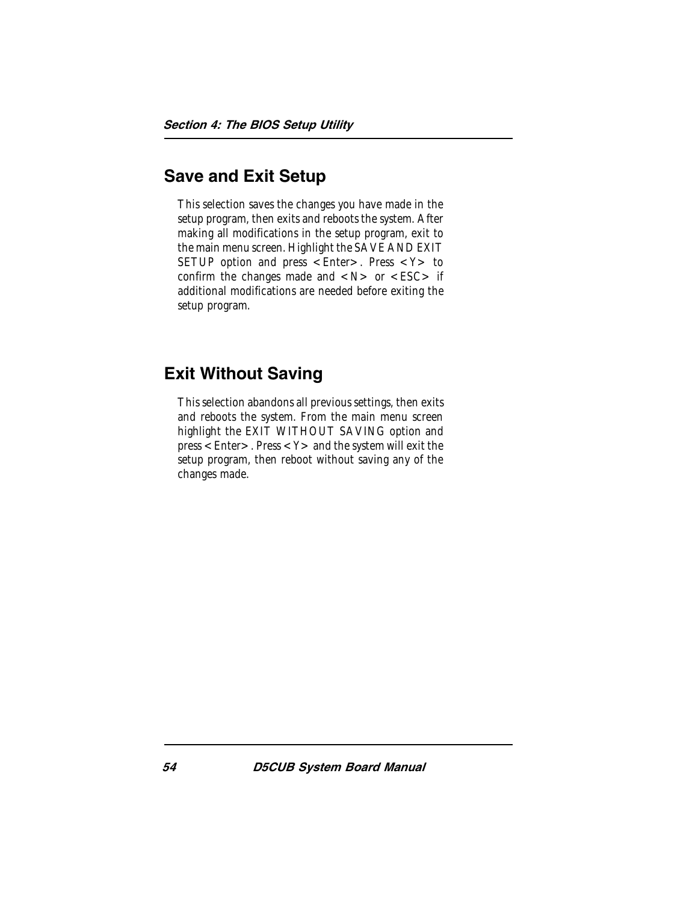# Save and Exit Setup

This selection saves the changes you have made in the setup program, then exits and reboots the system. After making all modifications in the setup program, exit to the main menu screen. Highlight the SAVE AND EXIT SETUP option and press  $\leq$  Enter  $>$ . Press  $\leq$  Y  $>$  to confirm the changes made and  $\langle N \rangle$  or  $\langle ESC \rangle$  if additional modifications are needed before exiting the setup program.

# Exit Without Saving

This selection abandons all previous settings, then exits and reboots the system. From the main menu screen highlight the EXIT WITHOUT SAVING option and  $press < Enter >$ . Press  $< Y >$  and the system will exit the setup program, then reboot without saving any of the changes made.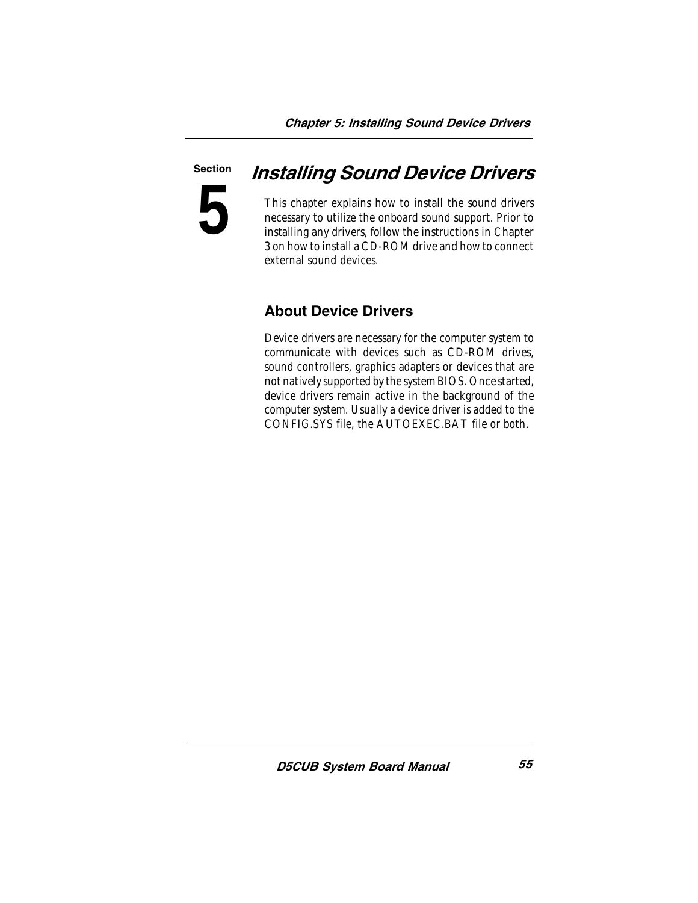### Section

**5**

# Installing Sound Device Drivers

This chapter explains how to install the sound drivers necessary to utilize the onboard sound support. Prior to installing any drivers, follow the instructions in Chapter 3 on how to install a CD-ROM drive and how to connect external sound devices.

## About Device Drivers

Device drivers are necessary for the computer system to communicate with devices such as CD-ROM drives, sound controllers, graphics adapters or devices that are not natively supported by the system BIOS. Once started, device drivers remain active in the background of the computer system. Usually a device driver is added to the CONFIG.SYS file, the AUTOEXEC.BAT file or both.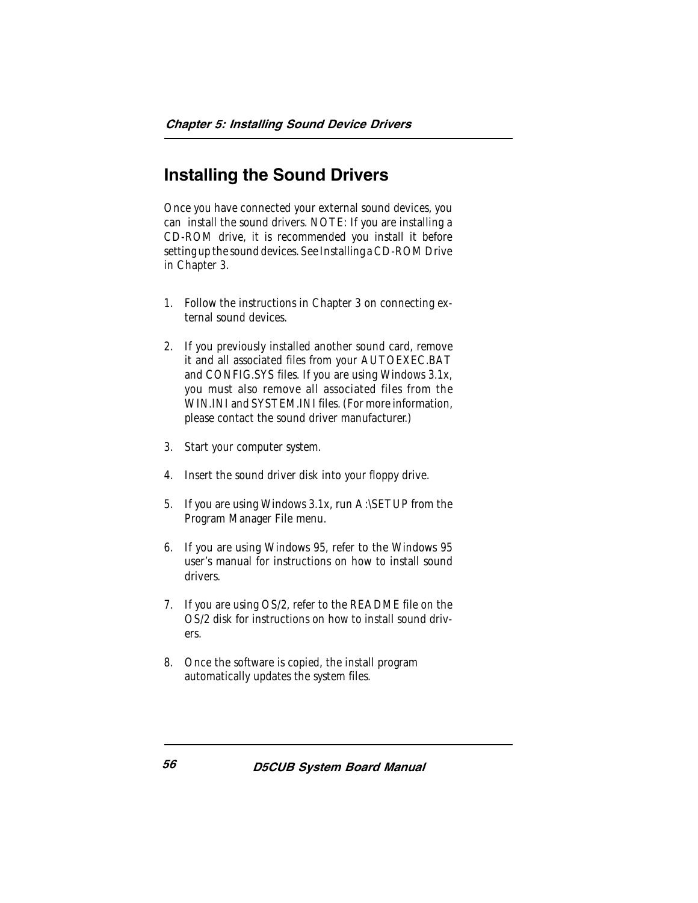# Installing the Sound Drivers

Once you have connected your external sound devices, you can install the sound drivers. NOTE: If you are installing a CD-ROM drive, it is recommended you install it before setting up the sound devices. See Installing a CD-ROM Drive in Chapter 3.

- 1. Follow the instructions in Chapter 3 on connecting external sound devices.
- 2. If you previously installed another sound card, remove it and all associated files from your AUTOEXEC.BAT and CONFIG.SYS files. If you are using Windows 3.1x, you must also remove all associated files from the WIN.INI and SYSTEM.INI files. (For more information, please contact the sound driver manufacturer.)
- 3. Start your computer system.
- 4. Insert the sound driver disk into your floppy drive.
- 5. If you are using Windows 3.1x, run A:\SETUP from the Program Manager File menu.
- 6. If you are using Windows 95, refer to the Windows 95 user's manual for instructions on how to install sound drivers.
- 7. If you are using OS/2, refer to the README file on the OS/2 disk for instructions on how to install sound drivers.
- 8. Once the software is copied, the install program automatically updates the system files.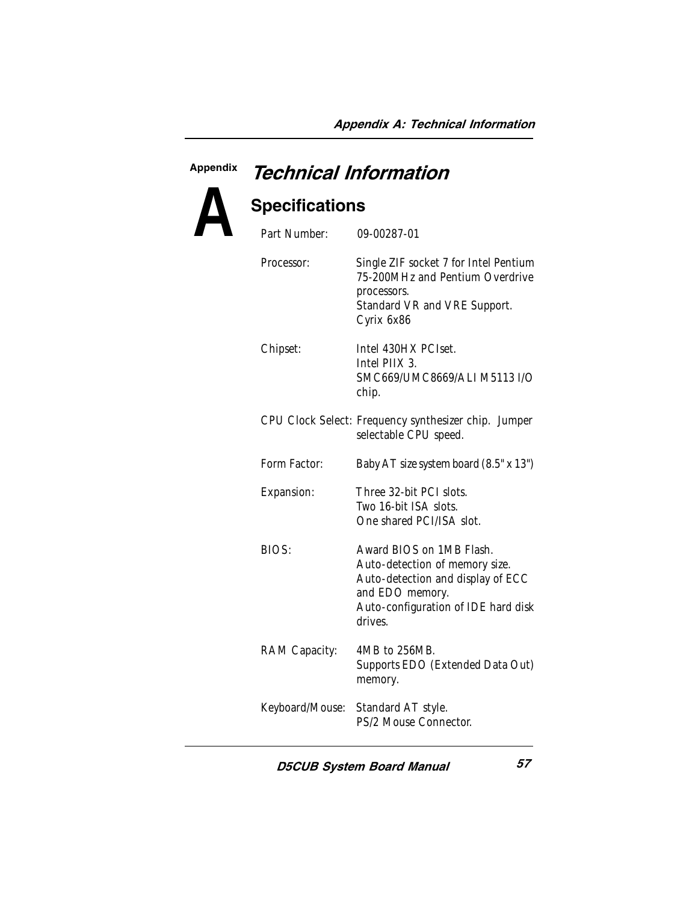# Appendix Technical Information



# **Specifications**

| Part Number:    | 09-00287-01                                                                                                                                                          |
|-----------------|----------------------------------------------------------------------------------------------------------------------------------------------------------------------|
| Processor:      | Single ZIF socket 7 for Intel Pentium<br>75-200MHz and Pentium Overdrive<br>processors.<br>Standard VR and VRE Support.<br>Cyrix 6x86                                |
| Chipset:        | Intel 430HX PCIset.<br>Intel PIIX 3.<br>SMC669/UMC8669/ALI M5113 I/O<br>chip.                                                                                        |
|                 | CPU Clock Select: Frequency synthesizer chip. Jumper<br>selectable CPU speed.                                                                                        |
| Form Factor:    | Baby AT size system board (8.5" x 13")                                                                                                                               |
| Expansion:      | Three 32-bit PCI slots.<br>Two 16-bit ISA slots.<br>One shared PCI/ISA slot.                                                                                         |
| BIOS:           | Award BIOS on 1MB Flash.<br>Auto-detection of memory size.<br>Auto-detection and display of ECC<br>and EDO memory.<br>Auto-configuration of IDE hard disk<br>drives. |
| RAM Capacity:   | 4MB to 256MB.<br>Supports EDO (Extended Data Out)<br>memory.                                                                                                         |
| Keyboard/Mouse: | Standard AT style.<br>PS/2 Mouse Connector.                                                                                                                          |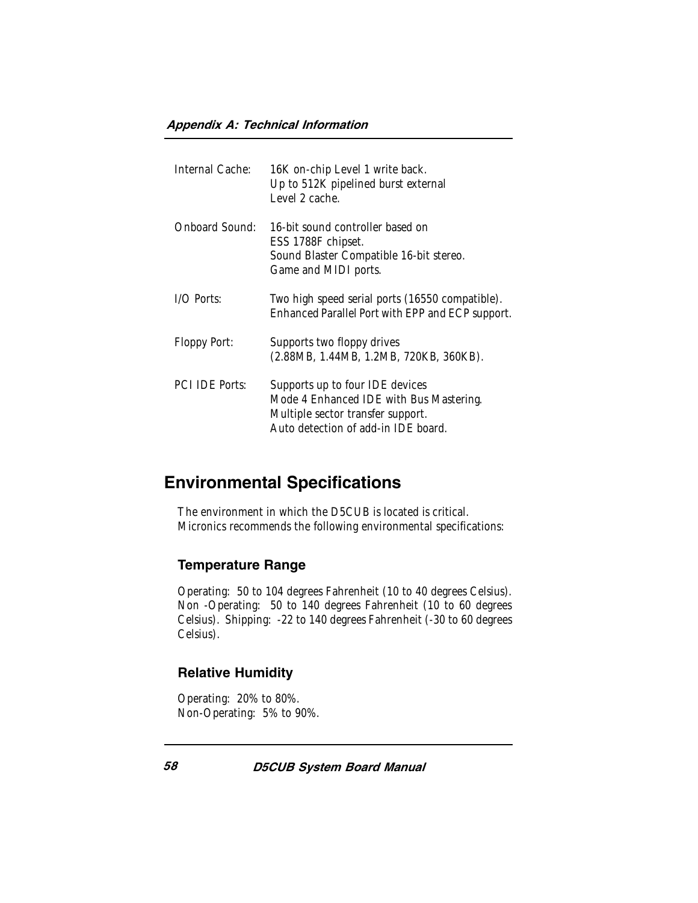| Internal Cache:       | 16K on-chip Level 1 write back.<br>Up to 512K pipelined burst external<br>Level 2 cache.                                                               |
|-----------------------|--------------------------------------------------------------------------------------------------------------------------------------------------------|
| Onboard Sound:        | 16-bit sound controller based on<br>ESS 1788F chipset.<br>Sound Blaster Compatible 16-bit stereo.<br>Game and MIDI ports.                              |
| $1/O$ Ports:          | Two high speed serial ports (16550 compatible).<br>Enhanced Parallel Port with EPP and ECP support.                                                    |
| Floppy Port:          | Supports two floppy drives<br>(2.88MB, 1.44MB, 1.2MB, 720KB, 360KB).                                                                                   |
| <b>PCI IDE Ports:</b> | Supports up to four IDE devices<br>Mode 4 Enhanced IDE with Bus Mastering.<br>Multiple sector transfer support.<br>Auto detection of add-in IDE board. |

# Environmental Specifications

The environment in which the D5CUB is located is critical. Micronics recommends the following environmental specifications:

#### Temperature Range

Operating: 50 to 104 degrees Fahrenheit (10 to 40 degrees Celsius). Non -Operating: 50 to 140 degrees Fahrenheit (10 to 60 degrees Celsius). Shipping: -22 to 140 degrees Fahrenheit (-30 to 60 degrees Celsius).

#### Relative Humidity

Operating: 20% to 80%. Non-Operating: 5% to 90%.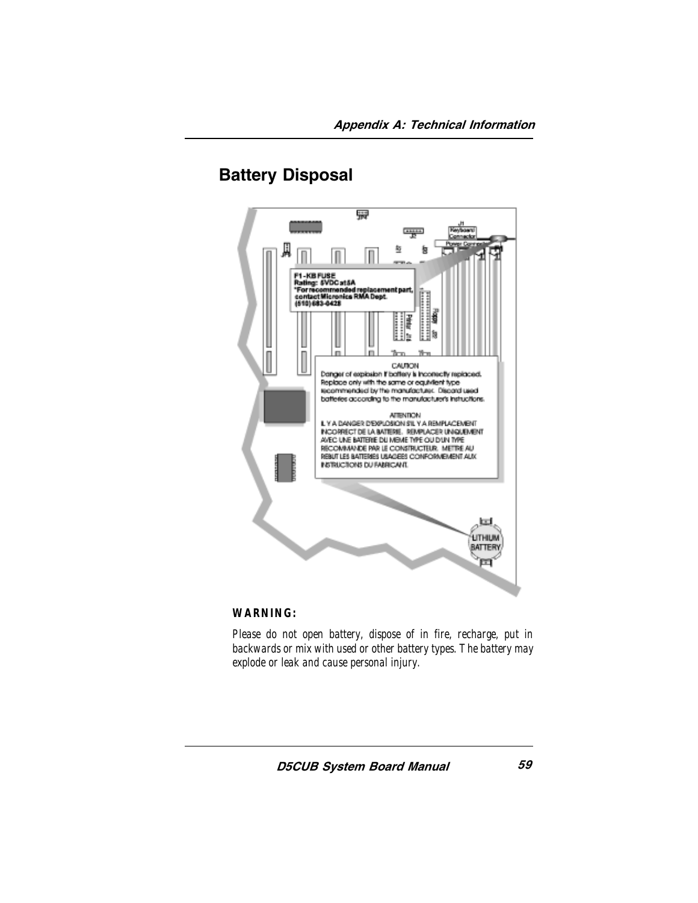



#### *WARNING:*

*Please do not open battery, dispose of in fire, recharge, put in backwards or mix with used or other battery types. The battery may explode or leak and cause personal injury.*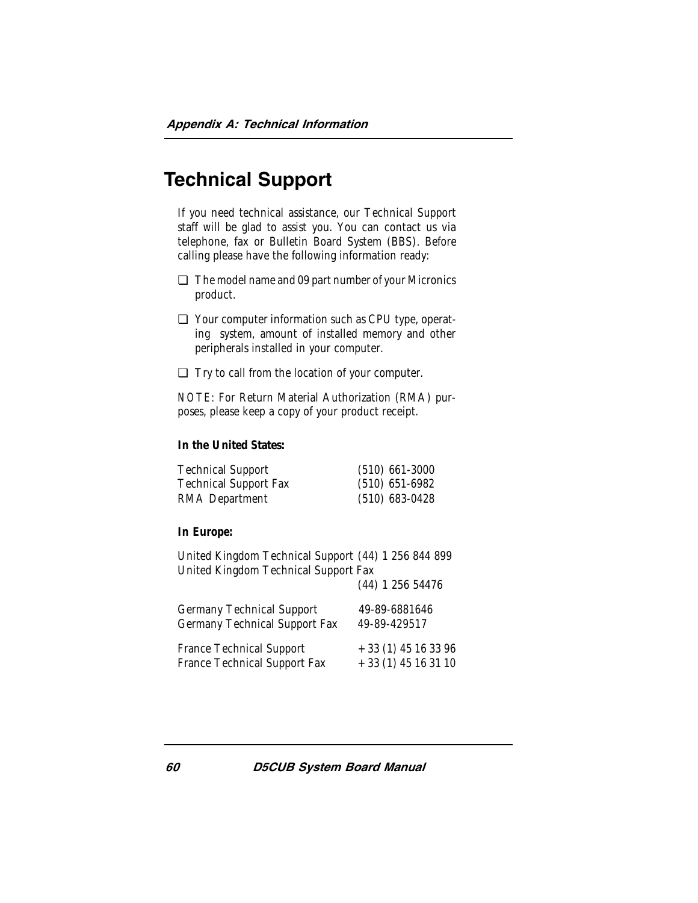# Technical Support

If you need technical assistance, our Technical Support staff will be glad to assist you. You can contact us via telephone, fax or Bulletin Board System (BBS). Before calling please have the following information ready:

- ❏ The model name and 09 part number of your Micronics product.
- ❏ Your computer information such as CPU type, operating system, amount of installed memory and other peripherals installed in your computer.
- ❏ Try to call from the location of your computer.

*NOTE:* For Return Material Authorization (RMA) purposes, please keep a copy of your product receipt.

#### **In the United States:**

| <b>Technical Support</b>     | $(510)$ 661-3000 |
|------------------------------|------------------|
| <b>Technical Support Fax</b> | $(510)$ 651-6982 |
| RMA Department               | $(510)$ 683-0428 |

#### **In Europe:**

United Kingdom Technical Support (44) 1 256 844 899 United Kingdom Technical Support Fax (44) 1 256 54476

| Germany Technical Support     | 49-89-6881646        |
|-------------------------------|----------------------|
| Germany Technical Support Fax | 49-89-429517         |
| France Technical Support      | $+33(1)$ 45 16 33 96 |
| France Technical Support Fax  | $+33(1)$ 45 16 31 10 |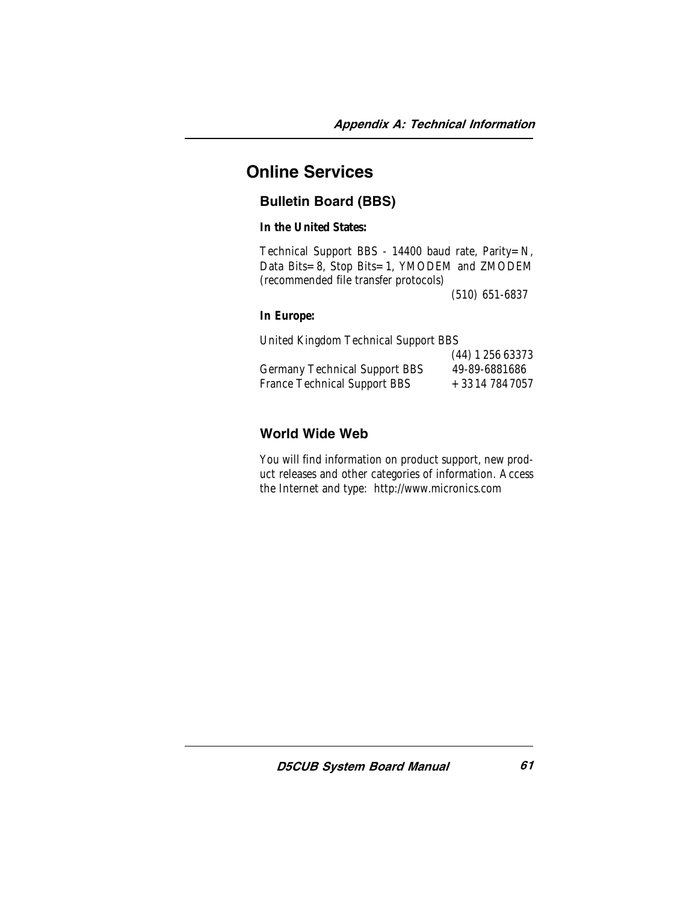# Online Services

### Bulletin Board (BBS)

**In the United States:**

Technical Support BBS - 14400 baud rate, Parity=N, Data Bits=8, Stop Bits=1, YMODEM and ZMODEM (recommended file transfer protocols)

(510) 651-6837

#### **In Europe:**

United Kingdom Technical Support BBS

|                               | (44) 1 256 63373 |
|-------------------------------|------------------|
| Germany Technical Support BBS | 49-89-6881686    |
| France Technical Support BBS  | +3314 784 7057   |

### World Wide Web

You will find information on product support, new product releases and other categories of information. Access the Internet and type: http://www.micronics.com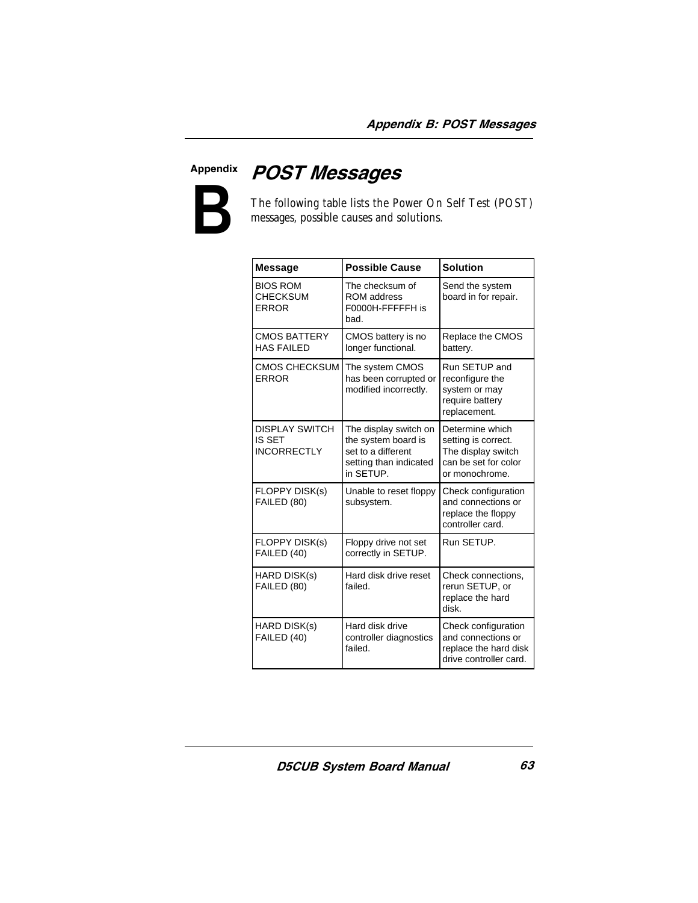

**Appendix**<br> **B POST Messages**<br>
The following table lists the Performance and Servessages, possible causes and s The following table lists the Power On Self Test (POST) messages, possible causes and solutions.

| <b>Message</b>                                               | <b>Possible Cause</b>                                                                                     | <b>Solution</b>                                                                                        |  |  |
|--------------------------------------------------------------|-----------------------------------------------------------------------------------------------------------|--------------------------------------------------------------------------------------------------------|--|--|
| <b>BIOS ROM</b><br><b>CHECKSUM</b><br><b>ERROR</b>           | The checksum of<br><b>ROM</b> address<br>F0000H-FFFFFH is<br>bad.                                         | Send the system<br>board in for repair.                                                                |  |  |
| <b>CMOS BATTERY</b><br><b>HAS FAILED</b>                     | CMOS battery is no<br>longer functional.                                                                  | Replace the CMOS<br>battery.                                                                           |  |  |
| <b>CMOS CHECKSUM</b><br><b>ERROR</b>                         | The system CMOS<br>has been corrupted or<br>modified incorrectly.                                         | Run SETUP and<br>reconfigure the<br>system or may<br>require battery<br>replacement.                   |  |  |
| <b>DISPLAY SWITCH</b><br><b>IS SET</b><br><b>INCORRECTLY</b> | The display switch on<br>the system board is<br>set to a different<br>setting than indicated<br>in SETUP. | Determine which<br>setting is correct.<br>The display switch<br>can be set for color<br>or monochrome. |  |  |
| FLOPPY DISK(s)<br>FAILED (80)                                | Unable to reset floppy<br>subsystem.                                                                      | Check configuration<br>and connections or<br>replace the floppy<br>controller card.                    |  |  |
| <b>FLOPPY DISK(s)</b><br>FAILED (40)                         | Floppy drive not set<br>correctly in SETUP.                                                               | Run SETUP.                                                                                             |  |  |
| HARD DISK(s)<br>FAILED (80)                                  | Hard disk drive reset<br>failed.                                                                          | Check connections,<br>rerun SETUP, or<br>replace the hard<br>disk.                                     |  |  |
| HARD DISK(s)<br>FAILED (40)                                  | Hard disk drive<br>controller diagnostics<br>failed.                                                      | Check configuration<br>and connections or<br>replace the hard disk<br>drive controller card.           |  |  |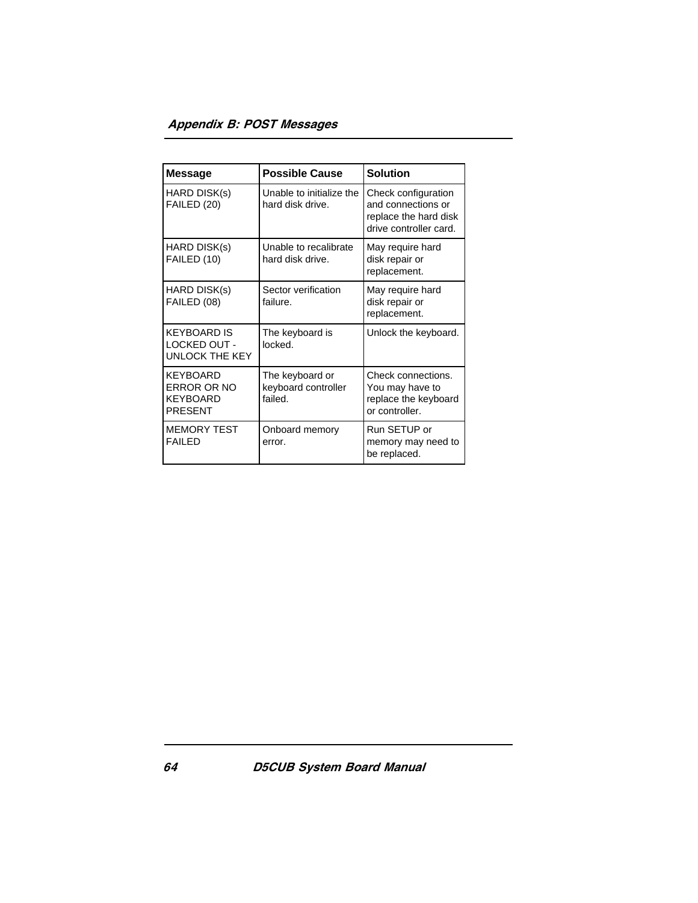| <b>Message</b>                                                      | <b>Possible Cause</b>                             | <b>Solution</b>                                                                              |  |
|---------------------------------------------------------------------|---------------------------------------------------|----------------------------------------------------------------------------------------------|--|
| HARD DISK(s)<br>FAILED (20)                                         | Unable to initialize the<br>hard disk drive.      | Check configuration<br>and connections or<br>replace the hard disk<br>drive controller card. |  |
| HARD DISK(s)<br>FAILED (10)                                         | Unable to recalibrate<br>hard disk drive.         | May require hard<br>disk repair or<br>replacement.                                           |  |
| HARD DISK(s)<br>FAILED (08)                                         | Sector verification<br>failure.                   | May require hard<br>disk repair or<br>replacement.                                           |  |
| <b>KEYBOARD IS</b><br>LOCKED OUT -<br><b>UNLOCK THE KEY</b>         | The keyboard is<br>locked.                        | Unlock the keyboard.                                                                         |  |
| KEYBOARD<br><b>ERROR OR NO</b><br><b>KEYBOARD</b><br><b>PRESENT</b> | The keyboard or<br>keyboard controller<br>failed. | Check connections.<br>You may have to<br>replace the keyboard<br>or controller.              |  |
| <b>MEMORY TEST</b><br><b>FAILED</b>                                 | Onboard memory<br>error.                          | Run SETUP or<br>memory may need to<br>be replaced.                                           |  |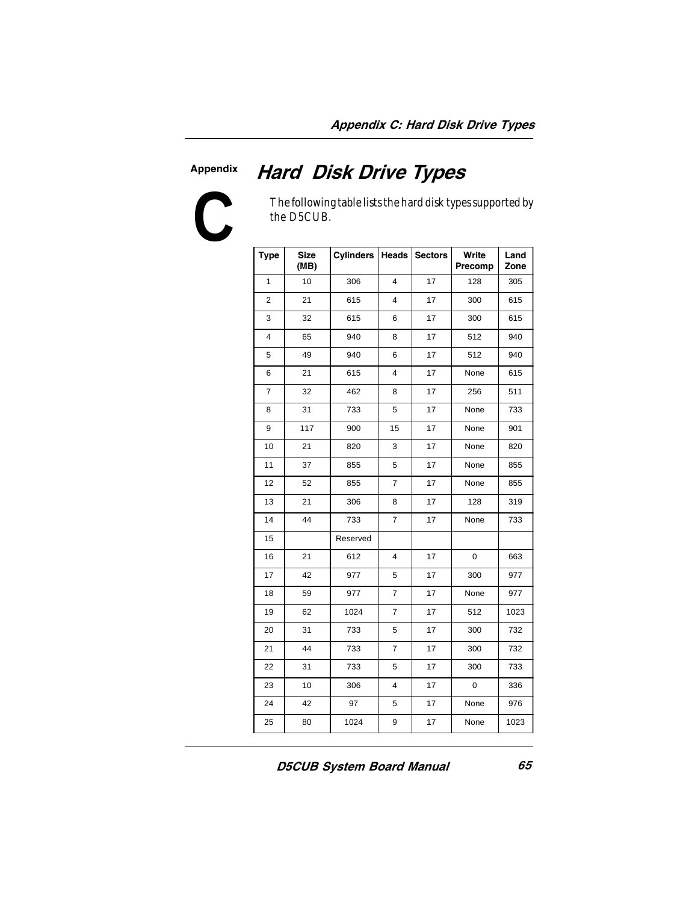#### Appendix



The following table lists the hard disk types supported by the D5CUB.

Hard Disk Drive Types

| <b>Type</b>    | <b>Size</b><br>(MB) | <b>Cylinders</b> |                | <b>Heads Sectors</b> | Write<br>Precomp | Land<br>Zone |
|----------------|---------------------|------------------|----------------|----------------------|------------------|--------------|
| 1              | 10                  | 306              | 4              | 17                   | 128              | 305          |
| $\overline{2}$ | 21                  | 615              | 4              | 17                   | 300              | 615          |
| 3              | 32                  | 615              | 6              | 17                   | 300              | 615          |
| 4              | 65                  | 940              | 8              | 17                   | 512              | 940          |
| 5              | 49                  | 940              | 6              | 17                   | 512              | 940          |
| 6              | 21                  | 615              | 4              | 17                   | None             | 615          |
| 7              | 32                  | 462              | 8              | 17                   | 256              | 511          |
| 8              | 31                  | 733              | 5              | 17                   | None             | 733          |
| 9              | 117                 | 900              | 15             | 17                   | None             | 901          |
| 10             | 21                  | 820              | 3              | 17                   | None             | 820          |
| 11             | 37                  | 855              | 5              | 17                   | None             | 855          |
| 12             | 52                  | 855              | $\overline{7}$ | 17                   | None             | 855          |
| 13             | 21                  | 306              | 8              | 17                   | 128              | 319          |
| 14             | 44                  | 733              | 7              | 17                   | None             | 733          |
| 15             |                     | Reserved         |                |                      |                  |              |
| 16             | 21                  | 612              | 4              | 17                   | 0                | 663          |
| 17             | 42                  | 977              | 5              | 17                   | 300              | 977          |
| 18             | 59                  | 977              | $\overline{7}$ | 17                   | None             | 977          |
| 19             | 62                  | 1024             | $\overline{7}$ | 17                   | 512              | 1023         |
| 20             | 31                  | 733              | 5              | 17                   | 300              | 732          |
| 21             | 44                  | 733              | $\overline{7}$ | 17                   | 300              | 732          |
| 22             | 31                  | 733              | 5              | 17                   | 300              | 733          |
| 23             | 10                  | 306              | 4              | 17                   | 0                | 336          |
| 24             | 42                  | 97               | 5              | 17                   | None             | 976          |
| 25             | 80                  | 1024             | 9              | 17                   | None             | 1023         |

D5CUB System Board Manual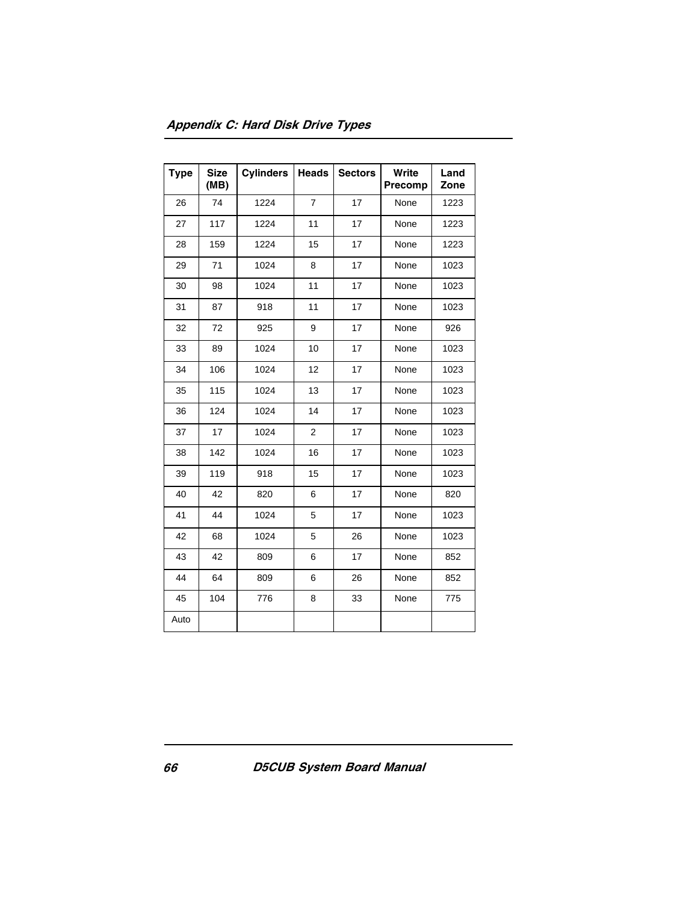| <b>Type</b> | <b>Size</b><br>(MB) | <b>Cylinders</b> | <b>Heads</b>   | <b>Sectors</b> | Write<br>Precomp | Land<br>Zone |
|-------------|---------------------|------------------|----------------|----------------|------------------|--------------|
| 26          | 74                  | 1224             | $\overline{7}$ | 17             | None             | 1223         |
| 27          | 117                 | 1224             | 11             | 17             | None             | 1223         |
| 28          | 159                 | 1224             | 15             | 17             | None             | 1223         |
| 29          | 71                  | 1024             | 8              | 17             | None             | 1023         |
| 30          | 98                  | 1024             | 11             | 17             | None             | 1023         |
| 31          | 87                  | 918              | 11             | 17             | None             | 1023         |
| 32          | 72                  | 925              | 9              | 17             | None             | 926          |
| 33          | 89                  | 1024             | 10             | 17             | None             | 1023         |
| 34          | 106                 | 1024             | 12             | 17             | None             | 1023         |
| 35          | 115                 | 1024             | 13             | 17             | None             | 1023         |
| 36          | 124                 | 1024             | 14             | 17             | None             | 1023         |
| 37          | 17                  | 1024             | 2              | 17             | None             | 1023         |
| 38          | 142                 | 1024             | 16             | 17             | None             | 1023         |
| 39          | 119                 | 918              | 15             | 17             | None             | 1023         |
| 40          | 42                  | 820              | 6              | 17             | None             | 820          |
| 41          | 44                  | 1024             | 5              | 17             | None             | 1023         |
| 42          | 68                  | 1024             | 5              | 26             | None             | 1023         |
| 43          | 42                  | 809              | 6              | 17             | None             | 852          |
| 44          | 64                  | 809              | 6              | 26             | None             | 852          |
| 45          | 104                 | 776              | 8              | 33             | None             | 775          |
| Auto        |                     |                  |                |                |                  |              |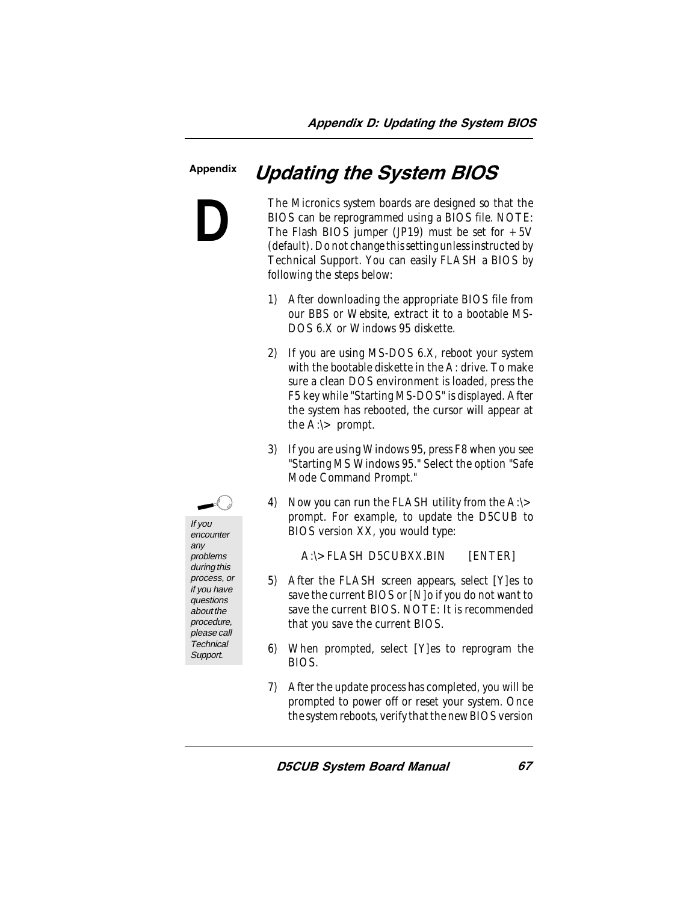#### Appendix

**D**

The Micronics system boards are designed so that the BIOS can be reprogrammed using a BIOS file. NOTE: The Flash BIOS jumper (JP19) must be set for  $+5V$ (default). Do not change this setting unless instructed by Technical Support. You can easily FLASH a BIOS by following the steps below:

Updating the System BIOS

- 1) After downloading the appropriate BIOS file from our BBS or Website, extract it to a bootable MS-DOS 6.X or Windows 95 diskette.
- 2) If you are using MS-DOS 6.X, reboot your system with the bootable diskette in the A: drive. To make sure a clean DOS environment is loaded, press the F5 key while "Starting MS-DOS" is displayed. After the system has rebooted, the cursor will appear at the  $A$ : $\triangleright$  prompt.
- 3) If you are using Windows 95, press F8 when you see "Starting MS Windows 95." Select the option "Safe Mode Command Prompt."
- 4) Now you can run the FLASH utility from the A:\> prompt. For example, to update the D5CUB to BIOS version XX, you would type:

A:\>FLASH D5CUBXX.BIN [ENTER]

- 5) After the FLASH screen appears, select [Y]es to save the current BIOS or [N]o if you do not want to save the current BIOS. NOTE: It is recommended that you save the current BIOS.
- 6) When prompted, select [Y]es to reprogram the BIOS.
- 7) After the update process has completed, you will be prompted to power off or reset your system. Once the system reboots, verify that the new BIOS version



encounter any problems during this process, or if you have questions about the procedure, please call **Technical** Support.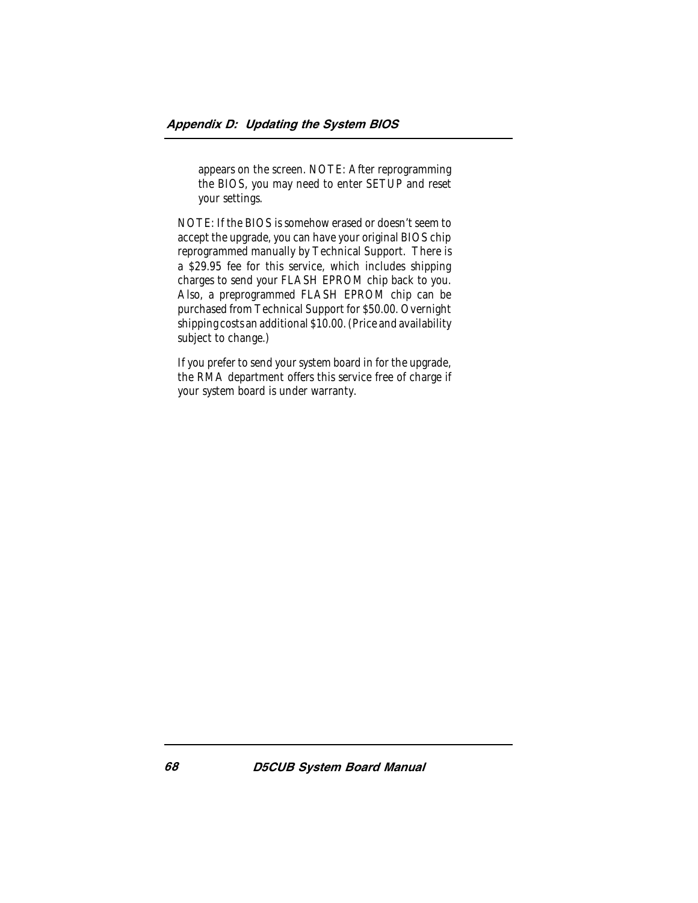appears on the screen. NOTE: After reprogramming the BIOS, you may need to enter SETUP and reset your settings.

NOTE: If the BIOS is somehow erased or doesn't seem to accept the upgrade, you can have your original BIOS chip reprogrammed manually by Technical Support. There is a \$29.95 fee for this service, which includes shipping charges to send your FLASH EPROM chip back to you. Also, a preprogrammed FLASH EPROM chip can be purchased from Technical Support for \$50.00. Overnight shipping costs an additional \$10.00. (Price and availability subject to change.)

If you prefer to send your system board in for the upgrade, the RMA department offers this service free of charge if your system board is under warranty.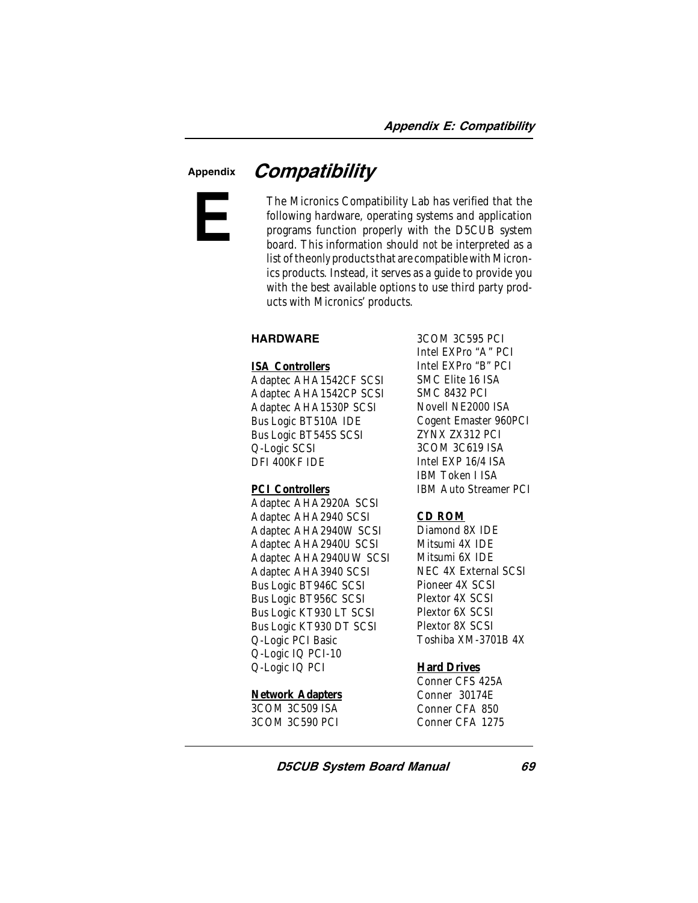# Appendix **Compatibility**



The Micronics Compatibility Lab has verified that the following hardware, operating systems and application programs function properly with the D5CUB system board. This information should *not* be interpreted as a list of the *only* products that are compatible with Micronics products. Instead, it serves as a guide to provide you with the best available options to use third party products with Micronics' products.

#### **HARDWARE**

#### **ISA Controllers**

Adaptec AHA1542CF SCSI Adaptec AHA1542CP SCSI Adaptec AHA1530P SCSI Bus Logic BT510A IDE Bus Logic BT545S SCSI Q-Logic SCSI DFI 400KF IDE

#### **PCI Controllers**

Adaptec AHA2920A SCSI Adaptec AHA2940 SCSI Adaptec AHA2940W SCSI Adaptec AHA2940U SCSI Adaptec AHA2940UW SCSI Adaptec AHA3940 SCSI Bus Logic BT946C SCSI Bus Logic BT956C SCSI Bus Logic KT930 LT SCSI Bus Logic KT930 DT SCSI Q-Logic PCI Basic Q-Logic IQ PCI-10 Q-Logic IQ PCI

#### **Network Adapters**

3COM 3C509 ISA 3COM 3C590 PCI

3COM 3C595 PCI Intel EXPro "A" PCI Intel EXPro "B" PCI SMC Elite 16 ISA SMC 8432 PCI Novell NE2000 ISA Cogent Emaster 960PCI ZYNX ZX312 PCI 3COM 3C619 ISA Intel EXP 16/4 ISA IBM Token I ISA IBM Auto Streamer PCI

#### **CD ROM**

Diamond 8X IDE Mitsumi 4X IDE Mitsumi 6X IDE NEC 4X External SCSI Pioneer 4X SCSI Plextor 4X SCSI Plextor 6X SCSI Plextor 8X SCSI Toshiba XM-3701B 4X

#### **Hard Drives**

Conner CFS 425A Conner 30174E Conner CFA 850 Conner CFA 1275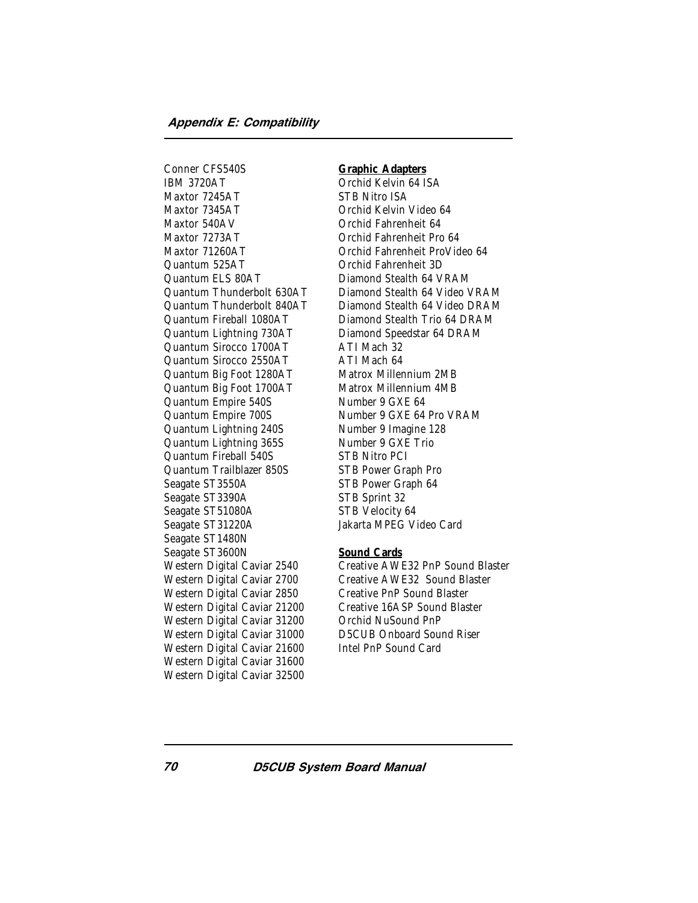Conner CFS540S IBM 3720AT Maxtor 7245AT Maxtor 7345AT Maxtor 540AV Maxtor 7273AT Maxtor 71260AT Quantum 525AT Quantum ELS 80AT Quantum Thunderbolt 630AT Quantum Thunderbolt 840AT Quantum Fireball 1080AT Quantum Lightning 730AT Quantum Sirocco 1700AT Quantum Sirocco 2550AT Quantum Big Foot 1280AT Quantum Big Foot 1700AT Quantum Empire 540S Quantum Empire 700S Quantum Lightning 240S Quantum Lightning 365S Quantum Fireball 540S Quantum Trailblazer 850S Seagate ST3550A Seagate ST3390A Seagate ST51080A Seagate ST31220A Seagate ST1480N Seagate ST3600N Western Digital Caviar 2540 Western Digital Caviar 2700 Western Digital Caviar 2850 Western Digital Caviar 21200 Western Digital Caviar 31200 Western Digital Caviar 31000 Western Digital Caviar 21600 Western Digital Caviar 31600 Western Digital Caviar 32500

#### **Graphic Adapters**

Orchid Kelvin 64 ISA STB Nitro ISA Orchid Kelvin Video 64 Orchid Fahrenheit 64 Orchid Fahrenheit Pro 64 Orchid Fahrenheit ProVideo 64 Orchid Fahrenheit 3D Diamond Stealth 64 VRAM Diamond Stealth 64 Video VRAM Diamond Stealth 64 Video DRAM Diamond Stealth Trio 64 DRAM Diamond Speedstar 64 DRAM ATI Mach 32 ATI Mach 64 Matrox Millennium 2MB Matrox Millennium 4MB Number 9 GXE 64 Number 9 GXE 64 Pro VRAM Number 9 Imagine 128 Number 9 GXE Trio STB Nitro PCI STB Power Graph Pro STB Power Graph 64 STB Sprint 32 STB Velocity 64 Jakarta MPEG Video Card

#### **Sound Cards**

Creative AWE32 PnP Sound Blaster Creative AWE32 Sound Blaster Creative PnP Sound Blaster Creative 16ASP Sound Blaster Orchid NuSound PnP D5CUB Onboard Sound Riser Intel PnP Sound Card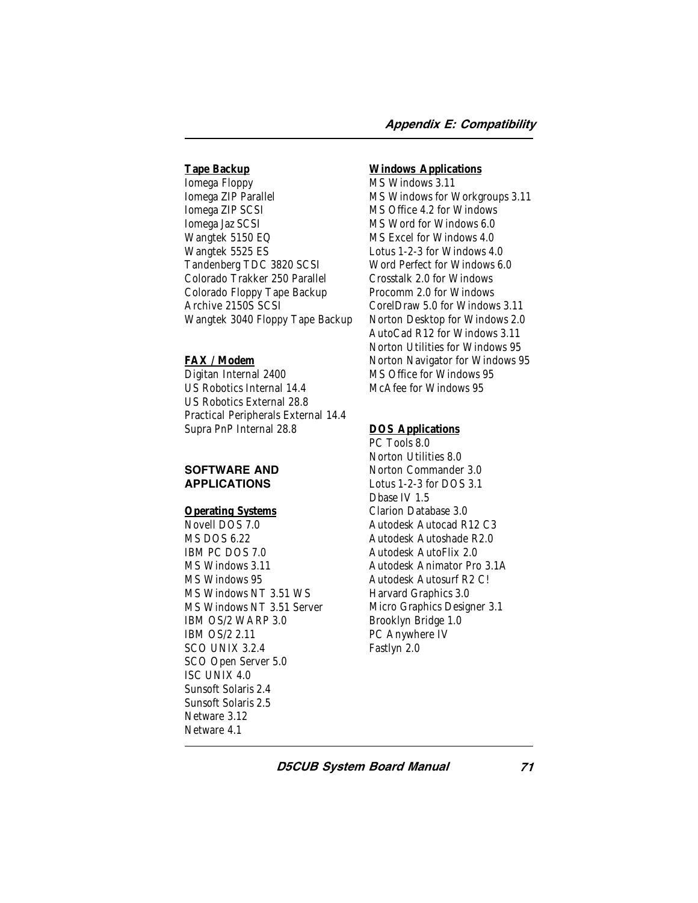# **Tape Backup**

Iomega Floppy Iomega ZIP Parallel Iomega ZIP SCSI Iomega Jaz SCSI Wangtek 5150 EQ Wangtek 5525 ES Tandenberg TDC 3820 SCSI Colorado Trakker 250 Parallel Colorado Floppy Tape Backup Archive 2150S SCSI Wangtek 3040 Floppy Tape Backup

# **FAX / Modem**

Digitan Internal 2400 US Robotics Internal 14.4 US Robotics External 28.8 Practical Peripherals External 14.4 Supra PnP Internal 28.8

#### SOFTWARE AND APPLICATIONS

# **Operating Systems**

Novell DOS 7.0 MS DOS 6.22 IBM PC DOS 7.0 MS Windows 3.11 MS Windows 95 MS Windows NT 3.51 WS MS Windows NT 3.51 Server IBM OS/2 WARP 3.0 IBM OS/2 2.11 SCO UNIX 3.2.4 SCO Open Server 5.0 ISC UNIX 4.0 Sunsoft Solaris 2.4 Sunsoft Solaris 2.5 Netware 3.12 Netware 4.1

#### **Windows Applications**

MS Windows 3.11 MS Windows for Workgroups 3.11 MS Office 4.2 for Windows MS Word for Windows 6.0 MS Excel for Windows 4.0 Lotus 1-2-3 for Windows 4.0 Word Perfect for Windows 6.0 Crosstalk 2.0 for Windows Procomm 2.0 for Windows CorelDraw 5.0 for Windows 3.11 Norton Desktop for Windows 2.0 AutoCad R12 for Windows 3.11 Norton Utilities for Windows 95 Norton Navigator for Windows 95 MS Office for Windows 95 McAfee for Windows 95

# **DOS Applications**

PC Tools 8.0 Norton Utilities 8.0 Norton Commander 3.0 Lotus 1-2-3 for DOS 3.1 Dbase IV 1.5 Clarion Database 3.0 Autodesk Autocad R12 C3 Autodesk Autoshade R2.0 Autodesk AutoFlix 2.0 Autodesk Animator Pro 3.1A Autodesk Autosurf R2 C! Harvard Graphics 3.0 Micro Graphics Designer 3.1 Brooklyn Bridge 1.0 PC Anywhere IV Fastlyn 2.0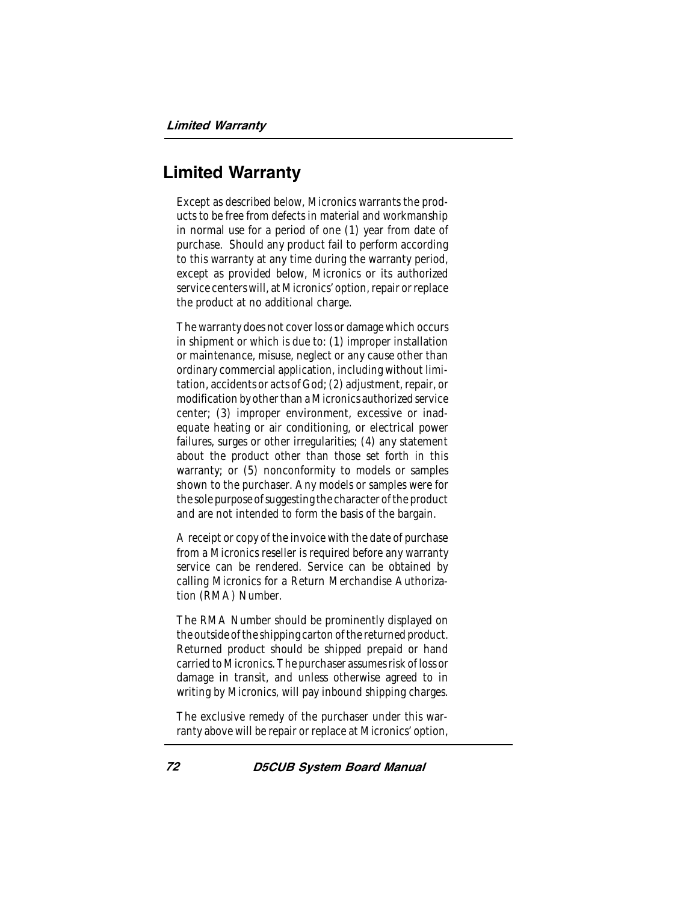# Limited Warranty

Except as described below, Micronics warrants the products to be free from defects in material and workmanship in normal use for a period of one (1) year from date of purchase. Should any product fail to perform according to this warranty at any time during the warranty period, except as provided below, Micronics or its authorized service centers will, at Micronics' option, repair or replace the product at no additional charge.

The warranty does not cover loss or damage which occurs in shipment or which is due to: (1) improper installation or maintenance, misuse, neglect or any cause other than ordinary commercial application, including without limitation, accidents or acts of God; (2) adjustment, repair, or modification by other than a Micronics authorized service center; (3) improper environment, excessive or inadequate heating or air conditioning, or electrical power failures, surges or other irregularities; (4) any statement about the product other than those set forth in this warranty; or (5) nonconformity to models or samples shown to the purchaser. Any models or samples were for the sole purpose of suggesting the character of the product and are not intended to form the basis of the bargain.

A receipt or copy of the invoice with the date of purchase from a Micronics reseller is required before any warranty service can be rendered. Service can be obtained by calling Micronics for a Return Merchandise Authorization (RMA) Number.

The RMA Number should be prominently displayed on the outside of the shipping carton of the returned product. Returned product should be shipped prepaid or hand carried to Micronics. The purchaser assumes risk of loss or damage in transit, and unless otherwise agreed to in writing by Micronics, will pay inbound shipping charges.

The exclusive remedy of the purchaser under this warranty above will be repair or replace at Micronics' option,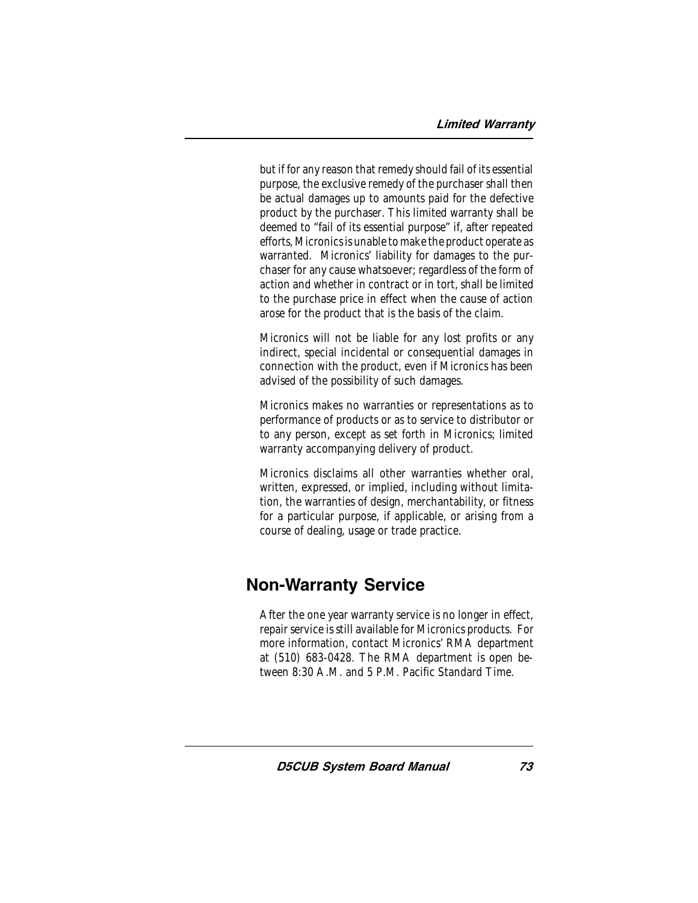but if for any reason that remedy should fail of its essential purpose, the exclusive remedy of the purchaser shall then be actual damages up to amounts paid for the defective product by the purchaser. This limited warranty shall be deemed to "fail of its essential purpose" if, after repeated efforts, Micronics is unable to make the product operate as warranted. Micronics' liability for damages to the purchaser for any cause whatsoever; regardless of the form of action and whether in contract or in tort, shall be limited to the purchase price in effect when the cause of action arose for the product that is the basis of the claim.

Micronics will not be liable for any lost profits or any indirect, special incidental or consequential damages in connection with the product, even if Micronics has been advised of the possibility of such damages.

Micronics makes no warranties or representations as to performance of products or as to service to distributor or to any person, except as set forth in Micronics; limited warranty accompanying delivery of product.

Micronics disclaims all other warranties whether oral, written, expressed, or implied, including without limitation, the warranties of design, merchantability, or fitness for a particular purpose, if applicable, or arising from a course of dealing, usage or trade practice.

# Non-Warranty Service

After the one year warranty service is no longer in effect, repair service is still available for Micronics products. For more information, contact Micronics' RMA department at (510) 683-0428. The RMA department is open between 8:30 A.M. and 5 P.M. Pacific Standard Time.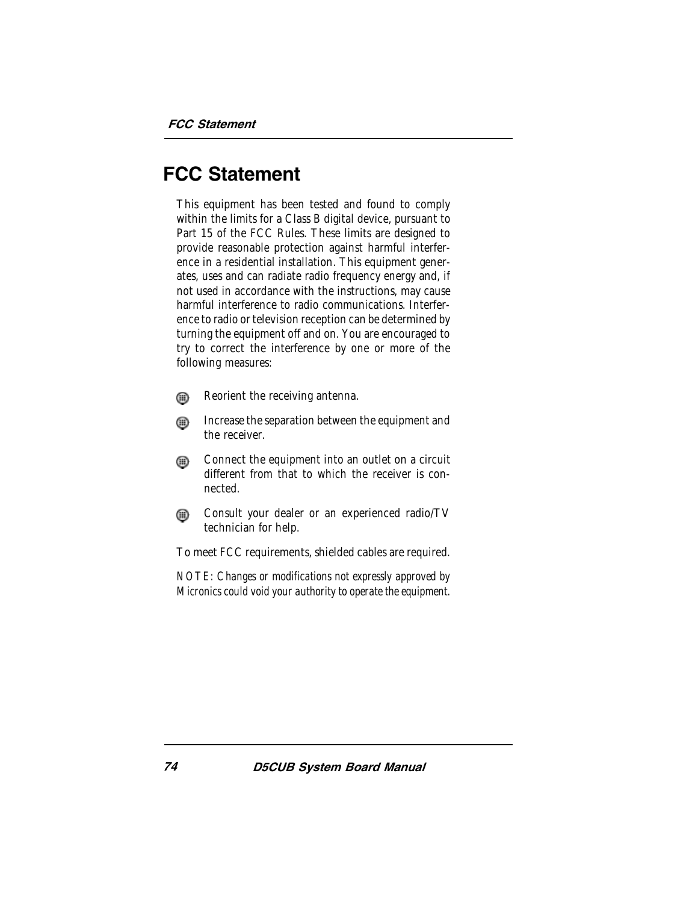# FCC Statement

This equipment has been tested and found to comply within the limits for a Class B digital device, pursuant to Part 15 of the FCC Rules. These limits are designed to provide reasonable protection against harmful interference in a residential installation. This equipment generates, uses and can radiate radio frequency energy and, if not used in accordance with the instructions, may cause harmful interference to radio communications. Interference to radio or television reception can be determined by turning the equipment off and on. You are encouraged to try to correct the interference by one or more of the following measures:

- ⊕ Reorient the receiving antenna.
- Increase the separation between the equipment and ⋒ the receiver.
- Connect the equipment into an outlet on a circuit ⊕ different from that to which the receiver is connected.
- Consult your dealer or an experienced radio/TV ⋒ technician for help.

To meet FCC requirements, shielded cables are required.

*NOTE: Changes or modifications not expressly approved by Micronics could void your authority to operate the equipment.*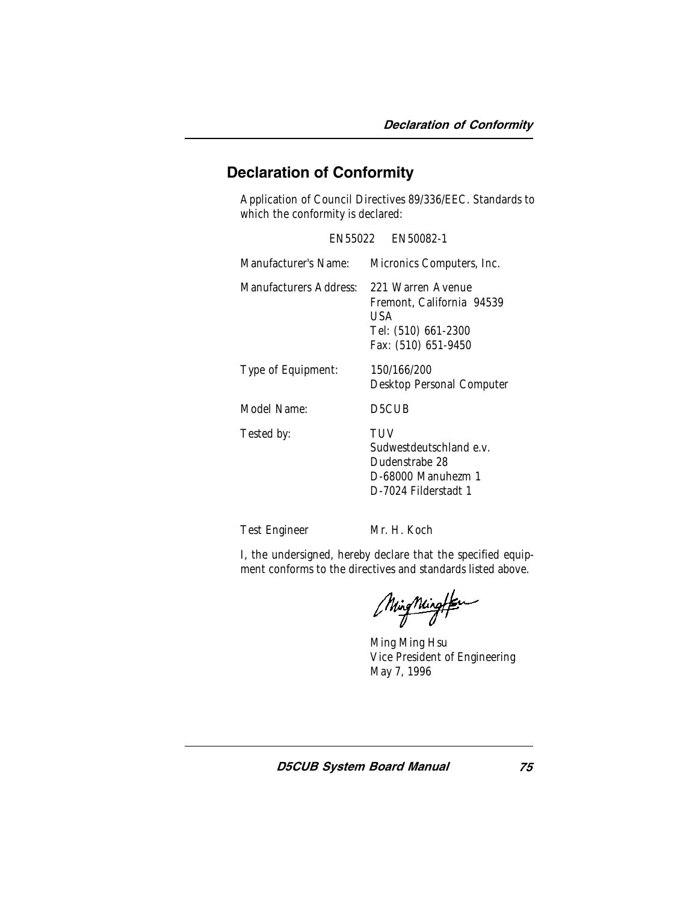# Declaration of Conformity

Application of Council Directives 89/336/EEC. Standards to which the conformity is declared:

|                        | EN55022 EN50082-1                                                                                   |
|------------------------|-----------------------------------------------------------------------------------------------------|
| Manufacturer's Name:   | Micronics Computers, Inc.                                                                           |
| Manufacturers Address: | 221 Warren Avenue<br>Fremont, California 94539<br>USA<br>Tel: (510) 661-2300<br>Fax: (510) 651-9450 |
| Type of Equipment:     | 150/166/200<br>Desktop Personal Computer                                                            |
| Model Name:            | D5CUB                                                                                               |
| Tested by:             | TUV<br>Sudwestdeutschland e.v.<br>Dudenstrabe 28<br>D-68000 Manuhezm 1<br>D-7024 Filderstadt 1      |

Test Engineer Mr. H. Koch

I, the undersigned, hereby declare that the specified equipment conforms to the directives and standards listed above.

MingMingfor

Ming Ming Hsu Vice President of Engineering May 7, 1996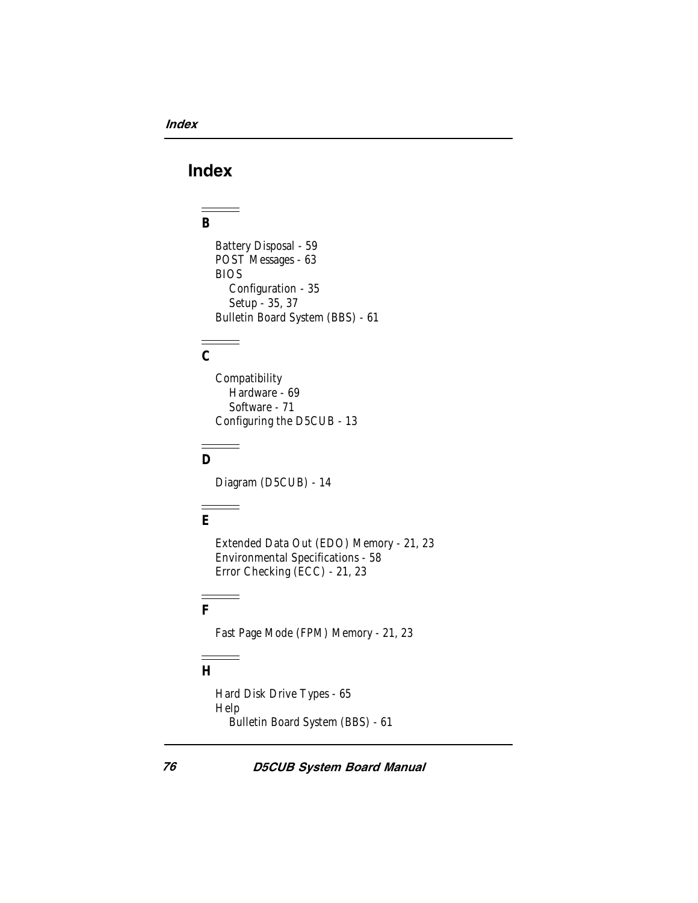# Index

#### **B**

Battery Disposal - 59 POST Messages - 63 BIOS Configuration - 35 Setup - 35, 37 Bulletin Board System (BBS) - 61

# **C**

**Compatibility** Hardware - 69 Software - 71 Configuring the D5CUB - 13

# **D**

Diagram (D5CUB) - 14

# **E**

Extended Data Out (EDO) Memory - 21, 23 Environmental Specifications - 58 Error Checking (ECC) - 21, 23

#### **F**

Fast Page Mode (FPM) Memory - 21, 23

# **H**

Hard Disk Drive Types - 65 Help Bulletin Board System (BBS) - 61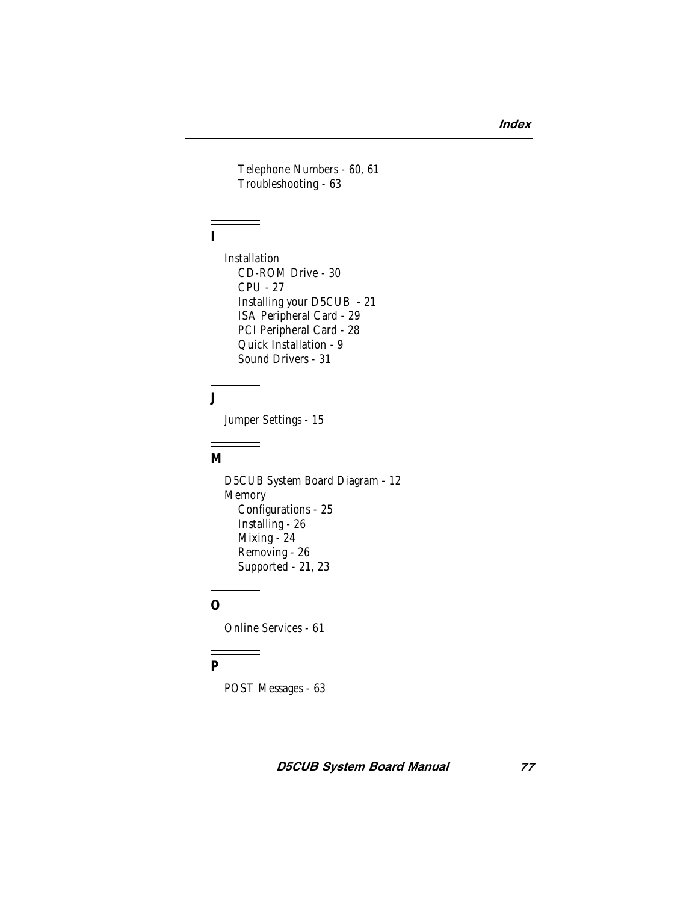Telephone Numbers - 60, 61 Troubleshooting - 63

# **I**

**Installation** CD-ROM Drive - 30 CPU - 27 Installing your D5CUB - 21 ISA Peripheral Card - 29 PCI Peripheral Card - 28 Quick Installation - 9 Sound Drivers - 31

# **J**

Jumper Settings - 15

# **M**

D5CUB System Board Diagram - 12 Memory Configurations - 25 Installing - 26 Mixing - 24 Removing - 26 Supported - 21, 23

# **O**

Online Services - 61

# **P**

POST Messages - 63